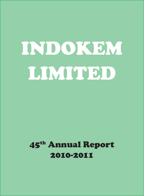# INDOKEM LIMITED

# 45th Annual Report 2010-2011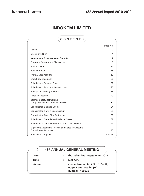# **INDOKEM LIMITED CONTENTS** Page No. Notice 2012 2013 2014 12:00:00 2014 2015 2016 2017 2018 2017 2018 2017 2018 2017 2018 2017 2018 2017 2017 2018 Directors' Report 4 Management Discussion and Analysis **7** and  $\alpha$  7 Corporate Governance Disclosures 8 Auditors' Report 15 Balance Sheet 18 Profit & Loss Account 19 **Cash Flow Statement** 20 Schedules to Balance Sheet 21 Schedules to Profit and Loss Account 25 **Principal Accounting Policies** 28 Notes to Accounts 29 Balance Sheet Abstract and Company's General Business Profile 32 Consolidated Balance Sheet 34 Consolidated Profit & Loss Account 35 Consolidated Cash Flow Statement 36 Schedules to Consolidated Balance Sheet 37 Schedules to Consolidated Profit and Loss Account 41 Significant Accounting Policies and Notes to Accounts Consolidated Accounts 43 Subsidiary Company **44 - 58**

|              | 45th ANNUAL GENERAL MEETING                                                         |
|--------------|-------------------------------------------------------------------------------------|
| <b>Date</b>  | : Thursday, 29th September, 2011                                                    |
| Time         | 4.00 p.m.                                                                           |
| <b>Venue</b> | Khatau House, Plot No. 410/411,<br>Mogul Lane, Mahim (W),<br><b>Mumbai - 400016</b> |

62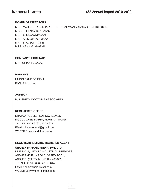### **BOARD OF DIRECTORS**

MR. MAHENDRA K. KHATAU - CHAIRMAN & MANAGING DIRECTOR MRS. LEELABAI K. KHATAU MR. S. RAJAGOPALAN MR. KAILASH PERSHAD MR. B. G. SONTAKKE

MRS. ASHA M. KHATAU

### **COMPANY SECRETARY**

MR. ROHAN R. GAVAS

### **BANKERS**

UNION BANK OF INDIA BANK OF INDIA

### **AUDITOR**

M/S. SHETH DOCTOR & ASSOCIATES

### **REGISTERED OFFICE**

KHATAU HOUSE, PLOT NO. 410/411, MOGUL LANE, MAHIM, MUMBAI - 400016 TEL.NO.: 6123 6767 / 6123 6711 EMAIL: iklsecretarial@gmail.com WEBSITE: www.indokem.co.in

### **REGISTRAR & SHARE TRANSFER AGENT**

### **SHAREX DYNAMIC (INDIA) PVT. LTD.**

UNIT NO. 1, LUTHRA INDUSTRIAL PREMISES, ANDHERI-KURLA ROAD, SAFED POOL, ANDHERI (EAST), MUMBAI – 400072. TEL.NO.: 2851 5606 / 2851 5644. EMAIL: sharexindia@vsnl.com WEBSITE: www.sharexindia.com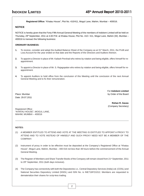**Registered Office:** "Khatau House", Plot No. 410/411, Mogul Lane, Mahim, Mumbai – 400016.

### **NOTICE**

NOTICE is hereby given that the Forty-Fifth Annual General Meeting of the members of Indokem Limited will be held on Thursday, 29<sup>th</sup> September, 2011 at 4.00 P.M. at Khatau House, Plot No. 410 / 411, Mogul Lane, Mahim (W), Mumbai -400016 to transact the following business:

### **ORDINARY BUSINESS:**

- **1.** To receive, consider and adopt the Audited Balance Sheet of the Company as at 31<sup>st</sup> March, 2011, the Profit and Loss Account for the year ended on that date and the Reports of the Directors and Auditors thereon.
- **2.** To appoint a Director in place of Mr. Kailash Pershad who retires by rotation and being eligible, offers himself for reappointment.
- **3.** To appoint a Director in place of Mr. S. Rajagopalan who retires by rotation and being eligible, offers himself for reappointment.
- **4.** To appoint Auditors to hold office from the conclusion of this Meeting until the conclusion of the next Annual General Meeting and to fix their remuneration.

Date: 29.07.2011

For **Indokem Limited** Place: Mumbai by Order of the Board

> **Rohan R. Gavas** (Company Secretary)

Registered Office: "KHATAU HOUSE", MOGUL LANE, MAHIM, MUMBAI – 400016

### **NOTES:**

- (1) A MEMBER ENTITLED TO ATTEND AND VOTE AT THE MEETING IS ENTITLED TO APPOINT A PROXY TO ATTEND AND TO VOTE INSTEAD OF HIMSELF AND SUCH PROXY NEED NOT BE A MEMBER OF THE COMPANY.
- (2) Instrument of proxy in order to be effective must be deposited at the Company's Registered Office at "Khatau House", Mogul Lane, Mahim, Mumbai – 400 016 not less than 48 hours before the commencement of the Annual General Meeting.
- (3) The Register of Members and Share Transfer Books of the Company will remain closed from 21<sup>st</sup> September, 2011 to 29<sup>th</sup> September, 2011 (both days inclusive).
- (4) The Company has connectivity with both the Depositories i.e., Central Depository Services (India) Ltd. (CDSL) and National Securities Depository Limited (NSDL) and ISIN No. is INE716FO1012. Members are requested to dematerialize their shares for scrip-less trading.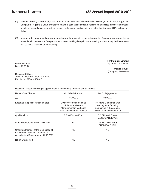- (5) Members holding shares in physical form are requested to notify immediately any change of address, if any, to the Company's Registrar & Share Transfer Agent and in case their shares are held in dematerialized form this information should be passed on directly to their respective depository participants and not to the Company/STA, without any delay.
- (6) Members desirous of getting any information on the accounts or operations of the Company, are requested to forward their queries to the Company at least seven working days prior to the meeting so that the required information can be made available at the meeting.

Date: 29.07.2011

For **Indokem Limited** Place: Mumbai by Order of the Board

> **Rohan R. Gavas** (Company Secretary)

Registered Office: "KHATAU HOUSE", MOGUL LANE, MAHIM, MUMBAI – 400016

Details of Directors seeking re-appointment in forthcoming Annual General Meeting

| Name of the Director                                                                                               | Mr. Kailash Pershad                                                                                          | Mr. S. Rajagopalan                                                                                            |  |
|--------------------------------------------------------------------------------------------------------------------|--------------------------------------------------------------------------------------------------------------|---------------------------------------------------------------------------------------------------------------|--|
| Age                                                                                                                | 71 Years                                                                                                     | 72 Years                                                                                                      |  |
| Expertise in specific functional area                                                                              | Over 40 Years in the fields<br>of Finance, General<br>Management in Marketing<br>as a consultant and Advisor | 37 Years Experience with<br>leading manufacturing<br>Companies in the areas of<br>Accounts, Finance and Audit |  |
| Qualifications                                                                                                     | <b>B.E.-MECHANICAL</b>                                                                                       | B.COM. / A.I.C.W.A.<br>(ASSOCIATE ICWA)                                                                       |  |
| Other Directorship as on 31.03.2011                                                                                | <b>NIL</b>                                                                                                   | <b>REFNOL RESINS &amp;</b><br>CHEMICALS LTD.                                                                  |  |
| Chairman/Member of the Committee of<br>the Board of Public Companies on<br>which he is a Director as on 31,03,2011 | <b>NIL</b>                                                                                                   | <b>NIL</b>                                                                                                    |  |
| No. of Shares held                                                                                                 | <b>NIL</b>                                                                                                   | <b>NIL</b>                                                                                                    |  |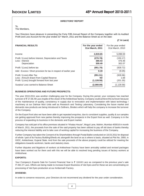### **DIRECTORS' REPORT**

To,

The Members,

Your Directors have pleasure in presenting the Forty Fifth Annual Report of the Company together with its Audited Profit and Loss Account for the year ended 31<sup>st</sup> March, 2011 and the Balance Sheet as on the date:

### **( in Lacs)**

| <b>FINANCIAL RESULTS</b>                                         | For the year ended<br>31st March, 2011 | For the year ended<br>31st March, 2010 |
|------------------------------------------------------------------|----------------------------------------|----------------------------------------|
| Income                                                           | 2,819.65                               | 5,098.59                               |
| Profit / (Loss) before Interest, Depreciation and Taxes          | (270.78)                               | (150.17)                               |
| Less: Interest                                                   | 380.43                                 | 476.48                                 |
| Depreciation                                                     | 300.49                                 | 302.07                                 |
| Profit / (Loss) before tax                                       | (951.70)                               | (928.72)                               |
| Add: Excess / Short provision for tax in respect of earlier year | 0.19                                   | (0.25)                                 |
| Profit / (Loss) After Tax                                        | (951.51)                               | (928.96)                               |
| Less: Amount drawn from Capital Reserve                          | Nil                                    | 1.68                                   |
| Profit / (Loss) brought forward from last year                   | (1, 128.58)                            | (201.30)                               |
| Surplus/Loss carried to Balance Sheet                            | (2,080.09)                             | (1, 128.58)                            |

### **BUSINESS OPERATIONS AND FUTURE PROSPECTS:**

The year 2010-2011 was another challenging year for the Company. During this period, your company has reached turnover of 27,66.49 Lacs inspite of the closer of the Ankleshwar factory, Company could achieve this turnover because of the maintenance of quality, consistency in supply due to renovation and implementation with latest technology / machinery at our Dahisar Mori Units well as Research and Testing Laboratory. Considering the future market and demands new products are being introduced in Softners, Binders which will help the company to increase the turnover of the Company.

On the Export front also we have been able to get repeated enquiries, due to consistent supplies, quality & our samples are getting approved from new parties thereby improving the prospects in the Export front as well. Company is in the process of expanding its business in the domestic and Export market.

Company has sold part of its office premises situated in "Khatau House", Mogul Lane, Mahim, Mumbai-400016 in month of March, 2011, the proceeds from the sale of the said property has been utilized to pay off old dues of banks thereby reducing the interest liability and to take care of working capital for increasing the business of the Company.

Further Company has taken the Consent of its Shareholders through Postal Ballot conducted on 18.03.2011 for disposal of whole / part of its Factory Building/Sheds etc alongwith the land on as is where is basis, situated at Plot No. 2900, in GIDC, Ankleshwar, Gujarat State. And from the sale proceeds of the above property could be utilized for meeting the obligations towards workmen, banks and statutory dues.

Further disputes and litigations of workers at Ankleshwar Factory have been amicably settled and revised packages have been worked out for them and with this we will be able to resolved long pending issues of factory workers at Ankleshwar.

### **EXPORTS:**

Your Company's Exports Sale for Current Financial Year is ₹ 118.60 Lacs as compared to the previous year's sale 492.27 Lacs. Efforts are being made to increase Export Business of Vat Dyes and for these we are concentrating on processing of Vat Dyes production at our Ambernath Factory.

### **DIVIDEND:**

In order to conserve resources, your Directors do not recommend any dividend for the year under consideration.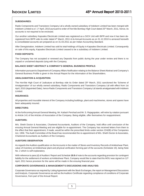### **SUBSIDIARIES:**

Radio Components and Transistors Company Ltd a wholly owned subsidiary of Indokem Limited has been merged with Indokem Limited w.e.f. 1<sup>st</sup> April, 2010 pursuant to order of Hon'ble Bombay High Court dated 25<sup>th</sup> March, 2011, hence, its accounts is not required to be enclosed.

Our another subsidiary Kapsales Electricals Limited was registered as a SICK Unit with BIFR and now it has been deregistered from BIFR vide its order dated 4<sup>th</sup> March, 2011 & its Annual Accounts as on 31.12.2010 is annexed herewith & consolidated accounts are prepared as on 31.03.2011 as per Indian Accounting Standard.

After Deregistration, Indokem Limited has sold its total holdings of Equity in Kapsales Electricals Limited. Consequently on sale of this equity, Kapsales Electricals Limited ceased to be a subsidiary of Indokem Limited.

### **FIXED DEPOSITS:**

The Company has not accepted or renewed any Deposits from public during the year under review and there is no unpaid or unclaimed deposits lying with the Company.

### **BALANCE SHEET ABSTRACT & COMPANY'S GENERAL BUSINESS PROFILE:**

Information pursuant to Department of Company Affairs Notification relating to the Balance Sheet Abstract and Company's General Business Profile is given in the Annual Report for the information of the Shareholders.

### **AMALGAMATION & ACQUISITION:**

The Hon'ble High Court of Judicature at Bombay vide its Order dated 25<sup>th</sup> March, 2011 sanctioned the 'Scheme of Amalgamation' of our wholly owned subsidiary, Radio Components and Transistors Company Ltd with effect from 1st April, 2010 (Appointed Date), hence Radio Components and Transistors Company Ltd stands amalgamated with Indokem Limited.

### **INSURANCE:**

All properties and insurable interest of the Company including buildings, plant and machineries, stores and spares have been adequately insured.

### **DIRECTORS:**

At the forthcoming Annual General Meeting, Mr. Kailash Pershad and Mr. S. Rajagopalan, will retire by rotation pursuant to Article 141 of the Articles of Association of the Company. Being eligible, offer themselves for reappointment.

### **AUDITORS:**

M/s. Sheth Doctor & Associates, Chartered Accountants, Auditors of the Company, hold office until conclusion of the ensuing Annual General Meeting and are eligible for re-appointment. The Company has received letters from them to the effect that their appointment, if made, would be within the prescribed limits under section 224(IB) of the Companies Act, 1956. The Audit Committee of the Board has recommended the re-appointment of M/s. Sheth Doctor & Associates, Chartered Accountants as Auditors of the Company.

### **AUDITORS OBSERVATION**

As regards the Auditors qualification on the Accounts in the matter of Stores and Inventory Records of Ankleshwar Plant, value of Inventory at Ankleshwar plant and physical verification forming part of the accounts (Schedule 19), being Note No. 2 which is self explanatory.

With reference to para (d) of Auditors' Report and Schedule **19.9** of note to the accounts regarding provision for contingent liability for the settlement of workers at Ankleshwar Plant, Company would like to state that this MOU was signed on 12<sup>th</sup> April, 2011 hence provision for the same will be made in the ensuing financial year.

### **CORPORATE GOVERNANCE & MANAGEMENT'S DISCUSSIONS AND ANALYSIS:**

Corporate Governance as required by Listing Agreement with the Stock Exchanges, the report on Management Discussions and Analysis, Corporate Governance as well as the Auditors Certificate regarding compliance of conditions of Corporate Governance, from part of the Annual Report.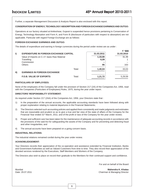*<u><del>1</del>*</u>

Further, a separate Management Discussion & Analysis Report is also enclosed with this report.

### **CONSERVATION OF ENERGY, TECHNOLOGY ABSORPTION AND FOREIGN EXCHANGE EARNINGS AND OUTGO:**

Operations at our factory situated at Ankleshwar, Gujarat is suspended hence provisions pertaining to Conservation of Energy, Technology Absorption and Form A, and Form B (disclosure of particulars with respect to absorption) are not applicable. Particular with regard Foreign Exchange are as follows:

### **FOREIGN EXCHANGE EARNINGS AND OUTGO:**

The details of expenditure and earning in foreign currencies during the period under review are as under :

|               |                                                |            |            | ₹ '000  |
|---------------|------------------------------------------------|------------|------------|---------|
| $\vert$       | <b>EXPENDITURE IN FOREIGN EXCHANGE CAPITAL</b> | 31.03.2011 | 31.03.2010 |         |
|               | Value of Imports on C.I.F. basis Raw Material  |            | 1,33,00    | 31.39   |
|               | Travelling                                     |            | 6,09       |         |
|               | Commission                                     |            |            |         |
| <b>Others</b> |                                                |            | 95         | 163     |
|               |                                                | Total:     | 1,40,04    | 33,03   |
| $\parallel$   | <b>EARNINGS IN FOREIGN EXCHANGE</b>            |            |            |         |
|               | <b>F.O.B. VALUE OF EXPORTS</b>                 | Total:     | 1,21,72    | 5,29,59 |

### **PARTICULARS OF EMPLOYEES:**

None of the employees of the Company fall under the provision of Section 217 (2A) of the Companies Act, 1956, read with the Companies (Particulars of Employees) Rules, 1975, during the year under report.

### **DIRECTORS' RESPONSIBILITY STATEMENT:**

As required under Section 217 (2AA) of the Companies Act, 1956, your Directors state that :

- 1) In the preparation of the annual accounts, the applicable accounting standards have been followed along with proper explanation relating to material departures in the Financial Statements;
- 2) The Directors selected such accounting policies and applied them consistently and made judgments and estimates that are reasonable and prudent so as to give a true and fair view of the state of affairs of the Company for the Financial Year ended 31<sup>st</sup> March, 2011; and of the profit or lass of the Company for the year under review;
- 3) Proper and sufficient care has been taken for the maintenance of adequate accounting records in accordance with the provisions of the said Act for safeguarding the assets of the Company and for preventing and detecting fraud and other irregularities; and
- 4) The annual accounts have been prepared on a going concern basis.

### **INDUSTRIAL RELATIONS:**

The industrial relations remained cordial during the year under review.

### **ACKNOWLEDGEMENT:**

Your Directors records their appreciation of the co-operation and assistance extended by Financial Institution, Banks and Government Authorities as well as Valued Customers from time to time. They also record their appreciation of the devoted services rendered by the Executives, Staff Members and Workers of the Company.

The Directors also wish to place on record their gratitude to the Members for their continued support and confidence.

For and on behalf of the Board

Mumbai **Mahendra K. Khatau** Date: 29.07.2011 Chairman & Managing Director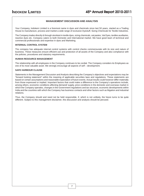### **MANAGEMENT DISCUSSION AND ANALYSIS**

Your Company, Indokem Limited is a foremost name in dyes and chemicals since last 50 years, started as a Trading House to manufacture, process and market a wide range of exclusive Dyestuff, Sizing Chemicals for Textile Industries.

The Company trades directly & through stockiest in textile dyes, sizing chemicals, vat pastes, Vat Dyes, textiles auxiliaries, reactive dyes etc. Company caters to both Domestic and International market. We have good team of technical and commercial professionals and expertise in dyes and Marketing.

### **INTERNAL CONTROL SYSTEM**

The company has adequate internal control systems with control checks commensurate with its size and nature of business. These measures ensure efficient use and protection of all assets of the Company and also compliance with the policies, procedures and statutory requirements.

### **HUMAN RESOURCE MANAGEMENT**

The relationship with all employees in the Company continues to be cordial. The Company considers its Employees as one of its most valuable asset. We strongly encourage all aspects of self – development.

### **SAFE HARBOUR CLAUSE**

Statements in the Management Discussion and Analysis describing the Company's objectives and expectations may be "forward looking statement" within the meaning of applicable securities laws and regulations. These statements are based on certain assumptions and reasonable expectation of future events. Actual results could however differ materially from those expressed or implied. Important factors that could make a difference to the Company's operations include, among others, economic conditions affecting demand/ supply, price conditions in the domestic and overseas market in which the Company operates, changes in the Government regulations and tax structure, economic developments within India and the countries with which the Company has business contacts and other factors such as litigation and industrial relations.

Thus, the Company should and need not be held responsible, if, which is not unlikely, the future turns to be quite different. Subject to this management disclaimer, this discussion and analysis should be perused.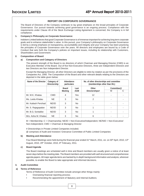### **REPORT ON CORPORATE GOVERNANCE**

The Board of Directors of the Company continues to lay great emphasis on the broad principles of Corporate Governance. Our pursuit towards achieving good governance is an ongoing process. Compliance with the requirements under Clause 49 of the Stock Exchange Listing Agreement is concerned, the Company is in full compliance.

### **1. Company's Philosophy on Corporate Governance:**

Indokem Limited believes that good Corporate Governance is of immense important for achieving long term corporate goals and to enhance stakeholder's value. In this pursuit, your Company's philosophy on Corporate Governance is led by a strong emphasis on transparency, accountability and integrity and your Company has been practicing the principles of Corporate Governance over the years. All directors and employees are bound by a Code of Conduct that sets forth the Company's policies on important issues, including its relationship with Customers, Shareholders and Government.

### **2. Composition of Board**

### **a) Composition and Category of Directors**

The present strength of the Board is six directors of which Chairman and Managing Director (CMD) is an Executive Member of the Board. Out of five Non-Executive Directors, three are Independent Directors and two Directors are Non Independent Director.

Except the Managing Director, all other Directors are eligible to retire by rotation as per the provisions of the Companies Act, 1956. The Composition of the Board and other relevant details relating to the Directors are depicted in the table given below:

| Name of the Director | Category of<br><b>Directorship</b> | Attendance<br>particulars      |                    | No. of other directorships and committee<br>(memberships other than IKL) |                 |   |
|----------------------|------------------------------------|--------------------------------|--------------------|--------------------------------------------------------------------------|-----------------|---|
|                      |                                    | <b>Board</b><br><b>Meeting</b> | Last<br><b>AGM</b> | Other<br>Directorships#                                                  | Committee@<br>M | С |
| Mr. M.K. Khatau      | <b>CMD</b>                         | 4                              | Yes                | 12                                                                       |                 |   |
| Ms. Leela Khatau     | <b>NE</b>                          | 3                              | No.                | 2                                                                        |                 |   |
| Mr. Kailash Pershad  | NE/ID                              | 3                              | No.                |                                                                          |                 |   |
| Mr. S. Rajagopalan   | NE/ID                              | 3                              | No.                |                                                                          |                 |   |
| Mr. B.G. Sontakke    | NE/ID                              | 3                              | No.                |                                                                          |                 |   |
| Mrs. Asha M. Khataul | <b>NE</b>                          | 3                              | No.                | 6                                                                        |                 |   |

M = Membership; C = Chairmanship; NE/ID = Non-Executive/Independent; NE/NID = Non-Executive/ Non-Independent; CMD = Chairman & Managing Director

# Directorships in Private Limited Companies included;

@ comprises of Audit and Investors' Grievance Committee of Public Limited Companies

### **b) Meeting and Attendance**

Four Board Meetings were held during the financial year ended 31<sup>st</sup> March, 2011, viz. on 30<sup>th</sup> April, 2010, 13<sup>th</sup> August, 2010, 29<sup>th</sup> October, 2010, 8<sup>th</sup> February, 2011.

### **c) Board Agenda**

The Board meetings are scheduled well in time and Board members are usually given a notice of at least seven days before the meeting date. The Board members are provided with well structured and comprehensive agenda papers. All major agenda items are backed by in-depth background information and analysis, wherever possible, to enable the Board to take appropriate and informed decisions.

### **3. Audit Committee**

### **a) Terms of Reference**

Terms of Reference of Audit Committee include amongst other things mainly:

- **•** Overseeing financial reporting process;
- **•** Recommending the appointment of Statutory and Internal Auditors;

8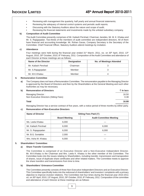- **•** Reviewing with management the quarterly, half yearly and annual financial statements;
- **•** Reviewing the adequacy of internal control systems and periodic audit reports;
- **•** Discussing with the Statutory Auditors about the nature and scope of audit;
- **•** Reviewing the financial statements and investments made by the unlisted subsidiary company.

### **b) Composition of Audit Committee**

The Audit Committee presently comprises of Mr. Kailash Pershad, Chairman, besides, Mr. M. K. Khatau and Mr. S. Rajagopalan. Two-thirds of the members of audit committee are independent directors. All of them have financial and accounting knowledge. Mr. Rohan Gavas, Company Secretary is the Secretary of the Committee. Chief Financial Officer, Statutory Auditors attend meetings by invitation.

### **c) Attendance**

Four meetings were held during the financial year ended  $31st$  March, 2011, viz. on  $30th$  April, 2010, 13th August, 2010, 29<sup>th</sup> October, 2010, 8<sup>th</sup> February, 2011. Composition of the Audit Committee and attendance of each Director at these meetings are as follows:

| Name of the Director | <b>Designation</b> | <b>No. of Meetings Attended</b> |
|----------------------|--------------------|---------------------------------|
| Mr. Kailash Pershad  | Chairman           |                                 |
| Mr. S.Rajagopalan    | Member             |                                 |
| Mr. M.K.Khatau       | Member             |                                 |

### **4. Remuneration Committee**

**a)** The Company does not have a Remuneration Committee. The remuneration payable to the Managing Director is approved by the Board of Directors and then by the Shareholders at the General Meeting and such other Authorities as may be necessary.

| b)<br><b>Remuneration of Directors</b> | ₹ In lacs |
|----------------------------------------|-----------|
| Managing Director:                     | 16.50     |
| Non Executive Directors (Sitting Fees) | 0.38      |
| Total                                  | 16.88     |

Managing Director has a service contract of five years, with a notice period of three months by either party.

### **c) Remuneration of Non-Executive Directors**

| <b>Name of Director</b> | Sitting Fees Paid $(3)$ |                                |
|-------------------------|-------------------------|--------------------------------|
|                         | <b>Board Meeting</b>    | <b>Audit Committee Meeting</b> |
| Ms. Leela Khatau        | 6,000                   |                                |
| Mr. Kailash Pershad     | 6,000                   | 6,000                          |
| Mr. S. Rajagopalan      | 6,000                   | 6,000                          |
| Mr. B.G. Sontakke       | 2,000                   |                                |
| Mrs. Asha M. Khatau     | 6,000                   |                                |

### **5. Shareholders' Committee:**

### **a) Share Transfer Committee**

The Committee is comprised of an Executive Director and a Non-Executive Independent Director. Mr. M.K.Khatau is the Chairman and Mrs. Leela K. Khatau is the other member of the Committee. The Committee looks into the issues relating to Shareholders, including transfer, transmission and transposition of shares, issue of duplicate share certificates and other related matters. The Committee meets to approve the share transfers and transmissions from time to time.

### **b) Shareholders' Grievance Committee**

The Committee presently consists of three Non-Executive Independent Directors and an Executive Director. This Committee specifically looks into the redressal of shareholders' and investors' complaints with a primary objective to improve investor relations. The Committee met four times during the financial year 2010-2011 viz. on 30<sup>th</sup> April, 2010, 13<sup>th</sup> August, 2010, 29<sup>th</sup> October, 2010, 8<sup>th</sup> February, 2011. Composition of the committee and attendance of each Director at these meetings are as follows:

9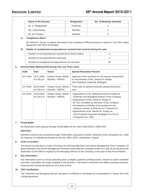| Name of the Director | <b>Designation</b> | <b>No. of Meetings Attended</b> |  |
|----------------------|--------------------|---------------------------------|--|
| Mr. S. Rajagopalan   | Chairman           |                                 |  |
| Ms. Leela Khatau     | Member             |                                 |  |
| Mr. M.K.Khatau       | Member             |                                 |  |

### **c) Compliance officer**

Mr. Rohan R. Gavas, Company Secretary is the Compliance Officer pursuant to clause 47 (a) of the Listing Agreement with Stock Exchanges.

### **d) Details of complaints/correspondences received and resolved during the year**

| Number of correspondences received from Share holders |     |
|-------------------------------------------------------|-----|
| Number of correspondences redressed                   |     |
| Number of complaints/correspondences not resolved     | Nil |

### **6. General Body Meeting Held During The Last Three Years**

| <b>AGM</b>           | Date                       | <b>Venue</b>                             | <b>Special Resolution Passed</b>                                                                                                                                                                                                                                                                                                                                                                                        |
|----------------------|----------------------------|------------------------------------------|-------------------------------------------------------------------------------------------------------------------------------------------------------------------------------------------------------------------------------------------------------------------------------------------------------------------------------------------------------------------------------------------------------------------------|
| $42^{\text{nd}}$ AGM | 18.11.2008<br>at 4.00 p.m. | Khatau House, Mahim,<br>Mumbai - 400016. | Approval of the members for the revision of payments<br>of remuneration of Ms. Shreya M. Khatau,<br>Vice President-Corporate Strategies.                                                                                                                                                                                                                                                                                |
| 43rd AGM             | 30.09.2009<br>at 4.00 p.m. | Khatau House, Mahim,<br>Mumbai - 400016. | There was no special resolution passed during the<br>year                                                                                                                                                                                                                                                                                                                                                               |
| 44 <sup>th</sup> AGM | 30.09.2010<br>at 4.00 p.m. | Khatau House, Mahim,<br>Mumbai - 400016. | • Appointment of Mr. Mahendra Kishore Khatau as<br>Chairman and Managing Director of the Company.<br>• Appointment of Mrs. Asha M. Khatau &<br>Mr. B.G. Sontakke as Directors of the Company.<br>• Amendment of Articles of Association for the<br>minimum number of Directors to 4 instead of 6.<br>• Appointment of Mr. Manish M. Khatau as<br>Vice President-Corporate Strategies U/s 314 of<br>Companies Act, 1956. |

### **7. Postal Ballot**

No Resolutions were passed through Postal Ballot for the Years 2008-2009 & 2009-2010.

### **2010-2011:**

Members consent was accorded through Postal Ballot, pursuant to section 293(1)(a) of the Companies Act, 1956 for Disposal of Undertaking situated at Plot No. 2900, GIDC, Ankleshwar, Gujarat.

### **8. Code of Conduct**

The Board has laid down a Code of Conduct for all Board Members and Senior Management of the Company. All Board Members and Senior Management Personnel have affirmed compliance with the Code on annual basis the declaration to this effect is signed by the Managing Director of the Company, forms part of this Annual Report.

### **9. Key Information**

Key information such as annual operating plans, budgets, quarterly working results, minutes of audit committee and other committees are made available to the Directors. The Board is informed of all affairs including materials, financial and commercial decisions from time to time.

### **10. CEO Certification**

The Chairman and Managing Director has given a certificate to the Board as contemplated in Clause 49 of the Listing Agreement.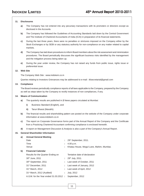### **11. Disclosures**

- **a)** The Company has not entered into any pecuniary transactions with its promoters or directors except as disclosed in the Accounts*.*
- **b)** The Company has followed the Guidelines of Accounting Standards laid down by the Central Government and The Institute of Chartered Accountants of India (ICAI) in preparation of its financial statements.
- **c)** During the last three years, there were no penalties or strictures imposed on the Company either by the Stock Exchanges or by SEBI or any statutory authority for non-compliance on any matter related to capital markets.
- **d)** The Company has laid down procedures to inform Board members about the risk assessment and minimization procedures. The Board periodically discusses the significant business risks identified by the management and the mitigation process being taken up.
- **e)** During the year under review, the Company has not raised any funds from public issue, rights issue or preferential issue.

### **12. Web Site**

The Company Web Site : www.indokem.co.in

Queries relating to Investors Grievances may be addressed to e-mail : iklsecretarial@gmail.com

### **13. Compliance**

The Board reviews periodically compliance reports of all laws applicable to the Company, prepared by the Company as well as steps taken by the Company to rectify instances of non compliances, if any.

### **14. Means of Communication**

- **a)** The quarterly results are published in **2** News papers circulated at Mumbai:
	- **i)** Business Standard (English), and
	- **ii)** Tarun Bharat (Marathi).
- **b)** The financial results and shareholding pattern are posted on the website of the Company under corporate information at www.indokem.co.in
- **c)** The report on Corporate Governance forms part of the Annual Report of the Company and the Certificate from a Practicing Chartered Accountant confirming compliance is enclosed herewith.
- **d)** A report on Management Discussion & Analysis is also a part of the Company's Annual Report.

### **15. General Shareholder Information**

| a) | <b>Annual General Meeting</b>          |                                          |
|----|----------------------------------------|------------------------------------------|
|    | Date                                   | 29th September, 2011.                    |
|    | Time                                   | 4.00 p.m.                                |
|    | Venue                                  | Khatau House, Mogul Lane, Mahim, Mumbai. |
| b) | <b>Financial Calendar</b>              |                                          |
|    | Results for the Quarter Ending on      | Tentative date of declaration            |
|    | 30 <sup>th</sup> June, 2011            | : $29^{th}$ July, 2011.                  |
|    | 30 <sup>th</sup> September, 2011       | Last week of October, 2011               |
|    | 31 <sup>st</sup> December, 2011        | Last week of January, 2012               |
|    | 31 <sup>st</sup> March, 2012           | Last week of April, 2012                 |
|    | 31 <sup>st</sup> March, 2012 (Audited) | <b>July, 2012</b>                        |
|    | A.G.M. for the Year ended 31.03.2012 : | September, 2012                          |
|    |                                        |                                          |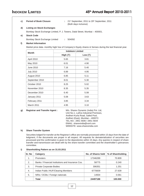- 
- **c)** Period of Book Closure : 21<sup>st</sup> September, 2011 to 29<sup>th</sup> September, 2011 (Both days inclusive)

### **d) Listing on Stock Exchanges**

Bombay Stock Exchange Limited, P. J. Towers, Dalal Street, Mumbai – 400001.

### **e) Stock Code**

Bombay Stock Exchange Limited **:** 504092

### **f) Market Information**

Market price data- monthly high/ low of Company's Equity shares & Sensex during the last financial year.

| <b>Month</b>     | <b>Indokem Limited</b> |                 |  |  |  |
|------------------|------------------------|-----------------|--|--|--|
|                  | High $(\bar{z})$       | Low $(\bar{z})$ |  |  |  |
| April 2010       | 5.65                   | 3.81            |  |  |  |
| May 2010         | 6.01                   | 4.90            |  |  |  |
| June 2010        | 7.16                   | 5.40            |  |  |  |
| <b>July 2010</b> | 6.89                   | 4.95            |  |  |  |
| August 2010      | 6.85                   | 5.11            |  |  |  |
| September 2010   | 8.01                   | 5.30            |  |  |  |
| October 2010     | 8.25                   | 5.02            |  |  |  |
| November 2010    | 8.35                   | 5.35            |  |  |  |
| December 2010    | 6.40                   | 5.08            |  |  |  |
| January 2011     | 5.08                   | 3.63            |  |  |  |
| February 2011    | 3.85                   | 3.34            |  |  |  |
| March 2011       | 4.95                   | 3.10            |  |  |  |

### **g) Registrar and Transfer Agent :** M/s. Sharex Dynamic (India) Pvt. Ltd,

Unit No.1, Luthra Industrial Premises, Andheri-Kurla Road, Safed Pool, Andheri (East), Mumbai – 400072. TEL.NO.: 2851 5606 / 2851 5644 EMAIL: sharexindia@vsnl.com WEBSITE: www.sharexindia.com

### **h) Share Transfer System**

Securities lodged for transfer at the Registrar's office are normally processed within 15 days from the date of lodgment, if the documents are proper in all respect. All requests for dematerialization of securities are processed and the confirmation is given to the depositories within 15 days. Any queries in respect of share transfer and transmission are dealt with by the share transfer committee and the shareholder's grievances committee.

### **i) Shareholding Pattern as on 31.03.2011**

| Sr. No                | Category                                          | No. of Shares held | % of Shareholding |
|-----------------------|---------------------------------------------------|--------------------|-------------------|
| 1.                    | <b>Promoters</b>                                  | 17346289           | 70.809            |
| $\mathcal{P}_{\cdot}$ | Banks / Financial Institutions and Insurance Cos. | 58775              | 0.240             |
| 3.                    | <b>Private Corporate Bodies</b>                   | 306351             | 1.251             |
| 4.                    | Indian Public /HUF/Clearing Members               | 6770839            | 27.639            |
| 5.                    | NRIs / OCBs / Foreign nationals                   | 14934              | 0.061             |
|                       | Total                                             | 24497188           | 100,000           |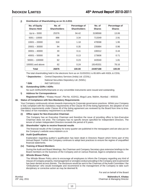**j) Distribution of Shareholding as on 31.3.2011**

| No. of Equity<br><b>Shares Held</b> | No. of<br><b>Shareholders</b> | Percentage of<br><b>Shareholders</b> | No. of<br><b>Shares</b> | Percentage of<br><b>Shares</b> |
|-------------------------------------|-------------------------------|--------------------------------------|-------------------------|--------------------------------|
| Up to $-5000$                       | 25376                         | 94.42                                | 3198568                 | 13.06                          |
| $5001 - 10000$                      | 898                           |                                      | 713349                  | 2.91                           |
| $10001 - 20000$                     | 318                           | 1.18                                 | 478598                  | 1.95                           |
| $20001 - 30000$                     | 94                            | 0.35                                 | 235884                  | 0.96                           |
| $30001 - 40000$                     | 30                            | 0.11                                 | 108312                  | 0.44                           |
| $40001 - 50000$                     | 36                            | 0.13                                 | 173606                  | 0.71                           |
| $50001 - 100000$                    | 62                            | 0.23                                 | 443540                  | 1.81                           |
| 100001 and above                    | 62                            | 0.24                                 | 19145331                | 78.16                          |
| Total                               | 26876                         | 100.00                               | 24497188                | 100.00                         |

The total shareholding held in the electronic form as on 31/03/2011 is 85.66% with NSDL & CDSL

\* **Depositories :** Central Depository Services (India) Ltd. (CDSL)

National Securities Depository Ltd. (NSDL)

**\* ISIN** : INE716FO1012

### **k) Outstanding GDRs / ADRs**

No such GDRs/ADRs/Warrants or any convertible instruments were issued and outstanding.

### **l) Address for Correspondence**

**Registered Office :** "Khatau House", Plot No. 410/411, Mogul Lane, Mahim, Mumbai – 400016.

### **16. Status of Compliance with Non-Mandatory Requirements**

Your Company continuously strives towards improving its Corporate governance practices. Whilst your Company is fully compliant with the mandatory requirements of the Clause 49 of the listing Agreement, the adoption of non mandatory requirements under Clause 49 of the listing agreement are reviewed by the Board from time to time. The status of non mandatory requirement is as follows:

### **(i) Office space for Non-Executive Chairman**

The Company has an Executive Chairman and therefore the issue of providing office to Non-Executive Chairman does not arise. The Company has no specific tenure specified for Independent Directors. The tenure of certain Independent Directors exceeds the period of 9 years.

### **(ii) Shareholder' rights to receive financial results**

The financial results of the Company for every quarter are published in the newspapers and are also put on the Company's website www.indokem.co.in

### **(iii) Audit Qualifications**

Explanation regarding auditor's qualification has been dealt in Directors Report which forms part of this Annual Report. Further the Company continues to adopt best practices to ensure the regime of unqualified financial statements.

### **(iv) Training of Board Members**

During the Audit and Board Meetings, the Chairman and Company Secretary give extensive briefings to the Board members on the business of the Company and on various financial, legal & compliance issues.

### **(v) Whistle Blower Policy**

The Whistle Blower Policy aims to encourage all employees to inform the Company regarding any kind of misuse of Company property, mismanagement or wrongful conduct prevailing in the Company and no personnel has been denied access thereto. The disclosure would be sent to the Chairman of the Audit Committee / the 'Ombudsman' who would investigate and recommend to the management of the Company to take such disciplinary or corrective action as may be deemed fit.

For and on behalf of the Board

Mumbai **Mahendra K. Khatau** Chairman & Managing Director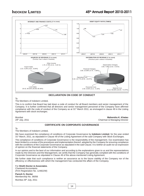

### **DECLARATION ON CODE OF CONDUCT**

To

### The Members of Indokem Limited,

This is to confirm that Board has laid down a code of conduct for all Board members and senior management of the Company. It is further confirmed that all directors and senior management personnel of the Company have affirmed compliance with the code of conduct of the Company as at 31<sup>st</sup> March 2011, as envisaged in clause 49 in the Listing Agreement with stock exchanges.

Mumbai **Mahendra K. Khatau** 29th July, 2011 **Chairman & Managing Director** Chairman & Managing Director

### **CERTIFICATE ON CORPORATE GOVERNANCE**

To

### The Members of Indokem Limited,

We have examined the compliance of conditions of Corporate Governance by **Indokem Limited**, for the year ended 31<sup>st</sup> March, 2011, as stipulated in Clause 49 of the Listing Agreement of the said Company with Stock Exchanges.

The compliance of conditions of Corporate Governance is the responsibility of the management. Our examination has been limited to a review of the procedures and implementation thereof, adopted by the Company for ensuring compliance with the conditions of the Corporate Governance as stipulated in the said Clause. It is neither an audit nor an expression of opinion on the financial statements of the Company.

In our opinion and to the best of our information and according to the explanations given to us and the representations made by the Directors and the Management, we certify that the Company has generally complied with the conditions of Corporate Governance as stipulated in Clause 49 of the above-mentioned Listing Agreement.

We further state that such compliance is neither an assurance as to the future viability of the Company nor of the efficiency or effectiveness with which the management has conducted the affairs of the Company.

### For **Sheth Doctor & Associates**.

Chartered Accountants (Firm Registration No. 124822W)

### **Paresh S. Doctor** Membership No. 36056 Mumbai 29<sup>th</sup> July, 2011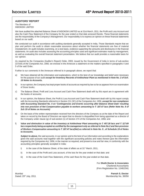### **AUDITORS' REPORT**

The Members of INDOKEM LIMITED

We have audited the attached Balance Sheet of INDOKEM LIMITED as at 31st March, 2011, the Profit and Loss Account and also the Cash Flow Statement of the Company for the year ended on that date annexed thereto. These financial statements are the responsibility of the Company's Management. Our responsibility is to express an opinion on these financial statements based on our audit.

We conducted our audit in accordance with auditing standards generally accepted in India. Those Standards require that we plan and perform the audit to obtain reasonable assurance about whether the financial statements are free of material misstatement. An audit includes examining, on a test basis, evidence supporting the amounts and disclosures in the financial statements. An audit also includes assessing the accounting principles used and significant estimates made by management, as well as evaluating the overall financial statement presentation. We believe that our audit provides a reasonable basis for our opinion.

As required by the Companies (Auditor's Report) Order, 2003, issued by the Government of India in terms of sub-section 227(4A) of the Companies Act, 1956, we enclose in the Annexure a statement on the matters specified in paragraphs 4 and 5 of the said Order.

Further to our comments in the Annexure referred to in paragraph above, we report that:

- a) We have obtained all the information and explanations, which to the best of our knowledge and belief were necessary for the purpose of our audit *except for Inventory Records of Ankleshwar Plant as mentioned in Note No. 2 of Sch. 19 Notes to Accounts.*
- b) In our opinion, the Company has kept proper books of accounts as required by law so far as appears from our examination of those books;
- c) The Balance Sheet, Profit and Loss Account and Cash Flow Statement dealt with by this report are in agreement with the books of accounts;
- d) In our opinion, the Balance Sheet, the Profit & Loss Account and Cash Flow Statement dealt with by this report comply with the Accounting Standards referred to in Section 211 (3C) of the Companies Act, 1956, *except for non compliance with Accounting Standard No. 4 on 'Contingencies and Events occurring after Balance Sheet Date' resulting* into non provision of Net Compensation payable to workers amounting to ₹ 187.47 lacs (Refer Note No. 9 of *Sch 19 of Notes on Accounts)*
- e) On the basis of the written representation received from the directors of the Company as at the date of the Report and taken on record by the Board of Directors we report that no director is disqualified from being appointed as a director of the Company under clause (g) of sub-section (1) of Section 274 of the Companies Act, 1956; and
- f) Value and diminution in value of the Inventory at Ankleshwar Plant amounting to  $\bar{\zeta}$  457.28 lacs and  $\bar{\zeta}$  117.69 *lacs respectively being accepted as certified by the management only as referred in Note No.2 and Non provision of Workers Compensation amounting to 187.47 lacs(Net) as referred in Note No. 9 , of Schedule 19 of Notes to Accounts.*

**Subject to above,** the said accounts, in our opinion and to the best of our information and according to the explanations given the said accounts read together with the significant accounting policies and notes thereon give the information required by the Companies Act, 1956, in the manner so required, and present a true and fair view, in conformity with the accounting principles generally accepted in India:

- i) In the case of the Balance Sheet, of the state of affairs as at  $31^{st}$  March, 2011,
- ii) In the case of the Profit and Loss account, of the loss for the year ended on that date; and
- iii) In the case of the Cash Flow Statement, of the cash flows for the year ended on that date.

For **Sheth Doctor & Associates** Chartered Accountants (Firm Registration No. 124822W)

Mumbai **Paresh S. Doctor** Dated: 29<sup>th</sup> July, 2011 **Membership No. 36056** and 2011 12:30 and 2012 12:30 and 2012 12:30 and 2013 12:30 and 2013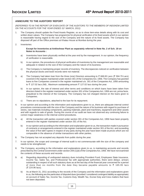### **ANNEXURE TO THE AUDITORS' REPORT**

*(REFERRED TO IN THE REPORT OF EVEN DATE OF THE AUDITORS TO THE MEMBERS OF INDOKEM LIMITED ON THE ACCOUNTS FOR THE YEAR ENDED 31st MARCH, 2011)*

- 1. The Company should update the Fixed Assets Register, so as to show item-wise details along with its cost and written down values. The Company has programme for physical verification of its fixed assets which in our opinion is reasonable having regard to the size of the Company and the nature of its fixed assets. The Company has disposed off part of the Office premises at Khatau House at Mumbai during the year.
- 2. Inventories:

### **Except for Inventories at Ankleshwar Plant as separately referred in Note No. 2 of Sch. 19 on Notes to Accounts :**

- a) Inventories have been physically verified at the year end by the management. In our opinion, the frequency of verification is reasonable.
- b) In our opinion, the procedures of physical verification of inventories by the management are reasonable and adequate in relation to the size of the Company and the nature of its business.
- c) The Company is maintaining proper records of inventory. The discrepancies noticed on verification between the physical stocks and book records were not material.
- 3. a) The Company had taken loan from the three (one) Directors amounting to  $\bar{\tau}$  668.83 Lacs ( $\bar{\tau}$  594.79 Lacs) covered in the register maintained under section 301 of the Companies Act, 1956. The Company has granted loans to five Companies covered in the register maintained u/s. 301 of the Companies Act, 1956 amounting to  $\bar{\tau}$  127.02 lacs (Nil), Maximum outstanding amount  $\bar{\tau}$  127.02 lacs during the year.
	- b) In our opinion, the rate of interest and other terms and conditions on which loans have been taken from directors listed in the register maintained under section 301 of the Companies Act, 1956 are not, prima facie, prejudicial to the interest of the Company. The Company has not charged interest on the loans given to Companies.
	- c) There are no stipulations, attached to the loan for its repayment.
- 4. In our opinion and according to the information and explanations given to us, there are adequate internal control procedures commensurate with the size of the Company and the nature of its business with regard to purchase of stores, raw materials including components, packing materials, plant and machinery, equipment and other assets and with regards to sale of goods. During the course of our audit we have not observed any continuing failure to correct major weakness in the internal control procedures.
- 5. a) All the transaction with parties covered under section 301 of the Companies Act, 1956 have been properly entered in the register maintained under section 301 of the Act.
	- b) In our opinion and according to the information and explanation given to us, the transaction made in pursuance of contracts or arrangements entered in the register maintained under section 301 of the Act, and exceeding the value of five lakh rupees in respect of any party during the year have been made at prices which are not comparable in the absence of similar transactions with other parties.
- 6. The Company has not accepted any deposits from public during the year.
- 7. In our opinion, the scope and coverage of internal audit is not commensurate with the size of the company and needs to be strengthened.
- 8. The Company, according to the information and explanations given to us, is maintaining accounts and records prescribed by the Central Government under section 209 (1)(d) of the Companies Act, 1956. We have not examined the contents of these accounts and records.
- 9. a) Regarding depositing of undisputed statutory dues including Provident Fund, Employees State Insurance, Income Tax, Sales Tax, and Professional Tax with appropriate authorities, there were delays. arrears outstanding in respect of all such statutory dues as at the last day of the financial year concerned for a period of more than six months from the date they became payable amounts to  $\bar{\tau}$  165.95 lacs  $($   $\bar{z}$  224.96 lacs).
	- b) As at March 31, 2011 according to the records of the Company and the information and explanations given to us, the following are the particulars of disputed dues (provided / considered contingent liability as appropriate) on account of Sales Tax, Income Tax, Customs Duty, Wealth Tax, Excise Duty and Cess matters that have not been deposited.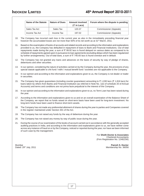| Name of the Statute | <b>Nature of Dues</b> | <b>Amount involved</b><br>$(\bar{z}$ in Lacs) | Forum where the dispute is pending |
|---------------------|-----------------------|-----------------------------------------------|------------------------------------|
| Sales Tax Act       | Sales Tax             | 120.37                                        | Commissioner (Appeals)             |
| Income Tax Act      | Income Tax            | 197.02                                        | Commissioner (Appeals)             |

- 10. The Company has incurred cash loss in the current year as also in the immediately preceding financial year however the accumulated losses are not more than 50% of its net worth as at 31<sup>st</sup> March, 2011.
- 11. Based on the examination of books of accounts and related records and according to the information and explanations provided to us, the Company has defaulted in repayment of dues to Bank and Financial Institutions. Out of total repayments made during the year, a sum of  $\bar{\tau}$  99.92 lacs is found delayed on various dates as compared to its schedule of repayments agreed upon in pursuance to loan agreements (excluding delays which has been regularized by further arrangements). Out of total dues, a sum of  $\bar{\tau}$  740.65 lacs is found overdue and in default.
- 12. The Company has not granted any loans and advances on the basis of security by way of pledge of shares, debentures and other securities.
- 13. In our opinion, considering the nature of activities carried on by the Company during the year, the provisions of any special statute applicable to chit fund / nidhi / mutual benefit fund / societies are not applicable to the Company.
- 14. In our opinion and according to the information and explanations given to us, the Company is not dealer or trader in securities.
- 15. The Company has given guarantees (including counter guarantees) amounting to ₹1,030 lacs (₹1,816 lacs) for loans taken by others from Banks and Financial Institution (as referred in Note No. 1(e) of schedule 20 of Annual Accounts) and terms and conditions are not prima facie prejudicial to the interest of the Company.
- 16. In our opinion and according to the information and explanations given to us, no Term Loan has been raised during the year.
- 17. According to the information and explanations given to us and on an overall examination of the Balance Sheet of the Company, we report that no funds raised on short-term basis have been used for long-term investment. No long-term funds have been used to finance short-term assets.
- 18. The Company has not made any preferential allotment of shares during the year to parties and Companies covered in the register maintained under Section 301 of the Act.
- 19. The Company has not raised any funds by the way of debenture during the year.
- 20. The Company has not raised any money by way of public issue during the year.
- 21. During the course of our examination of the books of account carried out in accordance with the generally accepted auditing practices in India, and according to the information and explanations given to us, we have neither come across any instance of fraud on or by the Company, noticed or reported during the year, nor have we been informed of such case by the management.

For **Sheth Doctor & Associates** Chartered Accountants (Firm Registration No. 124822W)

Mumbai **Paresh S. Doctor**<br>Dated: 29<sup>th</sup> July, 2011 **Paresh S. Doctor Paresh S. Doctor** Membership No. 36056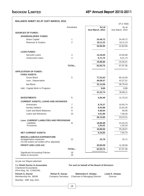### **BALANCE SHEET AS AT 31ST MARCH, 2011**

|                                                                                                                                 |                  |                                                    | (₹ in '000)                        |
|---------------------------------------------------------------------------------------------------------------------------------|------------------|----------------------------------------------------|------------------------------------|
|                                                                                                                                 | <b>Schedules</b> | As at                                              | As at                              |
| <b>SOURCES OF FUNDS:</b>                                                                                                        |                  | 31st March, 2011                                   | 31st March, 2010                   |
|                                                                                                                                 |                  |                                                    |                                    |
| <b>SHAREHOLDERS' FUNDS</b><br>Share Capital                                                                                     | 1                | 24,49,72                                           | 24,49,72                           |
| Reserves & Surplus                                                                                                              | $\overline{2}$   | 18,11,23                                           | 18, 11, 23                         |
|                                                                                                                                 |                  |                                                    |                                    |
|                                                                                                                                 |                  | 42,60,95                                           | 42,60,95                           |
| <b>LOAN FUNDS:</b>                                                                                                              |                  |                                                    |                                    |
| Secured Loans                                                                                                                   | 3                | 13,18,05                                           | 15,94,68                           |
| <b>Unsecured Loans</b>                                                                                                          | 4                | 6,71,75                                            | 9,41,73                            |
|                                                                                                                                 |                  | 19,89,80                                           | 25,36,41                           |
|                                                                                                                                 | <b>TOTAL:</b>    | 62,50,75                                           | 67,97,36                           |
| <b>APPLICATION OF FUNDS:</b><br><b>FIXED ASSETS</b>                                                                             |                  |                                                    |                                    |
| <b>Gross Block</b>                                                                                                              | 5                | 77,22,63                                           | 80,16,93                           |
| Less : Depreciation                                                                                                             |                  | 46,08,57                                           | 43,37,51                           |
| <b>Net Block</b>                                                                                                                |                  | 31,14,06                                           | 36,79,43                           |
| Add: Capital Work in Progress                                                                                                   |                  | 8,68                                               | 8,68                               |
|                                                                                                                                 |                  | 31,22,74                                           | 36,88,11                           |
|                                                                                                                                 |                  |                                                    |                                    |
| <b>INVESTMENTS</b>                                                                                                              | $\,6$            | 4,00,49                                            | 11,70,22                           |
| <b>CURRENT ASSETS, LOANS AND ADVANCES</b>                                                                                       |                  |                                                    |                                    |
| Inventories                                                                                                                     | $\overline{7}$   | 8,70,27                                            | 10,00,74                           |
| <b>Sundry Debtors</b>                                                                                                           | 8                | 8,44,88                                            | 15,63,35                           |
| Cash and Bank Balances                                                                                                          | 9                | 4,46,64                                            | 50,95                              |
| Loans and Advances                                                                                                              | 10               | 4,51,86                                            | 7,08,26                            |
| <b>Less: CURRENT LIABILITIES AND PROVISIONS</b>                                                                                 |                  | 26,13,65                                           | 33,23,31                           |
| Liabilities                                                                                                                     | 11               | 18,86,98                                           | 24,25,23                           |
| Provisions                                                                                                                      |                  | 1,02,02                                            | 1,03,34                            |
|                                                                                                                                 |                  | 19,89,00                                           | 25,28,57                           |
| <b>NET CURRENT ASSETS</b>                                                                                                       |                  | 6,24,65                                            | 7,94,74                            |
| <b>MISCELLANEOUS EXPENDITURE</b>                                                                                                |                  |                                                    |                                    |
| Amalgamation expenses<br>(To the extent not written off or adjusted)                                                            | 12               | 22,78                                              | 15,71                              |
| PROFIT AND LOSS A/C                                                                                                             |                  | 20,80,09                                           | 11,28,58                           |
|                                                                                                                                 | <b>TOTAL:</b>    | 62,50,75                                           | 67,97,36                           |
| <b>Significant Accounting Policies</b>                                                                                          | 18               |                                                    |                                    |
| Notes to Accounts                                                                                                               | 19               |                                                    |                                    |
| As per our Report attached                                                                                                      |                  |                                                    |                                    |
| For Sheth Doctor & Associates<br><b>Chartered Accountants</b><br>(Firm Reg. No. 124822W)                                        |                  | For and on behalf of the Board of Directors        |                                    |
| <b>Paresh S. Doctor</b><br><b>Rohan R. Gavas</b><br>Membership No. 36056<br><b>Company Secretary</b><br>Mumbai: 29th July, 2011 |                  | Mahendra K. Khatau<br>Chairman & Managing Director | Leela K. Khatau<br><b>Director</b> |
|                                                                                                                                 |                  |                                                    |                                    |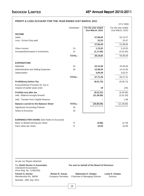Mumbai : 29th July, 2011

### **PROFIT & LOSS ACCOUNT FOR THE YEAR ENDED 31ST MARCH, 2011**

|                                                                 |                       |                  |                                             | (₹ in '000)                            |  |
|-----------------------------------------------------------------|-----------------------|------------------|---------------------------------------------|----------------------------------------|--|
|                                                                 |                       | <b>Schedules</b> | For the year ended<br>31st March, 2011      | For the year ended<br>31st March, 2010 |  |
| <b>INCOME</b>                                                   |                       |                  |                                             |                                        |  |
| Sales                                                           |                       |                  | 27,89,82                                    | 52,13,37                               |  |
| Less: Excise Duty paid                                          |                       |                  | 23,33                                       | 23,47                                  |  |
|                                                                 |                       |                  | 27,66,49                                    | 51,89,90                               |  |
| Other Income                                                    |                       | 13               | 1,70,22                                     | 3,10,53                                |  |
| Increase/(Decrease) in Inventories                              |                       | 14               | (1, 17, 06)                                 | (4,01,84)                              |  |
|                                                                 |                       | <b>TOTAL:</b>    | 28,19,65                                    | 50,98,59                               |  |
| <b>EXPENDITURE</b>                                              |                       |                  |                                             |                                        |  |
| <b>Materials</b>                                                |                       | 15               | 22,12,56                                    | 42,83,64                               |  |
| Administrative and Selling Expenses                             |                       | 16               | 12,58,30                                    | 14,41,60                               |  |
| Depreciation                                                    |                       |                  | 3,00,49                                     | 3,02,07                                |  |
|                                                                 |                       | <b>TOTAL:</b>    | 37,71,35                                    | 60,27,31                               |  |
| Profit/(loss) before Tax<br>Excess/(Short) Provision for Tax in |                       |                  | (9, 51, 70)                                 | (9, 28, 72)                            |  |
| respect of earlier years (net)                                  |                       |                  | 19                                          | (25)                                   |  |
| Profit/(Loss) after tax<br>Add: Balance brought forward         |                       |                  | (9, 51, 51)<br>(11, 28, 58)                 | (9, 28, 96)<br>(2,01,30)               |  |
| Add: Transfer from Capital Reserve                              |                       |                  |                                             | 1,68                                   |  |
| <b>Balance carried to the Balance Sheet</b>                     |                       | <b>TOTAL:</b>    | (20, 80, 09)                                | (11, 28, 58)                           |  |
| <b>Significant Accounting Policies</b>                          |                       | 18               |                                             |                                        |  |
| Notes to Accounts                                               |                       | 19               |                                             |                                        |  |
| <b>EARNINGS PER SHARE (See Notes to Accounts)</b>               |                       |                  |                                             |                                        |  |
| Basic & diluted earning per share                               |                       | ₹                | (3.88)                                      | (3.79)                                 |  |
| Face value per share                                            |                       | ₹                | 10.00                                       | 10.00                                  |  |
|                                                                 |                       |                  |                                             |                                        |  |
| As per our Report attached<br>For Sheth Doctor & Associates     |                       |                  | For and on behalf of the Board of Directors |                                        |  |
| <b>Chartered Accountants</b><br>(Firm Reg. No. 124822W)         |                       |                  |                                             |                                        |  |
| <b>Paresh S. Doctor</b>                                         | <b>Rohan R. Gavas</b> |                  | <b>Mahendra K. Khatau</b>                   | Leela K. Khatau                        |  |

Membership No. 36056 Company Secretary Chairman & Managing Director Director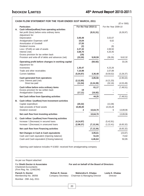|    | CASH FLOW STATEMENT FOR THE YEAR ENDED 31ST MARCH, 2011                                                                                                                                                                                           |                                                                            |                             |                                                          | (₹ in '000)                |
|----|---------------------------------------------------------------------------------------------------------------------------------------------------------------------------------------------------------------------------------------------------|----------------------------------------------------------------------------|-----------------------------|----------------------------------------------------------|----------------------------|
|    | <b>Particulars</b>                                                                                                                                                                                                                                | For the Year 2010-11                                                       |                             | For the Year 2009-10                                     |                            |
|    | A. Cash inflow/(outflow) from operating activities<br>Net profit /(loss) before extra ordinary items<br>Adjustment for:                                                                                                                           |                                                                            | (9,51,51)                   |                                                          | (9, 28, 97)                |
|    | Depreciation<br>Amalgamation Expenses w/off<br>Amortization of Goodwill<br>Dividend income<br>Loss / (Profit) on sale of assets<br>Interest (net)<br>Excess provision for tax written back<br>Provision and write-off of debts and advances (net) | 3,00,49<br>10,04<br>27,55<br>(2)<br>2,27,32<br>3,68,70<br>(19)<br>(33, 30) | 9,00,59                     | 3,02,07<br>6,62<br>(6)<br>2,69,50<br>4,20,45<br>(36, 26) | 9,62,32                    |
|    | Operating profit before changes in working capital<br>Adjustment for:<br>Inventories<br>Trade and other receivables                                                                                                                               | 1,30,47<br>7,10,98                                                         | (50, 92)                    | 4,23,26<br>2,07,89                                       | 33,35                      |
|    | <b>Current liabilities</b>                                                                                                                                                                                                                        | (5,04,97)                                                                  | 3,36,48                     | (9, 59, 52)                                              | (3, 28, 37)                |
|    | Cash generated from operations<br>Less: Interest paid (net)<br>Direct tax paid                                                                                                                                                                    | (2, 12, 85)<br>(11, 54)                                                    | 2,85,56<br>(2, 24, 39)      | (4, 21, 33)<br>(32, 16)                                  | (2,95,02)<br>(4, 53, 49)   |
|    | Cash inflow before extra ordinary items<br>Excess provision for tax written back<br><b>Amalgamation Expenses</b>                                                                                                                                  | 19<br>(17, 11)                                                             | 61,17<br>(16, 92)           |                                                          | (7, 48, 51)                |
|    | Net Cash inflow from Operating activities                                                                                                                                                                                                         |                                                                            | 44,25                       |                                                          | (7, 48, 51)                |
| В. | Cash inflow / (outflow) from Investment activities<br>Capital expenditure<br>Sale proceeds of fixed assets<br>Dividend received                                                                                                                   | (20, 32)<br>10,85,00<br>2                                                  | 10,64,70                    | (13, 38)<br>14,03,28<br>6                                | 13,89,96                   |
|    | Net cash flow from Investing activities                                                                                                                                                                                                           |                                                                            | 10,64,70                    |                                                          | 13,89,96                   |
|    | C. Cash inflow / (outflow) from Financing activities<br>Increase / (Decrease) in secured loans<br>Increase / (Decrease) in unsecured loans                                                                                                        | (4, 14, 97)<br>(2,98,37)                                                   | (7, 13, 34)                 | (5, 42, 91)<br>(1, 22, 41)                               | (6,65,32)                  |
|    | Net cash flow from Financing activities                                                                                                                                                                                                           |                                                                            | (7, 13, 34)                 |                                                          | (6,65,32)                  |
|    | Net Changes in Cash & Cash equivalents<br>Cash and Cash equivalent (Opening balance)<br>Cash and Cash equivalent (Closing balance)                                                                                                                |                                                                            | 3,95,61<br>51,03<br>4,46,64 |                                                          | (23, 87)<br>74,82<br>50,95 |

Opening cash balance includes  $\bar{\tau}$  8,565/- received from amalgamating company

| As per our Report attached                                                               |                                            |                                                    |                             |
|------------------------------------------------------------------------------------------|--------------------------------------------|----------------------------------------------------|-----------------------------|
| For Sheth Doctor & Associates<br><b>Chartered Accountants</b><br>(Firm Reg. No. 124822W) |                                            | For and on behalf of the Board of Directors        |                             |
| Paresh S. Doctor<br>Membership No. 36056<br>Mumbai: 29th July, 2011                      | <b>Rohan R. Gavas</b><br>Company Secretary | Mahendra K. Khatau<br>Chairman & Managing Director | Leela K. Khatau<br>Director |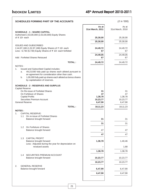| <b>SCHEDULES FORMING PART OF THE ACCOUNTS</b>                                                                                                                                                                                                                                     |                           | (₹ in '000)               |
|-----------------------------------------------------------------------------------------------------------------------------------------------------------------------------------------------------------------------------------------------------------------------------------|---------------------------|---------------------------|
| <b>SCHEDULE - 1 : SHARE CAPITAL</b>                                                                                                                                                                                                                                               | As at<br>31st March, 2011 | As at<br>31st March, 2010 |
| Authorised 2,53,00,000 (2,53,00,000) Equity Shares<br>of ₹ 10/- each                                                                                                                                                                                                              | 25,30,00                  | 25,30,00                  |
| <b>ISSUED AND SUBSCRIBED</b>                                                                                                                                                                                                                                                      | 25,30,00                  | 25,30,00                  |
| 2,44,97,188 (1,52,97,188) Equity Shares of ₹ 10/- each<br>Less: 6,730 (6,730) Equity Shares of ₹ 10/- each forfeited                                                                                                                                                              | 24,49,72<br>67            | 24,49,72<br>67            |
| Add: Forfeited Shares Reissued                                                                                                                                                                                                                                                    | 24,49,05<br>67            | 24,49,05<br>67            |
| <b>TOTAL:</b>                                                                                                                                                                                                                                                                     | 24,49,72                  | 24,49,72                  |
| NOTES:<br>1.<br>Issued and Subscribed Capital includes:<br>49,23,930 fully paid up shares each alloted pursuant to<br>a.<br>an agreement for consideration other than cash.<br>1,00,000 fully paid up shares each alloted as bonus shares<br>b.<br>by capitalisation of reserves. |                           |                           |
| <b>SCHEDULE - 2 : RESERVES AND SURPLUS</b><br><b>Capital Reserve</b>                                                                                                                                                                                                              |                           |                           |
| On Re-issue of Forfeited Shares<br>On Forfeiture of Shares<br><b>Capital Profits</b>                                                                                                                                                                                              | 31<br>47<br>1,38,78       | 31<br>47<br>1,38,78       |
| Securities Premium Account<br><b>General Reserve</b>                                                                                                                                                                                                                              | 10,23,77<br>6,47,90       | 10,23,77<br>6,47,90       |
| <b>TOTAL:</b>                                                                                                                                                                                                                                                                     | 18, 11, 23                | 18, 11, 23                |
| <b>NOTES:</b><br><b>CAPITAL RESERVE:</b><br>1.<br>On re-issue of Forfeited Shares                                                                                                                                                                                                 |                           |                           |
| 1.1<br>Balance brought forward                                                                                                                                                                                                                                                    | 31                        | 31                        |
|                                                                                                                                                                                                                                                                                   | 31                        | 31                        |
| On Forfeiture of Shares<br>1.2<br>Balance brought forward                                                                                                                                                                                                                         | 47                        | 47                        |
|                                                                                                                                                                                                                                                                                   | 47                        | 47                        |
| 1.3<br><b>CAPITAL PROFIT</b><br>Balance brought forward<br>Less: Adjusted during the year for depreciation on<br>revalued assets                                                                                                                                                  | 1,38,78                   | 1,40,46<br>1,68           |
|                                                                                                                                                                                                                                                                                   | 1,38,78                   | 1,38,78                   |
| SECURITIES PREMIUM ACCOUNT<br>1.4<br>Balance brought forward                                                                                                                                                                                                                      | 10,23,77                  | 10,23,77                  |
|                                                                                                                                                                                                                                                                                   | 10,23,77                  | 10,23,77                  |
| 2.<br><b>GENERAL RESERVE</b><br>Balance brought forward                                                                                                                                                                                                                           | 6,47,90                   | 6,47,90                   |
|                                                                                                                                                                                                                                                                                   | 6,47,90                   | 6,47,90                   |
|                                                                                                                                                                                                                                                                                   |                           |                           |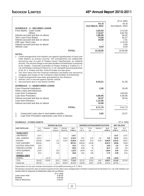| <b>SCHEDULE - 3 : SECURED LOANS</b><br>From Banks - Cash Credit<br>- Others<br>Interest accrued and due on above<br><b>Term Loan From Banks</b><br>Interest accrued and due on above<br>IOB Liqui. Rent Loan<br>Interest acrrued and due on above<br>Vehicle Loan                                                                                                                                                                                                                                                                                                                                                                                                                                                                                                                                                                                                                 | As at<br>31st March, 2011<br>3,20,03<br>7,10,57<br>1,86,06<br>73,26<br>19,59<br>8,54 | $(3 \t{cm} 1000)$<br>As at<br>31st March, 2010<br>3,72,04<br>8,87,55<br>56,42<br>91,57<br>7,41<br>1,70,20<br>3,46<br>6,03 |
|-----------------------------------------------------------------------------------------------------------------------------------------------------------------------------------------------------------------------------------------------------------------------------------------------------------------------------------------------------------------------------------------------------------------------------------------------------------------------------------------------------------------------------------------------------------------------------------------------------------------------------------------------------------------------------------------------------------------------------------------------------------------------------------------------------------------------------------------------------------------------------------|--------------------------------------------------------------------------------------|---------------------------------------------------------------------------------------------------------------------------|
| <b>TOTAL:</b>                                                                                                                                                                                                                                                                                                                                                                                                                                                                                                                                                                                                                                                                                                                                                                                                                                                                     | 13,18,05                                                                             | 15,94,68                                                                                                                  |
| <b>NOTES:</b><br>1. Credit arrangements from bankers are against hypothecation of stock and<br>trade debtors as primary security. The arrangements are additionally<br>secured by way of a part of "Khatau House" hypothecated, as collateral<br>security. The second charge on the plant facilities at Ankleshwar is proposed<br>to be created., Corporate Guarantee of Khatau Holding & Trading Co. P.<br>Ltd. and Khatau Leasing & Finance Co. P. Ltd. alongwith personal guarantee<br>of Mr. M. K. Khatau and Mrs. Asha M Khatau are also given<br>2. The Term loans from the Financial Institutions and Banks are secured by<br>mortgage and charge on the Company's plant facilities at Ankleshwar.<br>3. Credit arrangements have been guaranteed by two Directors.<br>4. Vehicle Loan is secured against specific vehicle.<br>5. Secured loans due in next twelve months: | 6,43,51                                                                              | 51,58                                                                                                                     |
| <b>SCHEDULE - 4 : UNSECURED LOANS</b><br><b>From Financial Institutions</b>                                                                                                                                                                                                                                                                                                                                                                                                                                                                                                                                                                                                                                                                                                                                                                                                       | 2,92                                                                                 | 18,49                                                                                                                     |
| Other Loans and Advances:<br>Loan from Companies<br>Loan from Promoters<br>Interest accrued and due on above<br>Loan from Directors<br>Interest accrued and due on above<br><b>TOTAL:</b>                                                                                                                                                                                                                                                                                                                                                                                                                                                                                                                                                                                                                                                                                         | 4,90,95<br>35,37<br>1,31,95<br>10,56<br>6,71,75                                      | 3,00,00<br>5,94,80<br>28,44<br>9,41,73                                                                                    |
| Unsecured Loans due in next twelve months :<br>1.<br>2.<br>Loan from Promoters represents Loan from a Director                                                                                                                                                                                                                                                                                                                                                                                                                                                                                                                                                                                                                                                                                                                                                                    | 2,82                                                                                 | 15,57                                                                                                                     |

### **SCHEDULE - 5 FIXED ASSETS** (₹ in '000)

|                                 |          |             | <b>GROSS BLOCK</b> |             |           |          |         | DEPRECIATION/AMORTIZATION |           | <b>NET BLOCK</b> |           |
|---------------------------------|----------|-------------|--------------------|-------------|-----------|----------|---------|---------------------------|-----------|------------------|-----------|
| <b>ASSET PARTICULARS</b>        | As at    | Revaluation | Addition           | Deduction/  | As at     | As at    | For the | Adjustment                | As at     | As at            | As At     |
|                                 | 1-Apr-10 |             | during year        | Adiustments | 31-Mar-11 | 1-Apr-10 | year    |                           | 31-Mar-11 | 31-Mar-11        | 31-Mar-10 |
| <b>TANGIBLE ASSETS</b>          |          |             |                    |             |           |          |         |                           |           |                  |           |
| LAND-FREEHOLD                   | 1,26,37  | -           | -                  | -           | 1,26,37   |          | -       | -                         | -         | 1,26,37          | 1,26,37   |
| LAND - LEASEHOLD                | 18,65,14 |             | -                  | 8,46,10     | 10,19,04  | 65,01    | 11,19   | 3.61                      | 72,59     | 9,46,45          | 1,80,14   |
| <b>BUILDINGS</b>                | 19,33,56 | 9,16,90     | 1,01               | 5,23,21     | 23,28,26  | 9,85,29  | 76,14   | 53,38                     | 10,08,05  | 13,20,22         | 9,48,27   |
| PLANT & MACHINERY               | 38,50,45 | -           | 7,16               | -           | 38,57,61  | 30,90,36 | 2,03,38 | -                         | 32,93,74  | 5,63,86          | 7,60,09   |
| ELECTRICAL INSTALLATION         | 16,24    |             | -                  | -           | 16,24     | 14,16    | 66      | -                         | 14,82     | 1,42             | 2,08      |
| <b>FURNITURE &amp; FIXTURES</b> | 69,30    |             | -                  | -           | 69,30     | 64,39    | 78      | -                         | 65,17     | 4,13             | 4,91      |
| OFFICE EQUIPMENTS               | 1,19,75  | -           | 2,60               | -           | 1,22,35   | 1,04,69  | 4,25    | -                         | 1,08,94   | 13,40            | 15,06     |
| <b>VEHICLES</b>                 | 36,12    | -           | 9,56               | -           | 45,68     | 13,61    | 4,08    | -                         | 17,70     | 27,98            | 22,51     |
| <b>INTANGIBLE ASSETS</b>        |          |             |                    |             |           |          |         |                           |           |                  |           |
| <b>GOODWILL</b>                 | -        | 1,37,78     | -                  | -           | 1,37,78   | -        | 27,56   | -                         | 27.56     | 1,10,22          |           |
| TOTAL:                          | 80,16,93 | 10,54,68    | 20,32              | 13,69,31    | 77,22,63  | 43,37,51 | 3,28,05 | 56,99                     | 46,08,57  | 31,14,06         | 36,79,43  |
| Previous Year                   | 99,37,36 |             | 10,31              | 19,30,73    | 80,16,93  | 42,93,39 | 3,02,07 | 2,57,96                   | 43,37,51  | 36,79,43         |           |

Depreciation for the year includes Amortization of Goodwilll amounting to  $\bar{z}$  2,756 K

Revaluation represents value of assets acquired at Fair Value upon amalgamation of Radio Components &Transistors Co. Ltd. with Indokem Ltd Assets held for disposal at Ankleshwar plant are as follows:

|                   | (₹ in '000) |
|-------------------|-------------|
| Land Lease Hold   | 9.46.45     |
| Buildina          | 6.95.86     |
| Plant & Machinery | 5.43.57     |
|                   |             |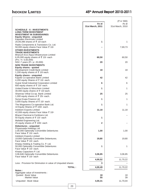|                                                                                                            |                  | $(3 \tanh 600)$  |
|------------------------------------------------------------------------------------------------------------|------------------|------------------|
|                                                                                                            | As at            | As at            |
| <b>SCHEDULE - 6 : INVESTMENTS</b>                                                                          | 31st March, 2011 | 31st March, 2010 |
| <b>LONG TERM INVESTMENT</b>                                                                                |                  |                  |
| <b>INVESTMENT IN SUBSIDIARIES</b><br><b>Equity Shares - unquoted</b>                                       |                  |                  |
| Kapsales Electricals Limited                                                                               |                  |                  |
| 20,09,396 shares of ₹ 10/ each                                                                             | 1                | 1                |
| Radio Components & Transistors Co. Ltd.<br>50,000 equity shares Face Value ₹ 10/-                          |                  | 7,69,73          |
| <b>OTHER INVESTMENTS</b>                                                                                   |                  |                  |
| <b>TRADE INVESTMENTS</b><br>Bharuch Eco-Aqua Infrastructure Limited                                        |                  |                  |
| 6,05,000 equity shares of ₹ 10/- each                                                                      | 60,50            | 60,50            |
| (Prv. Yr. 5,50,000)<br>NSC-7 years (Pr. yr. 20,000)                                                        | 20               | 20               |
| <b>NON TRADE INVESTMENTS</b>                                                                               |                  |                  |
| Equity shares - quoted<br>Development Credit Bank Limited                                                  | 18               | 18               |
| 1,200 equity shares of ₹ 10/ each.                                                                         |                  |                  |
| <b>Equity shares - unquoted</b>                                                                            | 42               | 42               |
| Kapole Co-operative Bank Limited<br>4,200 equity Shares of ₹ 10/- each.                                    |                  |                  |
| Gujrat Small Industrial Corporation Limited<br>600 equity shares of $\bar{z}$ 10/- each.                   | 6                | 6                |
| United Easter & Nitrochem Limited<br>30,000 equity shares of ₹ 10/ each.                                   | 1                | 1                |
| Shamrao Vithal Co-op. Bank Limited<br>1,000 equity shares of $\overline{\xi}$ 25/- each.                   | 25               | 25               |
| Surya Krupa Finance Ltd.<br>3,000 Equity Shares of ₹ 10/- each.                                            | 1                | 1                |
| The Mogaveera Co-operative Bank Ltd.<br>10 Equity Shares of ₹ 100/- each.                                  | 1                | 1                |
| Indokem Exports Limited<br>42,006 equity shares Face Value ₹ 10/-                                          | 11,18            | 11,18            |
| Bharat Chemical & Fertilizers Ltd.                                                                         |                  |                  |
| 50 Equity shares of ₹ 10/- each                                                                            | 1                |                  |
| Mafatlal Engineering Ltd.<br>25 equity shares of ₹ 100/- each                                              | $\overline{2}$   |                  |
| Debentures - unquoted<br>Priyamvada Holdings Ltd.                                                          |                  |                  |
| 2,00,000 Optionally Convertible Debentures                                                                 | 1,00             | 1,00             |
| Face Value $\bar{\tau}$ 10/- each.                                                                         |                  |                  |
| Indokem Exports Limited<br>19,800 Optionally Convertible Debentures.<br>Face Value $\bar{\tau}$ 10/- each. | 19,80            | 19,80            |
| Khatau Holding & Trading Co. P. Ltd.                                                                       |                  |                  |
| 50,000 Optionally Convertible Debentures<br>Face Value ₹ 10/- each.                                        | 1                | 1                |
| Khatau Capacitors P. Ltd.                                                                                  |                  |                  |
| 3,06,846 Optionally Convertible Debentures<br>Face Value ₹ 10/- each                                       | 3,06,85          | 3,06,85          |
|                                                                                                            | 4,00,52          | 11,70,22         |
| Less: Provision for Diminution in value of Unquoted shares                                                 | 3                |                  |
| <b>TOTAL:</b>                                                                                              | 4,00,49          | 11,70,22         |
| Notes:<br>Aggregate value of Investments :                                                                 |                  |                  |
| Quoted: Book Value<br>: Market Value                                                                       | 18<br>55         | 18<br>39         |
| Unquoted: Book Value                                                                                       | 4,00,31          | 11,70,04         |
|                                                                                                            |                  |                  |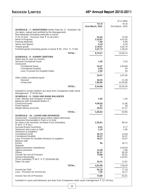|                                                                                                                                                                           |                  | $(\bar{z}$ in '000) |
|---------------------------------------------------------------------------------------------------------------------------------------------------------------------------|------------------|---------------------|
|                                                                                                                                                                           | As at            | As at               |
|                                                                                                                                                                           | 31st March, 2011 | 31st March, 2010    |
| <b>SCHEDULE - 7 : INVENTORIES</b> (Refer Note No. 8 - Schedule 18)<br>(As taken, valued and certified by the Management)<br>Raw Materials (including materials in transit |                  |                     |
| ₹ 34,70,310/-: Previous Year ₹ 12,46,140/-)                                                                                                                               | 61,02            | 75,36               |
| Work-in-Progress<br><b>Packing Materials</b>                                                                                                                              | 3,10,87          | 4,01,02             |
| <b>Stores and Spares</b>                                                                                                                                                  | 7,89<br>6,19     | 6,96<br>6,19        |
| Traded goods                                                                                                                                                              | 3,76,57          | 3,62,75             |
| Finished goods (including goods in transit ₹ Nil : Prev. Yr. ₹ Nil)                                                                                                       | 1,07,73          | 1,48,45             |
| <b>TOTAL:</b>                                                                                                                                                             | 8,70,27          | 10,00,74            |
| <b>SCHEDULE - 8 : SUNDRY DEBTORS</b>                                                                                                                                      |                  |                     |
| Debts due for over six months:<br><b>Secured Considered Good</b>                                                                                                          | 1,50             | 2,32                |
| Unsecured                                                                                                                                                                 |                  |                     |
| <b>Considered Good</b><br><b>Considered Doubtful</b>                                                                                                                      | 23,07<br>2,05    | 2,84,68<br>54       |
| Less: Provision for Doubtful Debts                                                                                                                                        | 2,05             | 54                  |
|                                                                                                                                                                           |                  | 2,87,00             |
| Other Debts considered good                                                                                                                                               | 24,57            |                     |
| Secured                                                                                                                                                                   | 29,45            | 21,39               |
| Unsecured                                                                                                                                                                 | 7,90,86          | 12,54,95            |
| <b>TOTAL:</b>                                                                                                                                                             | 8,44,88          | 15,63,35            |
| Included in Sundry Debtors are dues from Companies under same<br>Management - $\bar{\tau}$ 43.65 lacs                                                                     |                  |                     |
| <b>SCHEDULE - 9 : CASH AND BANK BALANCES</b>                                                                                                                              |                  |                     |
| Cash, Stamps and Cheques on hand<br>Balances with Scheduled Banks in:                                                                                                     | 1,82             | 1,45                |
| <b>Current Accounts</b>                                                                                                                                                   | 4,09,50          | 11,95               |
| <b>Fixed Deposit</b><br>Margin Money Accounts                                                                                                                             | 31<br>35,01      | 28<br>37,27         |
| <b>TOTAL:</b>                                                                                                                                                             |                  |                     |
|                                                                                                                                                                           | 4,46,64          | 50,95               |
| <b>SCHEDULE - 10 : LOANS AND ADVANCES</b><br>(Unsecured - Considered good unless stated otherwise)<br>Advances Recoverable in Cash or in Kind                             |                  |                     |
| for value to be received: (includes From Subsidiary<br>₹ Nil P. Yr ₹ Nil)                                                                                                 | 2,35,81          | 85,42               |
| <b>Accrued Export Incentives</b>                                                                                                                                          | 6,01             | 5,77                |
| Advances and Loans to Staff<br><b>Advances to Suppliers</b>                                                                                                               | 1,10             | 1,85                |
| <b>Considered Good</b>                                                                                                                                                    | 20,70            | 14,50               |
| <b>Considered Doubtful</b><br>Less: Provision for Doubtful Advance to suppliers                                                                                           | 16,37<br>16,37   | 16,37<br>16,37      |
| Balance with<br>Excise                                                                                                                                                    | 95               | 26,71               |
| Deposits<br><b>Against premises Subsidiaries</b>                                                                                                                          |                  | 3,00,00             |
| Against premises                                                                                                                                                          | 11,58            | 1,68                |
| <b>Others</b><br>Income-Tax-net of Provision                                                                                                                              | 91,37<br>73,88   | 95,20<br>62,01      |
| Interest Receivable                                                                                                                                                       | 5                | 1,02,52             |
| (From subsidiary ₹ Nil P. Yr ₹ 10244284.96)<br>Sales Tax paid                                                                                                             | 10,41            | 12,61               |
| <b>TOTAL:</b>                                                                                                                                                             |                  |                     |
|                                                                                                                                                                           | 4,51,86          | 7,08,26             |
| Income-tax Paid<br>Less: Provision for Income-tax                                                                                                                         | 81,33<br>7,45    | 77,18<br>15,17      |
|                                                                                                                                                                           |                  |                     |
| Income-Tax-net of Provision                                                                                                                                               | 73,88            | 62,01               |
| Included in Loans and Advances are dues from Companies under same management ₹ 217.03 lacs                                                                                |                  |                     |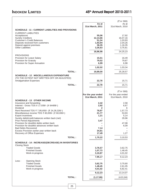|                          |                                                                                                |               |                    | (₹ in '000)        |
|--------------------------|------------------------------------------------------------------------------------------------|---------------|--------------------|--------------------|
|                          |                                                                                                |               | As at              | As at              |
|                          |                                                                                                |               | 31st March, 2011   | 31st March, 2010   |
|                          | <b>SCHEDULE - 11: CURRENT LIABILITIES AND PROVISIONS</b>                                       |               |                    |                    |
| Acceptances              | <b>CURRENT LIABILITIES</b>                                                                     |               | 55,06              | 17,92              |
| <b>Sundry Creditors</b>  |                                                                                                |               | 12,14,66           | 16,07,16           |
|                          | <b>Customer's Credit Balances</b>                                                              |               | 51,34              | 1,03,93            |
|                          | Deposits received from customers                                                               |               | 1,93,94            | 2,04,26            |
| <b>Other Liabilities</b> | Deposit against premises                                                                       |               | 36,35<br>3,35,63   | 1,16,35<br>3,75,61 |
|                          |                                                                                                |               | 18,86,98           | 24,25,23           |
| <b>PROVISIONS</b>        |                                                                                                |               |                    |                    |
|                          | Provision for Leave Salary                                                                     |               | 15,51              | 16,49              |
|                          | <b>Provision for Gratuity</b>                                                                  |               | 79,52              | 79,87              |
|                          | Provision for Super Annuation                                                                  |               | 6,99               | 6,98               |
|                          |                                                                                                |               | 1,02,02            | 1,03,34            |
|                          |                                                                                                | <b>TOTAL:</b> | 19,89,00           | 25,28,57           |
|                          |                                                                                                |               |                    |                    |
|                          | <b>SCHEDULE - 12: MISCELLANEOUS EXPENDITURE</b><br>(TO THE EXTENT NOT WRITTEN OFF OR ADJUSTED) |               |                    |                    |
|                          | <b>Amalgamation Expenses</b>                                                                   |               | 22,78              | 15,71              |
|                          |                                                                                                | <b>TOTAL:</b> | 22,78              | 15,71              |
|                          |                                                                                                |               |                    |                    |
|                          |                                                                                                |               |                    | $(3 \tanh 600)$    |
|                          |                                                                                                |               | For the year ended | For the year ended |
|                          |                                                                                                |               | 31st March, 2011   | 31st March, 2010   |
|                          | <b>SCHEDULE - 13 : OTHER INCOME</b><br>Insurance and forwarding                                |               | 2,42               | 2,58               |
|                          | Interest - Gross TDS ₹ 17,939/- (₹ 64489/-)                                                    |               | 2,92               | 6,67               |
| Dividend                 |                                                                                                |               | $\mathbf{2}$       | 6                  |
|                          | Rent Received TDS ₹ 7,95,655/- (₹ 24,28,326/-)                                                 |               | 78,97              | 1,57,73            |
|                          | Miscellaneous income TDS ₹ 60,000/- (₹ 60,000/-)                                               |               | 21,77              | 53,93              |
| <b>Export incentives</b> |                                                                                                |               | 1,21               | 5,14               |
|                          | Sundry debit/credit balances written back (net)<br><b>Prior Period Adjustments</b>             |               | 3,47               | 29,96              |
|                          | Provision for doubtful debts written back                                                      |               |                    | 47,08              |
|                          | Provision for doubtful advances written back                                                   |               |                    | 6,09               |
|                          | <b>Bad Debts Recovered</b>                                                                     |               | 7,14               |                    |
|                          | Excess Provision earlier year written back                                                     |               | 34,81              |                    |
|                          | Recovery of Office Expenses                                                                    |               | 17,49              | 1,27               |
|                          |                                                                                                | <b>TOTAL:</b> | 1,70,22            | 3,10,53            |
|                          | <b>SCHEDULE - 14 : INCREASE/(DECREASE) IN INVENTORIES</b>                                      |               |                    |                    |
| <b>Closing Stock</b>     |                                                                                                |               |                    |                    |
|                          | <b>Traded Goods</b>                                                                            |               | 3,76,57            | 3,62,75            |
|                          | <b>Finished Goods</b><br>Work-in-progress                                                      |               | 1,07,73<br>3,10,87 | 1,48,45<br>4,01,02 |
|                          |                                                                                                |               |                    |                    |
|                          |                                                                                                |               | 7,95,17            | 9,12,23            |
| Less :                   | <b>Opening Stock</b><br><b>Traded Goods</b>                                                    |               | 3,62,75            | 3,70,60            |
|                          | <b>Finished Goods</b>                                                                          |               | 1,48,45            | 2,61,05            |
|                          | Work-in-progress                                                                               |               | 4,01,02            | 6,82,41            |
|                          |                                                                                                |               | 9,12,23            | 13,14,07           |
|                          |                                                                                                |               |                    |                    |
|                          |                                                                                                | <b>TOTAL:</b> | (1, 17, 06)        | (4,01,84)          |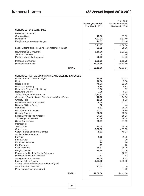|                                                                            |                    | $(\bar{z}$ in '000) |
|----------------------------------------------------------------------------|--------------------|---------------------|
|                                                                            | For the year ended | For the year ended  |
|                                                                            | 31st March, 2011   | 31st March, 2010    |
| <b>SCHEDULE - 15 : MATERIALS</b>                                           |                    |                     |
| Materials consumed                                                         |                    |                     |
| <b>Opening Stock</b>                                                       | 75,36              | 97,82               |
| Purchases                                                                  | 4,71,64            | 5,57,40             |
| Freight and processing charges                                             | 24,67              | 13,46               |
|                                                                            | 5,71,67            | 6,68,68             |
| Less: Closing stock including Raw Material in transit                      | 61,02              | 75,36               |
| <b>Raw Materials Consumed</b>                                              | 5,10,65            | 5,93,32             |
| <b>Stores Consumed</b>                                                     |                    | 86                  |
| Packing Materials Consumed                                                 | 22,36              | 24,56               |
| <b>Materials Consumed</b>                                                  | 5,33,01            | 6,18,75             |
| Purchases for resale                                                       | 16,79,55           | 36,64,89            |
|                                                                            |                    |                     |
| <b>TOTAL:</b>                                                              | 22,12,56           | 42,83,64            |
|                                                                            |                    |                     |
| <b>SCHEDULE - 16 : ADMINISTRATIVE AND SELLING EXPENSES</b>                 |                    |                     |
| Power, Fuel and Water Charges                                              | 15,36              | 23,13               |
| Rent                                                                       | 22,00              | 5,08                |
| Rates & Taxes                                                              | 45,93              | 52,69               |
| Repairs to Building                                                        | 6,84               | 8,82                |
| Repairs to Plant and Machinery<br>Repairs to Others                        | 1,00<br>7,09       | 59<br>6,63          |
| Salary, Wages and Allowances                                               | 2,13,62            | 2,78,15             |
| Company's Contribution to Provident and Other Funds                        | 10, 13             | 14,96               |
| <b>Gratuity Paid</b>                                                       | 13,28              | 5,73                |
| <b>Employees Welfare Expenses</b>                                          | 8,49               | 12,22               |
| <b>Directors' Sitting Fees</b>                                             | 38                 | 44                  |
| Insurance<br>Miscellaneous Expenses                                        | 6,52<br>63,03      | 15,78<br>59,89      |
| <b>Security Charges</b>                                                    | 26,92              | 25,96               |
| Legal & Professional Charges                                               | 24,93              | 18,93               |
| Travelling/Conveyance                                                      | 23.50              | 16,08               |
| <b>Sales Commission</b>                                                    | 35,81              | 37,99               |
| Interest on :                                                              |                    |                     |
| <b>Term Loans</b><br>Other Loans                                           | 14,09<br>3,57,53   | 19,16<br>4,07,95    |
| Other Finance and Bank Charges                                             | 8,81               | 49,37               |
| Auditor's Remuneration :                                                   |                    |                     |
| For Audit                                                                  | 1,65               | 1,50                |
| For Tax Audit                                                              | 33                 | 30                  |
| <b>For Other Services</b>                                                  | 24                 | 20                  |
| For Expenses<br>Cash Discount                                              | 17<br>55,87        | 20<br>38,76         |
| <b>Freight Outward</b>                                                     | 25,34              | 41,06               |
| Provision for Doubtful Debts/ Advances                                     |                    | 16,37               |
| Provision for Doubtful Debtors                                             | 1,51               | 54                  |
| <b>Amalgamation Expenses</b>                                               | 10,04              | 6,62                |
| Loss on Sale of Assets                                                     | 2,27,32            | 2,69,50             |
| Sundry debit/credit balances written off (net)<br>Amortization of Goodwill | 3,02<br>27,55      |                     |
| Prior Period Adjustments (net)                                             |                    | 7,00                |
|                                                                            |                    |                     |
| <b>TOTAL:</b>                                                              | 12,58,30           | 14,41,60            |
|                                                                            |                    |                     |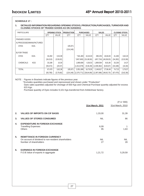**SCHEDULE 17 :**

### **1. DETAILED INFORMATION REGARDING OPENING STOCKS, PRODUCTION,PURCHASES, TURNOVER AND CLOSING STOCKS OF TRADED GOODS AS ON 31/03/2011**

| <b>PARTICULARS</b>        |            |           | <b>OPENING STOCK</b> | <b>PRODUCTION</b> |              | <b>PURCHASES</b> | <b>SALES</b> |              |           | <b>CLOSING STOCK</b> |
|---------------------------|------------|-----------|----------------------|-------------------|--------------|------------------|--------------|--------------|-----------|----------------------|
|                           |            | QTY       | VALUE                | QTY               | QTY          | VALUE            | QTY          | VALUE        | QTY       | VALUE                |
| <b>FINISHED GOODS</b>     |            |           |                      |                   |              |                  |              |              |           |                      |
| A) PROCESSED/MANUFACTURED |            |           |                      |                   |              |                  |              |              |           |                      |
| <b>DYES</b>               | KGS.       |           |                      | 105.971           |              |                  |              |              |           |                      |
|                           |            |           |                      | (124, 146)        |              |                  |              |              |           |                      |
| <b>B) FOR TRADE</b>       |            |           |                      |                   |              |                  |              |              |           |                      |
| <b>DYES</b>               | KGS.       | 34,282    | 3,52,08              |                   | *181,483     | 10,43,03         | 280,253      | 18,84,83     | 41,483    | 3,62,20              |
|                           |            | (34, 313) | (3,50,02)            |                   | $*(457,693)$ | (31,08,50)       | (457, 724)   | (40,09,03)   | (34, 282) | (3,52,08)            |
| <b>CHEMICALS</b>          | <b>KGS</b> | 33,188    | 10,30                |                   | 1,869,606    | 6,36,53          | 1,869,564    | 8,81,66      | 33,230    | 14,37                |
|                           |            | (59, 472) | (20, 57)             |                   | (1,913,078)  | (5, 56, 39)      | (1,939,362)  | (8,83,67)    | (33, 188) | (10, 30)             |
| <b>TOTAL</b>              |            | 67,470    | 3,62,38              | 105,971           | 2,051,089    | 16,79,55         | 2,149,817    | 27,66,49     | 74,713    | 3,76,57              |
|                           |            | (93, 785) | (3,70,60)            | (124, 146)        | (2,370,771)  | (36, 64, 89)     | (2,397,086)  | (48, 92, 70) | (67, 470) | (3,62,38)            |

NOTE : Figures in Brackets indicate figures of the previous year.

\*Excludes quantities purchased and reprocessed and shown under "Production" Dyes sales quantities adjusted for shortage of 830 Kgs and Chemical Purchase quantity adjusted for excess 615 Kgs.

Purchase quantity of Dyes includes 9,101 Kgs.transferred from Ankleshwar factory.

|    |                                                                                                                        | 31st March, 2011 | (₹ in '000)<br>31st March, 2010 |
|----|------------------------------------------------------------------------------------------------------------------------|------------------|---------------------------------|
| 2. | <b>VALUES OF IMPORTS ON CIF BASIS</b>                                                                                  | 1,33,00          | 31,39                           |
| 3. | <b>VALUES OF STORES CONSUMED</b>                                                                                       | <b>NIL</b>       | 86                              |
| 4. | <b>EXPENDITURE IN FOREIGN EXCHANGE</b><br><b>Travelling Expenses</b><br><b>Others</b>                                  | 6,09<br>95       | 1,63                            |
| 5. | <b>REMITTANCE IN FOREIGN CURRENCY</b><br>On account of dividend to non-resident shareholders<br>Number of shareholders | <b>NIL</b><br>27 | <b>NIL</b><br>28                |
| 6. | <b>EARNINGS IN FOREIGN EXCHANGE</b><br>F.O.B. Value of exports in aggregate                                            | 1,21,72          | 5,29,59                         |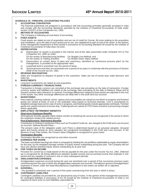### **SCHEDULE 18 : PRINCIPAL ACCOUNTING POLICIES**

### **1. ACCOUNTING CONVENTION**

The financial statements are prepared in accordance with the accounting principles generally accepted in India and comply with the Accounting Standards specified by the Institute of Chartered Accountants of India under section 211(3C) of the Companies Act, 1956.

### **2. METHOD OF ACCOUNTING**

The Company is following accrual basis of accounting.

### **3. FIXED ASSETS**

Fixed assets are stated at cost of acquisition and are net of credit for Cenvat. All costs relating to the acquisition and installation, up to the date of such assets put to use, are capitalized as part of cost of the asset. In the opinion of the management impairment of fixed assets in pursuance to Accounting Standard 28 issued by the Institute of Chartered Accountants of India does not exist.

### **4. DEPRECIATION**

- a) Depreciation on assets is provided in the manner and at the rates prescribed under Schedule XIV to The Companies Act, 1956 as under:
	- On the assets of Manufacturing facilities: On Straight Line Method, and<br>On the assets of Trading activities: On Written Down Value method

On the assets of Trading activities:

- b) Depreciation on certain items of plant and machinery, identified as 'continuous process plant' by the management, is provided at the appropriate rates.
- c) Leasehold land is amortised over the period of lease.
- d) Technical know-how fees are amortised over a period of six years in conformity with the provisions of Section 35AB of the Income-tax Act, 1961.

### **5. REVENUE RECOGNITION**

Sales are recognized on dispatch of goods to the customers. Sales are net of excise duty, trade discount, and sales tax.

### **6. INVESTMENTS**

Long-term investments are stated at cost acquisition.

### **7. FOREIGN CURRENCY TRANSACTIONS**

Transaction in foreign currency are recorded at the exchange rate prevailing on the date of transaction. Foreign currency assets and liabilities are stated at the exchange rates prevailing at the date of Balance Sheet and at forward contract rates wherever so covered. Exchange differences relating to fixed assets are adjusted in the cost of the assets. Any other exchange differences are dealt with in the profit and loss account.

### **8. INVENTORIES**

Raw material, packing material, stores, spares and consumables are valued at cost Work-in-progress and finished goods are valued at lower of cost or net realizable value based on technical estimate. Cost is ascertained on weighted average basis and in case of work-in-progress, and finished goods include appropriate overheads. Finished goods are valued inclusive of excise duty. Traded goods are valued on FIFO basis inclusive of processing charges where applicable.

### **9. EMPLOYEES' RETIREMENT BENEFITS**

### **Short-term Employee Benefits**

All Employee benefits payable within twelve months of rendering the service are recognized in the period in which the employee renders the related service.

### **Post Employment / Retirement Benefits**

Contribution to Defined Contribution Plans such as Provident Funds etc. are charged to the Profit and Loss Account as incurred. Defined Benefit Plans –

The present value of the obligation under such Plans is determined based on an actuarial valuation. Actuarial gains and losses arising on such valuation are recognized immediately in the Profit and Loss Account. In the absence of any Plan Assets, the Present Value Obligation is recognized on gross basis.

### **Termination Benefits**

Termination Benefits are recognized as and when incurred.

### **10. EARNINGS PER SHARE**

The basic and diluted earnings per share is computed by dividing the net profit/loss attributable to equity shareholders for the year, by the weighted average number of Equity shares outstanding during the year. The Company did not have any dilutive potential equity shares outstanding as at year end.

### **11. FOR TAXES ON INCOME**

Provision for current tax is made based on the tax payable for the year under the Income Tax Act, 1961. Deferred tax is recognized for all timing differences between taxable income and accounting income that originate in one period and are capable of reversal in one or more subsequent periods.

### **12. AMALGAMATION EXPENSES:**

Amalgamation expenses incurred during the year are amortised over a period of five successive previous years commencing from the year in which the amalgamation expenses are incurred. The balance amount of amalgamation expenses is shown under the head Miscellaneous Expenditure to the extent not written off or adjusted.

### **13. GOODWILL :**

The goodwill is amortized over a period of five years commencing from the year in which it arises.

### **14. CONTINGENT LIABILITIES**

Contingent Liabilities not provided for, are disclosed by way of notes. In the opinion of the management provisions for contingent liabilities in pursuance of AS 29 issued by the Institute of Chartered Accountants of India is not required as there exist no such liabilities unprovided for.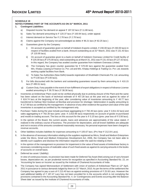### **SCHEDULE 19**

### **NOTES FORMING PART OF THE ACCOUNTS AS ON 31st MARCH, 2011**

- **1. Contingent Liabilities:**
	- a) Disputed Income Tax demand on appeal  $\bar{\tau}$  197.02 lacs ( $\bar{\tau}$  11.88 lacs).
	- b) Sales Tax demand amounting to  $\bar{\tau}$  120.37 lacs ( $\bar{\tau}$  100.94 lacs), under appeal.
	- c) Interest demand on Service Tax  $\bar{\tau}$  2.78 lacs ( $\bar{\tau}$  2.78 lacs)
	- d) Claims against the Company not acknowledged as debts  $\bar{\tau}$  96.21 lacs ( $\bar{\tau}$  82.25 lacs)
	- e) Guarantees given by the Company:
		- i) On account of guarantee given on behalf of Indokem Exports Limited,  $\bar{\tau}$  230.00 lacs ( $\bar{\tau}$  230.00 lacs) in respect of facilities availed from a bank. Amount outstanding as at 31<sup>st</sup> March, 2011 was ₹ 131.43 lacs (₹ 120.95 lacs).
		- ii) On account of guarantee given to a bank on behalf of Indokem Overseas Limited for Credit facility of ₹ 225.00 lacs (₹ 275.00 lacs), total outstanding as at March 31, 2011 was ₹ 131.43 lacs (₹ 127.42 lacs). In this regard, the Company has availed counter guarantee from Indokem Overseas Limited.
		- iii) The Company has given counter guarantee for  $\bar{\tau}$  570.00 lacs against the guarantee availed from M/s. Khatau Leasing & Finance Co. Pvt. Ltd and M/s. Khatau Holdings & Trading Co. Pvt. Ltd, towards working capital facilities from Bank.
		- iv) To Sales Tax Authorities (New Delhi) towards registration of Shubhlabh Chemicals Pvt. Ltd. amounting to ₹ 5.00 lacs (₹ 5.00 lacs).
	- f) For bills discounted with the bankers and outstanding guarantees issued by them amounting to  $\bar{\tau}$  410.15 lacs ( $\bar{\tau}$  495.51 lacs).
	- g) Custom Duty, if any payable in the event of non-fullfilment of export obligations in respect of Advance License availed amounting to  $\bar{\tau}$  39.70 lacs ( $\bar{\tau}$  38.36 lacs).
- 2. Inventories at Ankleshwar Plant could not be verified physically due to prolong closure of the Plant and the same has been valued on the basis of technical estimate of  $\bar{\tau}$  457.28 lacs at the year end as against its value of ₹ 624.74 lacs at the beginning of the year, after considering value of inventories amounting to ₹ 49.77 lacs transferred to Dahisar Mori Godown at Mumbai and provision for shortage / deterioration in quality amounting to 117.69 lacs as certified by the management. In absence of any other evidence the quantum and value of the said inventories is accepted as certified by the management only.
- 3. Purchase / Sales during the year include purchase aggregating to  $\bar{\tau}$  782.45 lacs (prev. year  $\bar{\tau}$  2,811.52 lacs) and sales aggregating to ₹782.30 lacs (prev. year. ₹2,810.96 lacs) respectively on account of goods re-purchased and resold on trading account. The loss on this account for the year is  $\bar{\tau}$  0.15 lacs (prev. year loss of  $\bar{\tau}$  0.56 lacs).
- 4. In the opinion of the Board, the current assets, loans and advances are approximately of the value stated, if realized in the ordinary course of business. The provision for depreciation, and all known liabilities are adequate and not in excess of the amounts considered reasonably necessary. No personal expenses have been charged to revenue accounts.
- 5. Other liabilities includes liabilities for expenses amounting to  $\bar{\tau}$  105.67 lacs. (Prv. Year  $\bar{\tau}$  212.04 Lacs).
- 6. In the absence of necessary information relating to the suppliers registered as Micro, Small and Medium Enterprises under the Micro, Small and Medium Enterprises Development Act, 2006, the Company has not been able to identify such suppliers and disclose the information required under the said Act relating to them.
- 7. In the opinion of the management no provision for impairment in the value of fixed assets of Ankleshwar factory is necessary considering excess of realizable value of such fixed assets as against its carrying amounts in the books of accounts on overall basis.
- 8. Deferred tax asset / (liability):

In view of continuous losses, no provision has been made for Deferred Tax Asset (Net) arising out of carry forward losses, depreciation etc. as per prudential norms for recognition as specified in Accounting Standard No. 22, on 'Accounting for taxes on Income' as issued by the Institute of Chartered Accountants of India

9. The Company has signed Memorandum of Settlement with Union of workers of Ankleshwar Plant on 12<sup>th</sup> April, 2011 in pursuance to various demands lodged by them on 31<sup>st</sup> March, 2010. As per the terms of the settlement the Company has agreed to pay a sum of  $\bar{\tau}$  213.40 lacs as against existing provisions of  $\bar{\tau}$  25.93 Lacs. However the said additional liability of  $\bar{\tau}$  187.47 Lacs has not been provided for in the accounts which is not complying the provisions contained in the Accounting Standard No. 4. on 'Contingencies and Events occurring after the Balance Sheet date' as issued by the Institute of Chartered Accountants of India.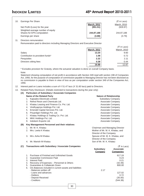| 10. | Earnings Per Share                                                                                                                                                                                                                                                                                                                                      |                    | $(\bar{z}$ in Lacs)           |
|-----|---------------------------------------------------------------------------------------------------------------------------------------------------------------------------------------------------------------------------------------------------------------------------------------------------------------------------------------------------------|--------------------|-------------------------------|
|     |                                                                                                                                                                                                                                                                                                                                                         | <b>March, 2011</b> | March, 2010                   |
|     | Net Profit /(Loss) for the year                                                                                                                                                                                                                                                                                                                         | (951.51)           | (928.97)                      |
|     | Weighted average number of equity                                                                                                                                                                                                                                                                                                                       |                    |                               |
|     | Shares for EPS computation                                                                                                                                                                                                                                                                                                                              | 244,97,188         | 244,97,188                    |
|     | Earnings per share                                                                                                                                                                                                                                                                                                                                      | (3.88)             | (3.79)                        |
| 11. | Directors remuneration:                                                                                                                                                                                                                                                                                                                                 |                    |                               |
|     | Remuneration paid to directors including Managing Directors and Executive Director                                                                                                                                                                                                                                                                      |                    |                               |
|     |                                                                                                                                                                                                                                                                                                                                                         |                    | $(5$ in Lacs)                 |
|     |                                                                                                                                                                                                                                                                                                                                                         | <b>March, 2011</b> | March, 2010                   |
|     | Salary                                                                                                                                                                                                                                                                                                                                                  | 13.20              | 9.60                          |
|     | Contribution to provident funds*                                                                                                                                                                                                                                                                                                                        | 1.08               | 0.72                          |
|     | Perquisites                                                                                                                                                                                                                                                                                                                                             | 2.22               | 2.11                          |
|     | Directors sitting fees                                                                                                                                                                                                                                                                                                                                  | 0.38               | 0.44                          |
|     |                                                                                                                                                                                                                                                                                                                                                         | 16.88              | 12.87                         |
|     |                                                                                                                                                                                                                                                                                                                                                         |                    |                               |
|     | * Excludes provision for Gratuity, where the actuarial valuation is done on overall Company basis.                                                                                                                                                                                                                                                      |                    |                               |
|     | Note:                                                                                                                                                                                                                                                                                                                                                   |                    |                               |
|     | Statement showing computation of net profit in accordance with Section 349 read with section 198 of Companies<br>Act, 1956, for the purpose of computation of commission payable to Managing Director has not been disclosed as<br>no commission is payable to them in view of loss as per computation under section 349 of the Companies Act,<br>1956. |                    |                               |
| 12. | Interest paid on Loans includes a sum of ₹ 51.47 lacs (₹ 31.60 lacs) paid to Directors.                                                                                                                                                                                                                                                                 |                    |                               |
| 13. | Related Party Disclosure: (Details restricted to transactions during the year only)                                                                                                                                                                                                                                                                     |                    |                               |
|     | <b>Particulars of Subsidiary / Associate Companies</b><br>(A)                                                                                                                                                                                                                                                                                           |                    |                               |
|     | <b>Name of the Related Party</b>                                                                                                                                                                                                                                                                                                                        |                    | <b>Nature of Relationship</b> |
|     | 1. Kapsales Electricals Limited                                                                                                                                                                                                                                                                                                                         |                    | <b>Subsidiary Company</b>     |
|     | <b>Dofpol Docin and Chamicals Ltd.</b>                                                                                                                                                                                                                                                                                                                  |                    | Accoriato Company             |

- 2. Refnol Resin and Chemicals Ltd. Associate Company 3. Khatau Leasing and Finance Co. Pvt. Ltd. Associate Company 4. Vindhyapriya Holdings Pvt. Ltd. Associate Company Associate Company 5. Emerald Capital Services Pvt. Ltd. Associate Company 6. Priyanilgiri Holdings Pvt. Ltd. Associate Company Associate Company 7. Khatau Holdings & Trading Co. Pvt. Ltd. Associate Company 8. MKK Holdings Pvt. Ltd. Associate Company Associate Company 9. Indokem Exports Ltd. Associate Company
- **(B) Key Management Personnel and their relatives** 1. Mr. M. K. Khatau Chairman and Managing Director 2. Mrs. Leela K Khatau **Mother of Mr. M. K. Khatau, and** Mother of Mr. M. K. Khatau, and
	- Director of the Company 3. Mrs. Asha M Khatau  $\sim$  Spouse of Mr. M. K. Khatau, and Director of the Company 4. Mr. Manish M Khatau Nasar Son of Mr. M. K. Khatau Son of Mr. M. K. Khatau
- **(C) Transactions with Subsidiary / Associate Companies in Acceleus and Acceleus (₹ In Lacs) Subsidiary Associate Company Companies** 1. Purchase of Finished and Unfinished Goods 617.19 2. Guarantee Commission Paid 0.23 3. Interest Paid 0.21 4. Recovery of Expenses - Personnel & Others 5. Guarantees & Collaterals Given 800.00 and 800.00 and 800.00 and 800.00 and 800.00 and 800.00 and 800.00 and 800.00 and 800.00 and 800.00 and 800.00 and 800.00 and 800.00 and 800.00 and 800.00 and 800.00 and 800.00 and 8 6. O/s Balances included in current assets and liabilities - Balances written off **2.17** - Loans and advances 127.02<br>- Debtors 127.02<br>- Debtors 127.02 - Debtors 0.72 - Deposit Received (35.00) - Creditors (544.38)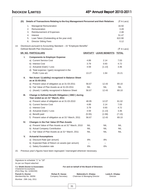|     | (D)                                      | Details of Transactions Relating to the Key Management Personnel and their Relatives                      |                                                    |                                | $($ ₹ In Lacs)        |
|-----|------------------------------------------|-----------------------------------------------------------------------------------------------------------|----------------------------------------------------|--------------------------------|-----------------------|
|     |                                          | Managerial Remuneration<br>1.                                                                             |                                                    |                                | 16.50                 |
|     |                                          | 2.<br>Remuneration                                                                                        |                                                    |                                | 3.49                  |
|     |                                          | Reimbursement of Expenses<br>3.                                                                           |                                                    |                                | 2.48                  |
|     |                                          | 4.<br>Interest                                                                                            |                                                    |                                | 51.47                 |
|     |                                          | Loan Taken (Outstanding at the year end)<br>5.                                                            |                                                    |                                | 622.90                |
|     |                                          | <b>Director Sitting Fees</b><br>6.                                                                        |                                                    |                                | 0.12                  |
| 14. |                                          | Disclosure pursuant to Accounting Standard - 15 "Employee Benefits"<br>Defined Benefit Plan Disclosures   |                                                    |                                | $(5 \text{ In}$ Lacs) |
|     |                                          | <b>SR. NO. PARTICULARS</b>                                                                                |                                                    | <b>GRATUITY LEAVE BENEFITS</b> | <b>TOTAL</b>          |
|     | ı.                                       | <b>Components to Employer Expense</b>                                                                     |                                                    |                                |                       |
|     |                                          | a) Current Service Cost                                                                                   | 4.89                                               | 2.14                           | 7.03                  |
|     |                                          | b) Interest Cost                                                                                          | 3.79                                               | 0.93                           | 4.72                  |
|     |                                          | c) Actuarial (Gain) / Loss                                                                                | 4.59                                               | (1.13)                         | 3.46                  |
|     |                                          | d) Total expense / (gain) recognized in the                                                               |                                                    |                                |                       |
|     |                                          | Profit / Loss a/c                                                                                         | 13.27                                              | 1.94                           | 15.21                 |
|     | Ш.                                       | Net Asset / (Liability) recognized in Balance Sheet<br>as at 31-03-2011                                   |                                                    |                                |                       |
|     |                                          | a) Present value of obligation as at 31-03-2011                                                           | 56.67                                              | 12.43                          | 69.10                 |
|     |                                          | b) Fair Value of Plan Assets as at 31-03-2011                                                             | NIL.                                               | <b>NIL</b>                     | NIL.                  |
|     |                                          | c) (Asset) / Liability recognized in Balance Sheet                                                        | 56.67                                              | 12.43                          | 69.10                 |
|     | Ш.                                       | <b>Change in Defined Benefit Obligation (DBO) during</b><br>Year ended as on 31 <sup>st</sup> March, 2011 |                                                    |                                |                       |
|     |                                          | a) Present value of obligation as at 31-03-2010                                                           | 48.95                                              | 12.07                          | 61.02                 |
|     |                                          | b) Current Service Cost                                                                                   | 4.89                                               | 2.14                           | 7.03                  |
|     |                                          | c) Interest Cost                                                                                          | 3.79                                               | 0.93                           | 4.72                  |
|     |                                          | d) Actuarial (Gain) / Loss                                                                                | 4.59                                               | (1.13)                         | 3.46                  |
|     |                                          | e) Benefit paid                                                                                           | (5.55)                                             | (1.58)                         | (7.13)                |
|     |                                          | f) Present value of obligation as at 31 <sup>st</sup> March, 2011                                         | 56.67                                              | 12.43                          | 69.10                 |
|     | IV.                                      | <b>Changes in the Fair Value Of Plan Assets</b>                                                           |                                                    |                                |                       |
|     |                                          | a) Present Value of Plan Assets as at 31 <sup>st</sup> March, 2010                                        | <b>NIL</b>                                         | NIL.                           | NIL                   |
|     |                                          | b) Actual Company Contribution                                                                            | <b>NIL</b>                                         | <b>NIL</b>                     | <b>NIL</b>            |
|     |                                          | c) Fair Value of Plan Assets as at 31 <sup>st</sup> March, 2011                                           | <b>NIL</b>                                         | <b>NIL</b>                     | <b>NIL</b>            |
|     | V.                                       | <b>Actuarial Assumptions</b>                                                                              |                                                    |                                |                       |
|     |                                          | a) Discount Rate (per annum)                                                                              | 8%                                                 | 8%                             |                       |
|     |                                          | b) Expected Rate of Return on assets (per annum)                                                          |                                                    |                                |                       |
|     |                                          | c) Salary Escalation rate                                                                                 | 6%                                                 | 6%                             |                       |
| 15. |                                          | Previous year's figures have been regrouped / rearranged wherever necessary.                              |                                                    |                                |                       |
|     |                                          | Signature to schedule "1" to "19"                                                                         |                                                    |                                |                       |
|     |                                          | As per our Report attached                                                                                |                                                    |                                |                       |
|     | <b>Chartered Accountants</b>             | For Sheth Doctor & Associates<br>For and on behalf of the Board of Directors<br>(Firm Reg. No. 124822W)   |                                                    |                                |                       |
|     | Paresh S. Doctor<br>Membership No. 36056 | Rohan R. Gavas<br><b>Company Secretary</b>                                                                | Mahendra K. Khatau<br>Chairman & Managing Director | Leela K. Khatau<br>Director    |                       |

mpany Secretary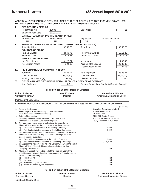|      | ADDITIONAL INFORMATION AS REQUIRED UNDER PART IV OF SCHEDULE VI TO THE COMPANIES ACT, 1956,<br><b>BALANCE SHEET ABSTRACT AND COMPANY'S GENERAL BUSINESS PROFILE :</b> |                                             |                                                                                               |                              |
|------|-----------------------------------------------------------------------------------------------------------------------------------------------------------------------|---------------------------------------------|-----------------------------------------------------------------------------------------------|------------------------------|
| ı.   | <b>REGISTRATION DETAILS</b>                                                                                                                                           |                                             |                                                                                               |                              |
|      | 13088<br>Registration No.                                                                                                                                             |                                             | <b>State Code</b>                                                                             | 11                           |
|      | <b>Balance Sheet Date</b>                                                                                                                                             | 31.03.2011                                  |                                                                                               |                              |
| Ш.   | CAPITAL RAISED DURING THE YEAR (₹ IN '000)                                                                                                                            |                                             |                                                                                               |                              |
|      | <b>Public Issue</b>                                                                                                                                                   | Bonus Issue                                 | <b>Right Issue</b>                                                                            | <b>Private Placement</b>     |
|      | <b>NIL</b>                                                                                                                                                            | <b>NIL</b>                                  | <b>NIL</b><br><b>NIL</b>                                                                      |                              |
| III. | POSITION OF MOBILISATION AND DEPLOYMENT OF FUNDS (₹ IN '000)                                                                                                          |                                             |                                                                                               |                              |
|      | <b>Total Liabilities</b>                                                                                                                                              | 62,50,75                                    | <b>Total Assets</b>                                                                           | 62,50,75                     |
|      | <b>SOURCES OF FUNDS</b>                                                                                                                                               |                                             |                                                                                               |                              |
|      | Paid up Capital                                                                                                                                                       | 24,49,72                                    | Reserve & Surplus                                                                             | 18,11,23                     |
|      | <b>Secured Loans</b><br><b>APPLICATION OF FUNDS</b>                                                                                                                   | 13,18,05                                    | <b>Unsecured Loans</b>                                                                        | 6,71,75                      |
|      | <b>Net Fixed Assets</b>                                                                                                                                               | 31,22,74                                    | Investments                                                                                   | 4,00,49                      |
|      | <b>Net Current Assets</b>                                                                                                                                             | 6,24,65                                     | <b>Accumulated Losses</b>                                                                     | 20,80,09                     |
|      |                                                                                                                                                                       |                                             | Miscellaneous Assets                                                                          | 22,78                        |
| IV.  | <b>PERFORMANCE OF COMPANY (₹ IN '000)</b>                                                                                                                             |                                             |                                                                                               |                              |
|      | Turnover                                                                                                                                                              | 29,36,71                                    | <b>Total Expenses</b>                                                                         | 38,88,41                     |
|      | Loss before Tax                                                                                                                                                       | (9, 51, 70)                                 | Loss after Tax                                                                                | (9, 51, 51)                  |
|      | Earning per share in $(3)$                                                                                                                                            | (3.88)                                      | Dividend Rate %                                                                               | <b>NIL</b>                   |
| V.   | <b>GENERIC NAMES OF THREE PRINCIPAL PRODUCTS/ SERVICE OF COMPANY</b>                                                                                                  |                                             |                                                                                               |                              |
|      | Item Code No.                                                                                                                                                         | 32                                          | Product Description Synthetic Organic Dyestuff                                                |                              |
|      |                                                                                                                                                                       |                                             |                                                                                               |                              |
|      |                                                                                                                                                                       | For and on behalf of the Board of Directors |                                                                                               |                              |
|      | Rohan R. Gavas                                                                                                                                                        | Leela K. Khatau                             |                                                                                               | Mahendra K. Khatau           |
|      | <b>Company Secretary</b>                                                                                                                                              | Director                                    |                                                                                               | Chairman & Managing Director |
|      | Mumbai, 29th July, 2011                                                                                                                                               |                                             |                                                                                               |                              |
|      |                                                                                                                                                                       |                                             |                                                                                               |                              |
|      |                                                                                                                                                                       |                                             | STATEMENT PURSUANT TO SECTION 212 OF THE COMPANIES ACT, 1956 RELATING TO SUBSIDIARY COMPANIES |                              |
|      |                                                                                                                                                                       |                                             |                                                                                               | $(\bar{z}$ in `000)          |
|      | 1. Name of the Company:                                                                                                                                               |                                             | <b>Kapsales Electricals Limited</b>                                                           |                              |
|      | 2. Financial year of the Subsidiary Company ended on :                                                                                                                |                                             | 31 <sup>st</sup> December, 2010<br>5th April, 1986                                            |                              |
|      | 3. Date from which it became subsidiary :<br>4. Extent of the holding:                                                                                                |                                             | 20,09,376 Equity Shares                                                                       |                              |
|      | Company's interest in the Subsidiary Company at the                                                                                                                   |                                             | of ₹ 10/- each out of 20,10,000                                                               |                              |
|      | Financial Year of each Subsidiary Company.                                                                                                                            |                                             | Equity Shares of ₹ 10/- each                                                                  |                              |
|      | 5. Net aggregate Profit/(Loss) of Subsidiary Company for its<br>Financial Year so far as they concern the holding Company :                                           |                                             |                                                                                               |                              |
|      | a)<br>Dealt with in the account of the holding Company:                                                                                                               |                                             | None                                                                                          |                              |
|      | Not dealt with in the accounts of the holding Company:<br>b)                                                                                                          |                                             | 9,692                                                                                         |                              |
|      | 6. Net aggregate Profit/(Loss) of Subsidiary Company for its previous                                                                                                 |                                             |                                                                                               |                              |
|      | Financial Years so far as they concern the holding Company,<br>since it became subsidiary:                                                                            |                                             |                                                                                               |                              |
|      | Dealt with in the accounts of the holding Company:<br>a)                                                                                                              |                                             | None                                                                                          |                              |
|      | Not dealt with in the accounts of the holding Company:<br>b)                                                                                                          |                                             | (1,04,106)                                                                                    |                              |
|      | 7. Changes in the interest of the holding Company between the end of<br>Financial Year of the subsidiary and the end of the holding                                   |                                             |                                                                                               |                              |
|      | Company's financial year.                                                                                                                                             |                                             | Nil                                                                                           |                              |
|      | 8. Material changes between the end of the Financial Year of the                                                                                                      |                                             |                                                                                               |                              |
|      | subsidiary and the end of the holding Company's Financial Year in                                                                                                     |                                             |                                                                                               |                              |
|      | respect of the Subsidiary's<br>Fixed Assets:<br>(i)                                                                                                                   |                                             | Nil                                                                                           |                              |
|      | (ii)<br>Investments:                                                                                                                                                  |                                             | Nil                                                                                           |                              |
|      | Money lent by the subsidiary:<br>(iii)                                                                                                                                |                                             | Nil                                                                                           |                              |
|      | Money borrowed by the subsidiary:<br>(iv)                                                                                                                             |                                             | Nil                                                                                           |                              |
|      |                                                                                                                                                                       | For and on behalf of the Board of Directors |                                                                                               |                              |
|      |                                                                                                                                                                       |                                             |                                                                                               |                              |
|      | <b>Rohan R. Gavas</b>                                                                                                                                                 | Leela K. Khatau<br>Director                 |                                                                                               | Mahendra K. Khatau           |
|      | <b>Company Secretary</b>                                                                                                                                              |                                             |                                                                                               | Chairman & Managing Director |
|      | Mumbai, 29th July, 2011                                                                                                                                               |                                             |                                                                                               |                              |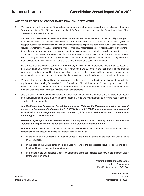### **AUDITORS' REPORT ON CONSOLIDATED FINANCIAL STATEMENTS**

- 1. We have examined the attached Consolidated Balance Sheet of Indokem Limited and its subsidiary (Indokem Group) as at March 31, 2011 and the Consolidated Profit and Loss Account, and the Consolidated Cash Flow Statement for the year then ended.
- 2. These financial statements are the responsibility of Indokem Limited's management. Our responsibility is to express an opinion on these financial statements based on our audit. We conducted our audit in accordance with generally accepted auditing standards in India. These Standards require that we plan and perform the audit to obtain reasonable assurance whether the financial statements are prepared, in all material respects, in accordance with an identified financial reporting framework and are free of material misstatements. An audit also includes, examining on test basis, evidence supporting the amounts and disclosure in the financial statements. ₹ An audit also includes assessing the accounting principles used and significant estimates made by management, as well as evaluating the overall financial statements. We believe that our audit provides a reasonable basis for our opinion.
- 3. We did not audit the financial statements of subsidiary, whose financial statements reflect total net assets of ₹ (-) 14.57 lakhs as at March 31, 2011 and total revenues of ₹ 345.51 lakhs for the year ended. These financial statements have been audited by other auditor whose reports have been furnished to us, and our opinion, insofar as it relates to the amounts included in respect of the subsidiary, is based solely on the reports of the other auditor.
- 4. We report that the consolidated financial statements have been prepared by the Company in accordance with the requirements of Accounting Standard (AS) 21, 'Consolidated Financial Statements', issued by the council of the Institute of Chartered Accountants of India, and on the basis of the separate audited financial statements of the Indokem Group included in the consolidated financial statements.
- 5. On the basis of the information and explanations given to us and on the consideration of the separate audit reports on individual audited financial statements of the Indokem Group, we invite attention to following note of schedule 17 to the notes to accounts:

*Note No. 2 regarding Accounts of Parent Company as per Note No. 2(c) Value and diminution in value of Inventory at Ankleshwar Plant amounting to* ₹ 457.28 lacs and ₹ 117.69 lacs respectively being accepted *as certified by the management only and Note No. 2.(d) for non provision of workers compensation amounting to*  $\bar{z}$  187.47 lacs(net).

*Note no. 3 regarding Accounts of the subsidiary company, the balances of Sundry Debtors/Creditors and Deposits are subject to confirmation and are stated as per books of account only.*

*Subject to above,* we are of the opinion that the said consolidated financial statements give a true and fair view in conformity with the accounting principles generally accepted in India:

- a) In the case of the Consolidated Balance Sheet, of the State of affairs of the Indokem Group, as at March 31, 2011;
- b) In the case of the Consolidated Profit and Loss Account of the consolidated results of operations of the Indokem Group for the year then ended, and
- c) In the case of the Consolidated Cash Flow Statement, of the consolidated cash flow of the Indokem Group for the year then ended.

For **Sheth Doctor and Associates** Chartered Accountants (Firm Registration No. 124822W)

**Paresh S Doctor** Mumbai Partner Dated: 29th July, 2011 **Membership No. 36056** Charles and Membership No. 36056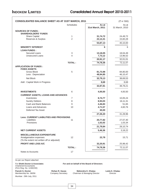| <b>CONSOLIDATED BALANCE SHEET AS AT 31ST MARCH, 2011</b>                                                 |                     |                     | (₹ in '000)         |
|----------------------------------------------------------------------------------------------------------|---------------------|---------------------|---------------------|
|                                                                                                          | <b>Schedules</b>    | As at               | As at               |
|                                                                                                          |                     | 31st March, 2011    | 31 March, 2010      |
| <b>SOURCES OF FUNDS:</b>                                                                                 |                     |                     |                     |
| <b>SHAREHOLDERS' FUNDS</b>                                                                               |                     |                     |                     |
| <b>Share Capital</b>                                                                                     | 1<br>$\overline{2}$ | 31,74,72            | 24,49,72            |
| Reserves & Surplus                                                                                       |                     | 22,12,41            | 15,60,28            |
|                                                                                                          |                     | 53,87,13            | 40,10,00            |
| <b>MINORITY INTEREST</b>                                                                                 |                     | 6                   | 6                   |
| <b>LOAN FUNDS:</b>                                                                                       |                     |                     |                     |
| <b>Secured Loans</b>                                                                                     | 3                   | 13,18,05            | 18,04,49            |
| <b>Unsecured Loans</b>                                                                                   | 4                   | 7,73,12             | 13,96,52            |
|                                                                                                          |                     | 20,91,17            | 32,01,01            |
|                                                                                                          | <b>TOTAL:</b>       | 74,78,36            | 72,11,07            |
| <b>APPLICATION OF FUNDS:</b>                                                                             |                     |                     |                     |
| <b>FIXED ASSETS</b>                                                                                      |                     |                     |                     |
| Gross Block                                                                                              | 5                   | 81,73,98            | 84,80,00            |
| Less : Depreciation                                                                                      |                     | 48,94,85            | 46,10,47            |
| Net Block                                                                                                |                     | 32,79,13            | 38,69,53            |
| Add: Capital Work in Progress                                                                            |                     | 8,68                | 8,68                |
|                                                                                                          |                     | 32,87,81            | 38,78,21            |
| <b>INVESTMENTS</b>                                                                                       |                     |                     |                     |
|                                                                                                          | 6                   | 4,00,50             | 4,00,50             |
| <b>CURRENT ASSETS, LOANS AND ADVANCES</b>                                                                |                     |                     |                     |
| Inventories                                                                                              | 7                   | 8,74,77             | 10,05,24            |
| <b>Sundry Debtors</b>                                                                                    | 8                   | 8,93,03             | 16,11,31            |
| Cash and Bank Balances                                                                                   | 9                   | 4,46,83             | 51,65               |
| Loans and Advances                                                                                       | 10                  | 4,71,57             | 4,60,76             |
| <b>Deferred Tax Asset</b>                                                                                |                     | 40,00               |                     |
|                                                                                                          |                     | 27,26,20            | 31,28,96            |
| <b>Less: CURRENT LIABILITIES AND PROVISIONS</b><br>Liabilities                                           |                     |                     |                     |
| Provisions                                                                                               | 11                  | 20,77,82<br>1,02,02 | 27,07,40<br>1,03,34 |
|                                                                                                          |                     |                     |                     |
|                                                                                                          |                     | 21,79,84            | 28,10,74            |
| <b>NET CURRENT ASSETS</b>                                                                                |                     | 5,46,36             | 3,18,22             |
| <b>MISCELLANEOUS EXPENDITURE</b><br>Amalgamation expenses<br>(To the extent not written off or adjusted) | 12                  | 22,78               | 15,71               |
| PROFIT AND LOSS A/C                                                                                      |                     | 32,20,91            | 25,98,42            |
|                                                                                                          | <b>TOTAL:</b>       | 74,78,36            | 72,11,07            |
| Notes to Accounts                                                                                        | 17                  |                     |                     |

As per our Report attached

Chartered Accountants (Firm Reg. No. 124822W)

Mumbai : 29th July, 2011

For **Sheth Doctor & Associates For and on behalf of the Board of Directors**

**Paresh S. Doctor Chann R. Gavas Company Secretary Mahendra K. Khatau Leela K. Khatau Membership No. 36056** Company Secretary Chairman & Managing Director Director Chairman & Managing Director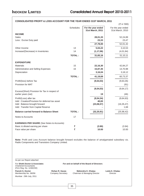|                                                                           |                  |                                        | $($ ₹ in '000)                         |
|---------------------------------------------------------------------------|------------------|----------------------------------------|----------------------------------------|
|                                                                           | <b>Schedules</b> | For the year ended<br>31st March, 2011 | For the year ended<br>31st March, 2010 |
| <b>INCOME</b>                                                             |                  |                                        |                                        |
| Sales                                                                     |                  | 28,01,33                               | 52,24,89                               |
| Less: Excise Duty paid                                                    |                  | 23,33                                  | 23,47                                  |
|                                                                           |                  | 27,78,00                               | 52,01,42                               |
| Other Income                                                              | 13               | 5,04,22                                | 3,10,53                                |
| Increase/(Decrease) in Inventories                                        | 14               | (1, 17, 06)                            | (4,01,84)                              |
|                                                                           | <b>TOTAL:</b>    | 31,65,16                               | 51,10,11                               |
| <b>EXPENDITURE</b>                                                        |                  |                                        |                                        |
| <b>Materials</b>                                                          | 15               | 22,16,30                               | 42,84,27                               |
| Administrative and Selling Expenses                                       | 16               | 15,87,35                               | 14,70,98                               |
| Depreciation                                                              |                  | 3,16,04                                | 3,18,12                                |
|                                                                           | <b>TOTAL:</b>    | 41,19,69                               | 60,73,37                               |
| Profit/(loss) before Tax                                                  |                  | (9, 54, 53)                            | (9,63,26)                              |
| Provision for MAT                                                         |                  |                                        | (91)                                   |
|                                                                           |                  | (9, 54, 53)                            | (9,64,17)                              |
| Excess/(Short) Provision for Tax in respect of<br>earlier years (net)     |                  | 19                                     | (46)                                   |
|                                                                           |                  |                                        |                                        |
| Profit/(Loss) after tax<br>Add: Creation/Provision for deferred tax asset |                  | (9, 54, 34)<br>40,00                   | (9,64,63)                              |
| Add: Balance brought forward                                              |                  | (23,06,57)                             | (16, 35, 47)                           |
| Add: Transfer from Capital Reserve                                        |                  |                                        | 1,68                                   |
| <b>Balance carried forward to Balance Sheet</b>                           | <b>TOTAL:</b>    | (32, 20, 91)                           | (25, 98, 42)                           |
| Notes to Accounts                                                         | 17               |                                        |                                        |
| <b>EARNINGS PER SHARE</b> (See Notes to Accounts)                         |                  |                                        |                                        |
| Basic & diluted earning per share                                         | ₹                | (3.90)                                 | (3.94)                                 |
| Face value per share                                                      | ₹                | 10.00                                  | 10.00                                  |

### **CONSOLIDATED PROFIT & LOSS ACCOUNT FOR THE YEAR ENDED 31ST MARCH, 2011**

**Note:** Profit and Loss Account balance brought forward excludes the balance of amalgamated subsidiary viz. Radio Components and Transistors Company Limited.

As per our Report attached

Chartered Accountants (Firm Reg. No. 124822W)

Mumbai : 29th July, 2011

For **Sheth Doctor & Associates For and on behalf of the Board of Directors**

**Paresh S. Doctor Chann R. Gavas Company Secretary Mahendra K. Khatau Leela K. Khatau Membership No. 36056** Company Secretary Chairman & Managing Director Director Chairman & Managing Director Director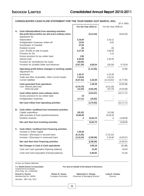|    | <b>CONSOLIDATED CASH FLOW STATEMENT FOR THE YEAR ENDED 31ST MARCH, 2011</b><br>$(3 \tanh 600)$                                                                                                                                                                |                                                                           |                        |                                                      |                          |  |
|----|---------------------------------------------------------------------------------------------------------------------------------------------------------------------------------------------------------------------------------------------------------------|---------------------------------------------------------------------------|------------------------|------------------------------------------------------|--------------------------|--|
|    |                                                                                                                                                                                                                                                               |                                                                           | For the Year 2010-11   | For the Year 2009-10                                 |                          |  |
| А. | Cash inflow/(outflow) from operating activities<br>Net profit /(loss) before tax and extra ordinary items<br>Adjustment for:                                                                                                                                  |                                                                           | (9, 14, 34)            |                                                      | (9,64,63)                |  |
|    | Depreciation<br>Amalgamation Expenses written-off<br>Amortization of Goodwill<br>Dividend income<br>Loss / (Profit) on sale of assets<br>Provision for Tax<br>Excess provision for tax written back<br>Interest (net)<br>Provision for Tax/Deferred Tax Asset | 3,16,04<br>10,04<br>27,55<br>(2)<br>2,27,32<br>(19)<br>6,26,60<br>(40,00) |                        | 3,18,12<br>6,62<br>(6)<br>2,69,50<br>1,12<br>4,20,45 |                          |  |
|    | Provision for Doubtful Debts and Advances                                                                                                                                                                                                                     | (3,67,30)                                                                 | 8,00,04                | (36, 26)                                             | 9,79,49                  |  |
|    | Operating profit before changes in working capital<br>Adjustment for:                                                                                                                                                                                         |                                                                           | (1, 14, 30)            |                                                      | 14,86                    |  |
|    | Inventories<br>Trade and other receivables, Other Current Assets<br><b>Current liabilities</b>                                                                                                                                                                | 1,30,47<br>7,19,62<br>(6,07,51)                                           | 2,42,58                | 4,23,26<br>2,42,41<br>(12, 43, 62)                   | (5,77,95)                |  |
|    | Cash generated from operations<br>Less: Interest paid (net)<br>Direct tax paid                                                                                                                                                                                | (4, 70, 75)<br>(11, 54)                                                   | 1,28,28<br>(4, 82, 29) | (4, 21, 33)<br>(32, 75)                              | (5,63,09)<br>(4, 54, 08) |  |
|    | Cash inflow before extra ordinary items<br>Excess provision for tax written back<br><b>Amalgamation Expenses</b>                                                                                                                                              | 19<br>(17, 11)                                                            | (3,54,01)<br>(16, 92)  |                                                      | (10, 17, 17)             |  |
|    | Net Cash inflow from Operating activities                                                                                                                                                                                                                     |                                                                           | (3,70,93)              |                                                      | (10, 17, 17)             |  |
| В. | Cash inflow / (outflow) from Investment activities<br>Capital expenditure<br>Sale proceeds of fixed assets/investments<br>Dividend received                                                                                                                   | (20, 32)<br>10,85,00<br>$\mathbf{2}$                                      | 10,64,70               | (13, 38)<br>14,03,28<br>6                            | 13,89,96                 |  |
|    | Net cash flow from Investing activities                                                                                                                                                                                                                       |                                                                           | 10,64,70               |                                                      | 13,89,96                 |  |
| C. | Cash inflow / (outflow) from Financing activities<br>Increase in Share Capital<br>Increase / (Decrease) in secured loans<br>Increase / (Decrease) in unsecured loans                                                                                          | 7,25,00<br>(6, 13, 35)<br>(4, 10, 24)                                     | (2,98,59)              | (7, 24, 22)<br>3,18,55                               | (4,05,67)                |  |
|    | Net cash flow from Financing activities                                                                                                                                                                                                                       |                                                                           | (2,98,59)              |                                                      | (4,05,67)                |  |
|    | Net Changes in Cash & Cash equivalents                                                                                                                                                                                                                        |                                                                           | 3,95,18                |                                                      | (32, 88)                 |  |
|    | Cash and Cash equivalent (Opening balance)                                                                                                                                                                                                                    |                                                                           | 51,65                  |                                                      | 84,53                    |  |
|    | Cash and Cash equivalent (Closing balance)                                                                                                                                                                                                                    |                                                                           | 4,46,83                |                                                      | 51,65                    |  |
|    |                                                                                                                                                                                                                                                               |                                                                           |                        |                                                      |                          |  |

As per our Report attached

For **Sheth Doctor & Associates For and on behalf of the Board of Directors** Chartered Accountants (Firm Reg. No. 124822W)

Mumbai : 29th July, 2011

**Paresh S. Doctor Chann R. Gavas Company Secretary Mahendra K. Khatau Leela K. Khatau Membership No. 36056** Company Secretary Chairman & Managing Director Director Chairman & Managing Director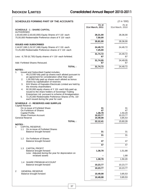| <b>SCHEDULES FORMING PART OF THE ACCOUNTS</b>                                                                                                                                                                                                                                                                                                                                                                                                                                                                                                                                                                                                                |                      | $(3 \t{ in } '000)$ |
|--------------------------------------------------------------------------------------------------------------------------------------------------------------------------------------------------------------------------------------------------------------------------------------------------------------------------------------------------------------------------------------------------------------------------------------------------------------------------------------------------------------------------------------------------------------------------------------------------------------------------------------------------------------|----------------------|---------------------|
|                                                                                                                                                                                                                                                                                                                                                                                                                                                                                                                                                                                                                                                              | As at                | As at               |
| <b>SCHEDULE - 1 : SHARE CAPITAL</b>                                                                                                                                                                                                                                                                                                                                                                                                                                                                                                                                                                                                                          | 31st March, 2011     | 31st March, 2010    |
| <b>AUTHORISED</b><br>2,83,60,000 (2,83,60,000) Equity Shares of ₹ 10/- each                                                                                                                                                                                                                                                                                                                                                                                                                                                                                                                                                                                  | 28,31,00             | 28,36,00            |
| 75,00,000 Redeemable Preference share of ₹ 10/- each                                                                                                                                                                                                                                                                                                                                                                                                                                                                                                                                                                                                         | 7,50,00              |                     |
|                                                                                                                                                                                                                                                                                                                                                                                                                                                                                                                                                                                                                                                              | 35,81,00             | 28,36,00            |
| <b>ISSUED AND SUBSCRIBED</b>                                                                                                                                                                                                                                                                                                                                                                                                                                                                                                                                                                                                                                 |                      |                     |
| 2,44,97,188 (1,52,97,188) Equity Shares of ₹ 10/- each.<br>72,25,000 Redeemable Preference shares of ₹ 10/- each                                                                                                                                                                                                                                                                                                                                                                                                                                                                                                                                             | 24,49,72<br>7,25,00  | 24,49,72            |
|                                                                                                                                                                                                                                                                                                                                                                                                                                                                                                                                                                                                                                                              | 31,74,72             | 24,49,72            |
| Less: 6,730 (6,730) Equity shares of $\bar{\tau}$ 10/- each forfeited.                                                                                                                                                                                                                                                                                                                                                                                                                                                                                                                                                                                       | 67                   | 67                  |
|                                                                                                                                                                                                                                                                                                                                                                                                                                                                                                                                                                                                                                                              | 31,74,05             | 24,49,05            |
| Add: Forfeited Shares Reissued.                                                                                                                                                                                                                                                                                                                                                                                                                                                                                                                                                                                                                              | 67                   | 67                  |
| <b>TOTAL:</b><br><b>NOTES:</b>                                                                                                                                                                                                                                                                                                                                                                                                                                                                                                                                                                                                                               | 31,74,72             | 24,49,72            |
| Issued and Subscribed Capital includes;<br>1.<br>49,23,930 fully paid up shares each alloted pursuant to<br>1.<br>an agreement for consideration other than cash<br>2.<br>1,00,000 fully paid up shares each alloted as bonus<br>shares by capitalisation of reserves<br>624 Shares of Kapsales Electricals Limited are held by<br>3.<br>the minority shareholders<br>92,00,000 equity shares of $\bar{\tau}$ 10/- each fully paid up,<br>4.<br>issued to the share holders of Sovereign Trading<br>Enterprises Ltd. pursuant to scheme of Amalgamation.<br>5.<br>72,25,000 Redeemable Preference Shares of Rs. 10/-<br>each issued during the year for cash |                      |                     |
| <b>SCHEDULE - 2 : RESERVES AND SURPLUS</b>                                                                                                                                                                                                                                                                                                                                                                                                                                                                                                                                                                                                                   |                      |                     |
| <b>Capital Reserve</b><br>On re-issue of Forfeited Share                                                                                                                                                                                                                                                                                                                                                                                                                                                                                                                                                                                                     | 31                   | 31                  |
| On Forfeiture of Shares<br><b>Capital Profits</b>                                                                                                                                                                                                                                                                                                                                                                                                                                                                                                                                                                                                            | 47<br>1,38,78        | 47<br>1,50,20       |
| Share Premium Account                                                                                                                                                                                                                                                                                                                                                                                                                                                                                                                                                                                                                                        | 10,23,77             | 10,23,77            |
| <b>General Reserve</b><br><b>TOTAL:</b>                                                                                                                                                                                                                                                                                                                                                                                                                                                                                                                                                                                                                      | 10,49,08<br>22,12,41 | 3,85,53<br>15,60,28 |
| <b>NOTES:</b>                                                                                                                                                                                                                                                                                                                                                                                                                                                                                                                                                                                                                                                |                      |                     |
| CAPITAL RESERVE :                                                                                                                                                                                                                                                                                                                                                                                                                                                                                                                                                                                                                                            |                      |                     |
| On re-issue of Forfeited Shares<br>1.1<br>Balance brought forward                                                                                                                                                                                                                                                                                                                                                                                                                                                                                                                                                                                            | 31                   | 31                  |
|                                                                                                                                                                                                                                                                                                                                                                                                                                                                                                                                                                                                                                                              | 31                   | 31                  |
| On Forfeiture of Shares<br>1.2<br>Balance brought forward                                                                                                                                                                                                                                                                                                                                                                                                                                                                                                                                                                                                    | 47                   | 47                  |
|                                                                                                                                                                                                                                                                                                                                                                                                                                                                                                                                                                                                                                                              | 47                   | 47                  |
| <b>CAPITAL PROFIT</b><br>1.3                                                                                                                                                                                                                                                                                                                                                                                                                                                                                                                                                                                                                                 |                      |                     |
| Balance brought forward                                                                                                                                                                                                                                                                                                                                                                                                                                                                                                                                                                                                                                      | 1,38,78              | 1,51,88             |
| Less: Adjusted during the year for depreciation on<br>revalued assets                                                                                                                                                                                                                                                                                                                                                                                                                                                                                                                                                                                        |                      | 1,68                |
|                                                                                                                                                                                                                                                                                                                                                                                                                                                                                                                                                                                                                                                              | 1,38,78              | 1,50,20             |
| 1.4 SHARE PREMIUM ACCOUNT<br>Balance brought forward                                                                                                                                                                                                                                                                                                                                                                                                                                                                                                                                                                                                         | 10,23,77             | 10,23,77            |
|                                                                                                                                                                                                                                                                                                                                                                                                                                                                                                                                                                                                                                                              | 10,23,77             | 10,23,77            |
| $\overline{2}$<br><b>GENERAL RESERVE</b>                                                                                                                                                                                                                                                                                                                                                                                                                                                                                                                                                                                                                     |                      |                     |
| Balance brought forward                                                                                                                                                                                                                                                                                                                                                                                                                                                                                                                                                                                                                                      | 10,49,08             | 3,85,53             |
|                                                                                                                                                                                                                                                                                                                                                                                                                                                                                                                                                                                                                                                              | 10,49,08             | 3,85,53             |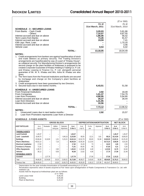|                                                                                                                                                                                                                                                                                                                                                                                                                                                                                                                                                                                                                                                                                                                                                                                                                                                           |                    | $(3 \t{cm} 1000)$ |
|-----------------------------------------------------------------------------------------------------------------------------------------------------------------------------------------------------------------------------------------------------------------------------------------------------------------------------------------------------------------------------------------------------------------------------------------------------------------------------------------------------------------------------------------------------------------------------------------------------------------------------------------------------------------------------------------------------------------------------------------------------------------------------------------------------------------------------------------------------------|--------------------|-------------------|
|                                                                                                                                                                                                                                                                                                                                                                                                                                                                                                                                                                                                                                                                                                                                                                                                                                                           | As at              | As at             |
| <b>SCHEDULE - 3 : SECURED LOANS</b>                                                                                                                                                                                                                                                                                                                                                                                                                                                                                                                                                                                                                                                                                                                                                                                                                       | 31st March, 2011   | 31st March, 2010  |
| From Banks - Cash Credit                                                                                                                                                                                                                                                                                                                                                                                                                                                                                                                                                                                                                                                                                                                                                                                                                                  | 3,20,03            | 5,81,86           |
| - Others<br>Interest accrued and due on above                                                                                                                                                                                                                                                                                                                                                                                                                                                                                                                                                                                                                                                                                                                                                                                                             | 7,10,57<br>1,86,06 | 8,87,55<br>56,42  |
| Term Loans from Banks                                                                                                                                                                                                                                                                                                                                                                                                                                                                                                                                                                                                                                                                                                                                                                                                                                     | 73,26              | 91,57             |
| Interest accrued and due on above                                                                                                                                                                                                                                                                                                                                                                                                                                                                                                                                                                                                                                                                                                                                                                                                                         | 19,59              | 7,41              |
| IOB Liqui. Rent. Loan<br>Interest accrued and due on above                                                                                                                                                                                                                                                                                                                                                                                                                                                                                                                                                                                                                                                                                                                                                                                                |                    | 1,70,20<br>3,46   |
| Vehicle Loan                                                                                                                                                                                                                                                                                                                                                                                                                                                                                                                                                                                                                                                                                                                                                                                                                                              | 8,54               | 6,02              |
| <b>TOTAL:</b>                                                                                                                                                                                                                                                                                                                                                                                                                                                                                                                                                                                                                                                                                                                                                                                                                                             | 13,18,05           | 18,04,49          |
| <b>NOTES:</b>                                                                                                                                                                                                                                                                                                                                                                                                                                                                                                                                                                                                                                                                                                                                                                                                                                             |                    |                   |
| 1. Credit arrangements from bankers are against hypothecation of stock<br>and trade debtors as primary security. The Trading Division's<br>arrangements are hypothecated by way of a part of "Khatau House",<br>as collateral security. For Manufacturing Division's arrangements the<br>second charge on the plant facilities at Ankleswar is proposed to be<br>created. Corporate Guarantee of Khatau Holding & Trading Co. P. Ltd.<br>and Khatau Leasing & Finance Co. P. Ltd. alongwith personal<br>quarantee of Mr. M. K. Khatau and Mrs. Asha M. Khatau are also<br>given.<br>2. The Term loans from the Financial Institutions and Banks are secured<br>by mortgage and charge on the Company's plant facilities at<br>Ankleshwar.<br>3. Credit arrangements have been quaranteed by two Directors.<br>4. Secured loans due in next twelve months. | 6,43,51            | 51,58             |
| <b>SCHEDULE - 4 : UNSECURED LOANS</b>                                                                                                                                                                                                                                                                                                                                                                                                                                                                                                                                                                                                                                                                                                                                                                                                                     |                    |                   |
| <b>From Financial Institutions</b><br>From Companies                                                                                                                                                                                                                                                                                                                                                                                                                                                                                                                                                                                                                                                                                                                                                                                                      | 2,92<br>1,01,37    | 18.49<br>7,54,79  |
| Loan from Promotors                                                                                                                                                                                                                                                                                                                                                                                                                                                                                                                                                                                                                                                                                                                                                                                                                                       | 4,90,95            | 5,94,80           |
| Interest accrued and due on above<br>Loan from Directors                                                                                                                                                                                                                                                                                                                                                                                                                                                                                                                                                                                                                                                                                                                                                                                                  | 35,37<br>1,31,95   | 28,44             |
| Interest Accrued and due on above                                                                                                                                                                                                                                                                                                                                                                                                                                                                                                                                                                                                                                                                                                                                                                                                                         | 10,56              |                   |
| <b>TOTAL:</b>                                                                                                                                                                                                                                                                                                                                                                                                                                                                                                                                                                                                                                                                                                                                                                                                                                             | 7,73,12            | 13,96,52          |
| <b>NOTES:</b>                                                                                                                                                                                                                                                                                                                                                                                                                                                                                                                                                                                                                                                                                                                                                                                                                                             |                    |                   |
| Unsecured Loans due in next twelve months :<br>1.                                                                                                                                                                                                                                                                                                                                                                                                                                                                                                                                                                                                                                                                                                                                                                                                         | 2,92               | 15,57             |

2. Loan from Promoters represents Loan from a Director

### **SCHEDULE - 5 FIXED ASSETS** (₹ in '000)

|                                 | <b>GROSS BLOCK</b><br><b>DEPRECIATION/AMORTISATION</b> |                          |                          |                           |                    | <b>NET BLOCK</b>    |                 |                   |                    |                    |                    |
|---------------------------------|--------------------------------------------------------|--------------------------|--------------------------|---------------------------|--------------------|---------------------|-----------------|-------------------|--------------------|--------------------|--------------------|
| <b>ASSET PARTICULARS</b>        | As at<br>$1-Apr-10$                                    | Revaluation              | Addition<br>during year  | Deduction/<br>Adjustments | As at<br>31-Mar-11 | As at<br>$1-Apr-10$ | For the<br>year | Adjustment        | As at<br>31-Mar-11 | As at<br>31-Mar-11 | As At<br>31-Mar-10 |
| <b>TANGIBLE ASSETS</b>          |                                                        |                          |                          |                           |                    |                     |                 |                   |                    |                    |                    |
| Land-Freehold                   | 1,26,37                                                |                          | $\qquad \qquad$          |                           | 1,26,37            |                     |                 |                   |                    | 1,26,37            | 1,26,37            |
| Land - Leasehold                | 19,49,75                                               | $\overline{\phantom{a}}$ | $\overline{\phantom{m}}$ | 8,46,10                   | 11,03,65           | 80,55               | 12,21           | 3,61              | 89,15              | 10,14,50           | 18,69,20           |
| <b>Buildings</b>                | 20,68,46                                               | 9,16,90                  | 1,01                     | 5,23,21                   | 24,63,16           | 10,52,78            | 80,65           | 53,38             | 10,80.05           | 13,83,11           | 10,25,20           |
| <b>Plant &amp; Machinery</b>    | 40,62,13                                               |                          | 7,16                     | -                         | 40,69,29           | 32,60,30            | 2,12,93         | $\qquad \qquad -$ | 34,73,23           | 5,96,06            | 8,01,83            |
| <b>Electrical Installation</b>  | 17,82                                                  |                          | -                        | -                         | 17,82              | 15,29               | 73              | -                 | 16,02              | 1,80               | 2,53               |
| <b>Furniture &amp; Fixtures</b> | 71,91                                                  |                          |                          | -                         | 71,91              | 66,65               | 95              | -                 | 67,60              | 4,31               | 5,26               |
| <b>Office Equipments</b>        | 1,35,72                                                |                          | 2,60                     | -                         | 1,38,32            | 1,19,08             | 4,48            | -                 | 1,23,56            | 14,76              | 16,64              |
| <b>Vehicles</b>                 | 36,12                                                  |                          | 9,56                     | $\qquad \qquad$           | 45,68              | 13,62               | 4,08            | -                 | 17,70              | 27,98              | 22,49              |
| <b>INTANGIBLE ASSETS</b>        |                                                        |                          |                          |                           |                    |                     |                 |                   |                    |                    |                    |
| Goodwill                        | -                                                      | 1,37,78                  | -                        | -                         | 1,37,78            |                     | 27,56           | -                 | 27,56              | 1,10,22            |                    |
| Total                           | 84,68,28                                               | 10,54,68                 | 20,33                    | 13,69,31                  | 81,73,98           | 46,08,27            | 3,43,60         | 56,99             | 48,94,85           | 32,79,13           | 38,69,53           |
| Previous Year                   | 1,04,00,43                                             |                          | 10,30                    | 19,30,73                  | 84,80,00           | 45,50,29            | 3,18,12         | 2,57,95           | 46,10,47           | 38,69,53           |                    |

- Depreciation for the year includes Amortization of Goodwilll amounting to  $\bar{\tau}$  27,56 K

- Revaluation represents value of assets acquired at Fair Value upon amalgamation of Radio Components & Transistors Co. Ltd. with Indokem Ltd.

Assets held for disposal at Ankleshwar plant are as follows:

| $(3 \in \mathbb{R}^2)$ in '000) |
|---------------------------------|
| 9.46.45                         |
| 6.95.86                         |
| 5.43.57                         |
|                                 |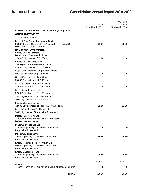# **INDOKEM LIMITED Consolidated Annual Report 2010-2011**

|                                                                                                                                      |                           | $(3 \t{m} 000)$           |
|--------------------------------------------------------------------------------------------------------------------------------------|---------------------------|---------------------------|
|                                                                                                                                      | As at<br>31st March, 2011 | As at<br>31st March, 2010 |
| <b>SCHEDULE - 6 : INVESTMENTS (At cost, Long Term)</b>                                                                               |                           |                           |
| <b>OTHER INVESTMENTS</b>                                                                                                             |                           |                           |
| <b>TRADE INVESTMENTS</b>                                                                                                             |                           |                           |
| Bharuch Eco-Aqua Infrastructure Limited<br>6,05,000 Equity Shares of ₹ 10/- each (Prv. Yr. 6,05,000)<br>NSC-7 years (Pr. yr. 21,000) | 60,50<br>21               | 60,50<br>21               |
| <b>NON TRADE INVESTMENTS</b><br><b>Equity Shares - quoted</b><br>Development Credit Bank Limited                                     |                           |                           |
| 1,200 Equity Shares of ₹ 10/ each.                                                                                                   | 18                        | 18                        |
| <b>Equity Shares - unquoted</b><br>The Kapol Co-operative Bank Limited<br>4,200 Equity Shares of ₹ 10/- each.                        | 43                        | 43                        |
| <b>Gujrat Small Industrial Corporation Limited</b><br>600 Equity Shares of ₹ 10/- each.                                              | 6                         | 6                         |
| United Easter & Nitrochem Limited                                                                                                    |                           |                           |
| 30,000 Equity Shares of ₹ 10/ each.<br>Shamrao Vithal Co-op. Bank Limited                                                            | 1                         | 1                         |
| 1,000 Equity Shares of ₹ 25/- each.                                                                                                  | 25                        | 25                        |
| Surya Krupa Finance Ltd.<br>3,000 Equity Shares of ₹ 10/- each.                                                                      | 1                         | 1                         |
| The Mogaveera Co-operative Bank Ltd.<br>10 Equity Shares of ₹ 100/- each.                                                            | 1                         | 1                         |
| Indokem Exports Limited<br>42,006 Equity Shares of Face Value ₹ 10/- each.                                                           | 11,18                     | 11,18                     |
| Bharat Chemicals & Fertilisers Ltd.<br>50 Equity Shares of Face Value ₹ 10/- each.                                                   | 1                         | 1                         |
| Mafatlal Engineering Ltd.<br>25 Equity Shares of Face Value ₹ 100/- each.<br>Debentures - unquoted                                   | 2                         | $\overline{2}$            |
| Priyamvada Holdings Ltd.<br>2,00,000 Optionally Convertible Debentures<br>Face Value ₹ 10/- each.                                    | 1,00                      | 1,00                      |
| Indokem Exports Limited<br>19,800 Optionally Convertible Debentures.<br>Face Value ₹ 10/- each.                                      | 19,80                     | 19,80                     |
| Khatau Holdings & Trading Co. P. Ltd.<br>50,000 Optionally Convertible Debentures<br>Face Value ₹ 10/- each.                         | 1                         | 1                         |
| Khatau Capacitors P Ltd.<br>3,06,846 Optionally Convertible Debentures<br>Face Value ₹ 10/- each.                                    | 3,06,85                   | 3,06,85                   |
| Others                                                                                                                               | 4,00,53                   | 4,00,53                   |
| Less: Provision for diminution in value of unquoted shares                                                                           | (3)                       | (3)                       |
| <b>TOTAL:</b>                                                                                                                        | 4,00,50                   | 4,00,50                   |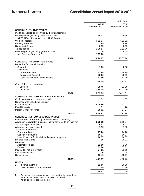# **INDOKEM LIMITED**

# Consolidated Annual Report 2010-2011

|                                                                                                                           |               |                  | $(3 \t{cm} 1000)$ |
|---------------------------------------------------------------------------------------------------------------------------|---------------|------------------|-------------------|
|                                                                                                                           |               | As at            | As at             |
|                                                                                                                           |               | 31st March, 2011 | 31st March, 2010  |
| <b>SCHEDULE - 7 : INVENTORIES</b>                                                                                         |               |                  |                   |
| (As taken, valued and certified by the Management)<br>Raw Materials (including materials in transit                       |               | 65,02            | 79,36             |
| ₹ 34,70,310/-) : Previous Year ₹ 12,46,140/-)                                                                             |               |                  |                   |
| Work-in-Progress                                                                                                          |               | 3,11,37          | 4,01,52           |
| <b>Packing Materials</b>                                                                                                  |               | 7,89             | 6,96              |
| Stores and Spares                                                                                                         |               | 6,19             | 6,19              |
| Traded goods                                                                                                              |               | 3,76,57          | 3,62,76           |
| Finished goods (including goods in transit<br>₹ Nil : Previous Year ₹ Nil/-)                                              |               | 1,07,73          | 1,48,45           |
|                                                                                                                           |               |                  |                   |
|                                                                                                                           | <b>TOTAL:</b> | 8,74,77          | 10,05,24          |
| <b>SCHEDULE - 8 : SUNDRY DEBTORS</b>                                                                                      |               |                  |                   |
| Debts due for over six months:                                                                                            |               |                  |                   |
| Secured<br>Unsecured                                                                                                      |               | 1,50             | 2,33              |
| <b>Considered Good</b>                                                                                                    |               | 67,99            | 3,29,99           |
| <b>Considered Doubtful</b>                                                                                                |               | 43,60            | 42,09             |
| Less: Provision for Doubtful Debts                                                                                        |               | 43,60            | 42,09             |
|                                                                                                                           |               | 69,49            | 3,32,32           |
| Other Debts considered good                                                                                               |               |                  |                   |
| Secured                                                                                                                   |               | 29,45            | 21,39             |
| Unsecured                                                                                                                 |               | 7,94,09          | 12,57,60          |
|                                                                                                                           | <b>TOTAL:</b> | 8,93,03          | 16,11,31          |
| <b>SCHEDULE - 9 : CASH AND BANK BALANCES</b>                                                                              |               |                  |                   |
| Cash, stamps and cheques on hand                                                                                          |               | 1,92             | 1,87              |
| Balances with Scheduled Banks in:                                                                                         |               |                  |                   |
| <b>Current Accounts</b>                                                                                                   |               | 4,09,59          | 12,23             |
| <b>Fixed Deposits</b>                                                                                                     |               | 31               | 28                |
| <b>Margin Money Accounts</b>                                                                                              |               | 35,01            | 37,27             |
|                                                                                                                           | <b>TOTAL:</b> | 4,46,83          | 51,65             |
| <b>SCHEDULE - 10 : LOANS AND ADVANCES</b>                                                                                 |               |                  |                   |
| (Unsecured - Considered good unless stated otherwise)<br>Advances recoverable in cash or in kind for value to be received |               |                  |                   |
| Accrued export incentives                                                                                                 |               | 2,35,98<br>6,01  | 2,16,94<br>5,77   |
| Advances and loans to staff                                                                                               |               | 1,10             | 1,85              |
| Advances to suppliers                                                                                                     |               |                  |                   |
| Considered good                                                                                                           |               | 27,20            | 24,20             |
| Considered doubtful<br>Less: Provision for Doubtful Advance to suppliers                                                  |               | 16,37<br>16,37   | 16,37<br>16,37    |
| <b>Balance with Excise</b>                                                                                                |               | 95               | 26,71             |
| Deposits                                                                                                                  |               |                  |                   |
| Against premises                                                                                                          |               | 11,58            | 1,68              |
| <b>Others</b>                                                                                                             |               | 1,03,78          | 1,07,73           |
| Income-tax-net of Provision<br><b>Interest Receivable</b>                                                                 |               | 74,51            | 63,19<br>8        |
| Sales tax paid                                                                                                            |               | 10,41            | 12,61             |
|                                                                                                                           |               |                  |                   |
|                                                                                                                           | <b>TOTAL:</b> | 4,71,57          | 4,60,76           |
| <b>NOTES:</b><br>1.<br>Income-tax Paid                                                                                    |               | 81,96            | 80,85             |
| Less: Provision for Income-tax                                                                                            |               | 7,45             | 17,66             |
|                                                                                                                           |               |                  |                   |
|                                                                                                                           |               | 74,51            | 63,19             |
| 2.<br>Advances recoverable in cash or in kind or for value to be<br>received includes Loans to private company in         |               |                  |                   |

received includes Loans to private company in which directors are interested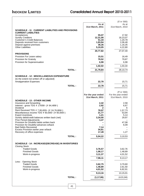|                                                                                                    |               |                    | $($ ₹ in '000)     |
|----------------------------------------------------------------------------------------------------|---------------|--------------------|--------------------|
|                                                                                                    |               | As at              | As at              |
|                                                                                                    |               | 31st March, 2011   | 31st March, 2010   |
| <b>SCHEDULE - 11: CURRENT LIABILITIES AND PROVISIONS</b><br><b>CURRENT LIABILITIES</b>             |               |                    |                    |
| Acceptances                                                                                        |               | 55,07              | 17,92              |
| <b>Sundry Creditors</b>                                                                            |               | 12,31,08           | 18,23,07           |
| <b>Customer's Credit Balances</b><br>Deposits received from customers                              |               | 51,34<br>1,93,94   | 1,20,78<br>2,06,48 |
| Deposit against premises                                                                           |               | 36,35              | 1,16,35            |
| <b>Other Liabilities</b>                                                                           |               | 5,10,05            | 4,22,80            |
|                                                                                                    |               | 20,77,82           | 27,07,40           |
| <b>PROVISIONS</b><br>Provision For Leave salary                                                    |               | 15,51              | 16,49              |
| <b>Provision for Gratuity</b>                                                                      |               | 79,52              | 79,87              |
| Provision for Superannuation                                                                       |               | 6,98               | 6,98               |
|                                                                                                    |               | 1,02,02            | 1,03,34            |
|                                                                                                    | <b>TOTAL:</b> | 21,79,84           | 28,10,74           |
|                                                                                                    |               |                    |                    |
| <b>SCHEDULE - 12 : MISCELLANEOUS EXPENDITURE</b>                                                   |               |                    |                    |
| (to the extent not written off or adjusted)                                                        |               |                    |                    |
| <b>Amalgamation Expenses</b>                                                                       |               | 22,78              | 15,71              |
|                                                                                                    | <b>TOTAL:</b> | 22,78              | 15,71              |
|                                                                                                    |               |                    | (₹ in '000)        |
|                                                                                                    |               | For the year ended | For the year ended |
|                                                                                                    |               | 31st March, 2011   | 31st March, 2010   |
| <b>SCHEDULE - 13 : OTHER INCOME</b><br>Insurance and forwarding                                    |               | 2,42               | 2,58               |
| Interest - gross TDS ₹ 17939/- (₹ 64,489/-)                                                        |               | 2,92               | 6,67               |
| Dividend                                                                                           |               | 2                  | 6                  |
| Rent Received TDS ₹ 7,95,655/- (₹ 24,76,806/-)<br>Miscellaneous income TDS ₹ 60,000/- (₹ 60,000/-) |               | 78,97<br>21,77     | 1,57,73<br>53,94   |
| <b>Export incentives</b>                                                                           |               | 1,21               | 5,14               |
| Sundry debit/credit balances written back (net)<br><b>Prior Period Adjustments</b>                 |               | 3,34,00<br>3,47    | 29,97              |
| Provision for Doubtful debts written back                                                          |               |                    | 47,08              |
| Provision for Doubtful advances w/back                                                             |               |                    | 6,09               |
| <b>Bad Debts Recovered</b><br>Excess Provision earlier year w/back                                 |               | 7,14<br>34,81      |                    |
| Recovery of office expenses                                                                        |               | 17,49              | 1,27               |
|                                                                                                    | <b>TOTAL:</b> | 5,04,22            | 3,10,53            |
|                                                                                                    |               |                    |                    |
| <b>SCHEDULE - 14 : INCREASE/(DECREASE) IN INVENTORIES</b>                                          |               |                    |                    |
| <b>Closing Stock</b><br><b>Traded Goods</b>                                                        |               | 3,76,57            | 3,62,76            |
| <b>Finished Goods</b>                                                                              |               | 1,08,17            | 1,48,89            |
| Work-in-progress                                                                                   |               | 3,11,37            | 4,01,52            |
|                                                                                                    |               | 7,96,11            | 9,13,17            |
| Less: Opening Stock                                                                                |               |                    |                    |
| <b>Traded Goods</b><br><b>Finished Goods</b>                                                       |               | 3,62,75<br>1,48,89 | 3,70,60<br>2,61,50 |
| Work-in-progress                                                                                   |               | 4,01,52            | 6,82,91            |
|                                                                                                    |               | 9,13,16            | 13,15,01           |
|                                                                                                    | <b>TOTAL:</b> | (1, 17, 06)        | (4,01,84)          |
|                                                                                                    |               |                    |                    |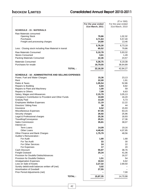# **INDOKEM LIMITED**

|                                                                                     |                    | (₹ in '000)        |
|-------------------------------------------------------------------------------------|--------------------|--------------------|
|                                                                                     | For the year ended | For the year ended |
|                                                                                     | 31st March, 2011   | 31st March, 2010   |
| <b>SCHEDULE - 15 : MATERIALS</b>                                                    |                    |                    |
| Raw Materials consumed                                                              |                    |                    |
| <b>Opening Stock</b>                                                                | 79,86              | 1,02,32            |
| Purchases                                                                           | 4,71,64            | 5,57,40            |
| Freight and processing charges                                                      | 24,80              | 13,46              |
|                                                                                     | 5,76,30            | 6,73,18            |
| Less: Closing stock including Raw Material in transit                               | 65,52              | 79,86              |
| <b>Raw Materials Consumed</b>                                                       | 5,10,78            | 5,93,32            |
| <b>Stores Consumed</b>                                                              | 3,61               | 1,49               |
| Packing Materials Consumed                                                          | 22,36              | 24,57              |
|                                                                                     |                    |                    |
| <b>Materials Consumed</b>                                                           | 5,36,75            | 6,19,38            |
| Purchases for resale                                                                | 16,79,55           | 36,64,89           |
| <b>TOTAL:</b>                                                                       | 22,16,30           | 42,84,27           |
|                                                                                     |                    |                    |
| <b>SCHEDULE - 16 : ADMINISTRATIVE AND SELLING EXPENSES</b>                          |                    |                    |
| Power, Fuel and Water Charges                                                       | 15,36              | 23,13              |
| Rent                                                                                | 22,00              | 1,91               |
| Rates & Taxes                                                                       | 1,05,54            | 52,86              |
| Repairs to Building                                                                 | 6,84               | 8,82               |
| Repairs to Plant and Machinery                                                      | 1,00               | 59                 |
| Repairs to Others                                                                   | 7,09               | 6,63               |
| Salary, Wages and Allowances<br>Company's Contribution to Provident and Other Funds | 2,15,79<br>10,69   | 3,05,13<br>16,20   |
| <b>Gratuity Paid</b>                                                                | 13,28              | 5,73               |
| <b>Employees Welfare Expenses</b>                                                   | 11,19              | 12,22              |
| <b>Directors' Sitting Fees</b>                                                      | 38                 | 44                 |
| Insurance                                                                           | 6,52               | 15,93              |
| Miscellaneous Expenses                                                              | 67,05              | 63,15              |
| Security charges                                                                    | 26,92              | 25,96              |
| Legal & Professional charges                                                        | 25,36              | 18,93              |
| Travelling/Conveyance                                                               | 25,01              | 17,36              |
| <b>Sales Commission</b>                                                             | 35,81              | 38,07              |
| Interest on:                                                                        |                    |                    |
| Term Loans                                                                          | 14,09              | 19,16              |
| <b>Other Loans</b>                                                                  | 4,48,45            | 4,07,95            |
| Other Finance and Bank Charges                                                      | 1,75,79            | 48,56              |
| Auditor's Remuneration:                                                             |                    |                    |
| For Audit<br>For Tax Audit                                                          | 1,80<br>33         | 1,68<br>30         |
| For Other Services                                                                  | 24                 | 22                 |
| For Expenses                                                                        | 17                 | 20                 |
| Cash Discount                                                                       | 55,87              | 38,76              |
| <b>Freight Outward</b>                                                              | 25,34              | 41,06              |
| <b>Provision for Doubtful Debts/Advances</b>                                        |                    | 16,37              |
| Provision for Doubtful Debtors                                                      | 1,51               | 54                 |
| <b>Amalgamation Expenses</b>                                                        | 10,04              | 6,62               |
| Loss on Sale of Assets                                                              | 2,27,32            | 2,69,50            |
| Sundry debit/credit balances written off (net)                                      | 3,02               |                    |
| Amortisation of Goodwill                                                            | 27,55              |                    |
| Prior Period Adjustments (net)                                                      |                    | 7,00               |
| <b>TOTAL:</b>                                                                       | 15,87,35           | 14,70,98           |
|                                                                                     |                    |                    |
|                                                                                     |                    |                    |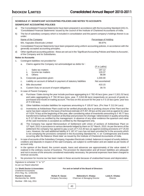Signature to schedule "1" to "17"

|                |        | SCHEDULE 17: SIGNIFICANT ACCOUNTING POLICIES AND NOTES TO ACCOUNTS                                                                                                                                                                                                                                                                                                                            |                       |
|----------------|--------|-----------------------------------------------------------------------------------------------------------------------------------------------------------------------------------------------------------------------------------------------------------------------------------------------------------------------------------------------------------------------------------------------|-----------------------|
|                |        | <b>SIGNIFICANT ACCOUNTING POLICIES</b>                                                                                                                                                                                                                                                                                                                                                        |                       |
| a)             |        | The Consolidated Financial Statements have been prepared in accordance with the Accounting Standard (AS) 21,<br>'Consolidated Financial Statements' issued by the council of the Institute of Chartered Accountants of India.                                                                                                                                                                 |                       |
| b)             | under: | The list of subsidiary company which is included in consolidation and the parent company's holdings therein is as                                                                                                                                                                                                                                                                             |                       |
|                |        | Name of the Company                                                                                                                                                                                                                                                                                                                                                                           | Percentage of Holding |
|                |        | M/s. Kapsales Electricals Limited                                                                                                                                                                                                                                                                                                                                                             | 99.97%                |
| C)             |        | Consolidated Financial Statements have been prepared using uniform accounting policies, in accordance with the<br>generally accepted accounting principles.                                                                                                                                                                                                                                   |                       |
| d)             |        | Other significant accounting policies - these are set out in the 'Significant Accounting Policies and Notes to Accounts',<br>of the Company and its Subsidiaries.                                                                                                                                                                                                                             |                       |
|                |        | <b>Notes to Accounts</b>                                                                                                                                                                                                                                                                                                                                                                      |                       |
| $\mathbf{1}$ . |        | Contingent liabilities not provided for:                                                                                                                                                                                                                                                                                                                                                      |                       |
|                | a.     | Claims against the Company not acknowledged as debts for:                                                                                                                                                                                                                                                                                                                                     |                       |
|                |        |                                                                                                                                                                                                                                                                                                                                                                                               | (₹ in Lakhs)          |
|                |        | Sales tax matters<br>i.                                                                                                                                                                                                                                                                                                                                                                       | 197.12                |
|                |        | ii.<br>Income tax matters<br><b>Others</b><br>iii.                                                                                                                                                                                                                                                                                                                                            | 120.37<br>98.99       |
|                | b.     | Corporate guarantees given                                                                                                                                                                                                                                                                                                                                                                    | 1,030.00              |
|                |        |                                                                                                                                                                                                                                                                                                                                                                                               | Not ascertained       |
|                | C.     | Liability on account of default in payment of statutory liabilities                                                                                                                                                                                                                                                                                                                           |                       |
|                | d.     | <b>Bills discounted</b>                                                                                                                                                                                                                                                                                                                                                                       | 410.15                |
|                | е.     | Custom Duty on account of export obligations                                                                                                                                                                                                                                                                                                                                                  | 39.70                 |
| 2.             |        | In case of Parent Company:                                                                                                                                                                                                                                                                                                                                                                    |                       |
|                | a)     | Purchase / Sales during the year include purchase aggregating to ₹782.45 lacs (prev. year ₹2,811.52 lacs)<br>and sales aggregating to $\bar{\tau}$ 782.30 lacs (prev. year. $\bar{\tau}$ 2,810.96 lacs) respectively on account of goods re-<br>purchased and resold on trading account. The loss on this account for the year is ₹ 0.15 lacs (prev. year loss<br>of $\bar{\tau}$ 0.56 lacs). |                       |

b) Other liabilities includes liabilities for expenses amounting to  $\bar{\tau}$  105.67 lacs. (Prv.Year  $\bar{\tau}$  212.04 Lacs)

- c) Inventories at Ankleshwar Plant could not be verified physically due to prolong closure of the Plant and the same has been valued on the basis of technical estimate of  $\bar{\tau}$  457.28 lacs at the year end as against its value of  $\bar{\tau}$  624.74 lacs at the beginning of the year, after considering value of inventories amounting to  $\bar{\tau}$  49.77 lacs transferred to Dahisar Mori Godown at Mumbai and provision for shortage / deterioration in quality amounting to ₹117.69 lacs as certified by the management. In absence of any other evidence the quantum and value of the said inventories is accepted as certified by the Management only.
- d) The Company has signed Memorandum of Settlement with Union of workers of Ankleshwar Plant on 12<sup>th</sup> April, 2011 in pursuance to various demands lodged by them on 31<sup>st</sup> March, 2010. As per the terms of the settlement the company has agreed to pay a sum of  $\bar{\tau}$  213.40 lacs as against existing provisions of  $\bar{\tau}$  25.93 Lacs. However, the said additional liability of  $\bar{\tau}$  187.47 Lacs has not been provided for in the accounts which is not complying the provisions contained in the Accounting Standard No. 4. on 'Contingencies and Events occurring after the Balance Sheet date' as issued by the Institute of Chartered Accountants of India.
- 3 In case of accounts of the Subsidiary Company, Kapsales Electricals Limited. balances in respect of sundry debtors, creditors and deposits in respect of the said Company, are subject to confirmation and are stated as per books of account only.
- 4 In the opinion of the Board, the current assets, loans and advances are approximately of the value stated, if realized in the ordinary course of business. The provision for depreciation and all known liabilities are adequate and not in excess of the amounts considered reasonably necessary. No personal expenses have been charged to revenue accounts.
- 5 No provision for income tax has been made in these accounts because of unabsorbed losses and depreciation.

| As per our Report attached                                                               |                                     |                                                    |                             |
|------------------------------------------------------------------------------------------|-------------------------------------|----------------------------------------------------|-----------------------------|
| For Sheth Doctor & Associates<br><b>Chartered Accountants</b><br>(Firm Reg. No. 124822W) |                                     | For and on behalf of the Board of Directors        |                             |
| Paresh S. Doctor<br>Membership No. 36056<br>Mumbai: 29th July, 2011                      | Rohan R. Gavas<br>Company Secretary | Mahendra K. Khatau<br>Chairman & Managing Director | Leela K. Khatau<br>Director |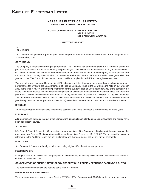### **KAPSALES ELECTRICALS LIMITED TWENTY NINETH ANNUAL REPORT 2010-11**

**BOARD OF DIRECTORS : MR. M. K. KHATAU MR. P. S. JOSHI MR. SANTOSH S. SALUNKE**

### **DIRECTORS' REPORT**

To, The Members,

Your Directors are pleased to present you Annual Report as well as Audited Balance Sheet of the Company as at 31<sup>st</sup> December, 2010.

### **OPERATIONS**

The Company is gradually improving its performance. The Company has earned net profit of  $\bar{\tau}$  136.92 lakh during the period as against loss of ₹37.93 lakh during the previous year. Your Directors are pleased to inform you that on account of continuous and sincere affords of the entire management team, the net worth of the company became positive and the revival of the company is sustainable. Your Directors are hopeful that the performance will increase gradually in the years to come. The Board of Directors recommend to file an application to BIFR for de-registration of case.

You are well aware that your Company is 100% subsidiary of listed Company therefore it has to submit its quarterly performance for review to the Board Members of Holding Company. Thus at the Board Meeting held on 15th October 2010 at the time of review of quarterly performance for the quarter ended on 30<sup>th</sup> September 2010 of the company, the Board Members observed that net worth may be positive on account of recent developments taken place and therefore your Board Members shown desire to reduce accounting year of the Company from 31<sup>st</sup> March 2011 to 31<sup>st</sup> December 2010 to present true and fair view of positive net worth at the earliest. It is needless to mention that reduction of financial year is duly permitted as per provisions of section 2(17) read with section 166 and 210 of the Companies Act, 1956.

### **DIVIDEND**

Your directors regret their inability to recommend payment of dividend to conserve the resources for future years.

### **INSURANCE**

All properties and insurable interest of the Company including buildings, plant and machineries, stores and spares have been adequately insured.

### **AUDITORS**

M/s. Devesh Shah & Associates, Chartered Accountant, Auditors of the Company hold office until the conclusion of the ensuing Annual General Meeting and are auditors for this Auditors Report as at 31.12.2010. The notes on the accounts referred to in the Auditors' Report are self explanatory and therefore do not call for any further comments.

### **DIRECTORS**

Shri Santosh S. Salunke retires by rotation, and being eligible offer himself for reappointment

### **FIXED DEPOSITS**

During the year under review, the Company has not accepted any deposits by invitation from public under Section 58-A of the Companies Act, 1956.

### **CONSERVATION OF ENERGY, TECHNOLOGY ABSORPTION & FOREIGN EXCHANGE EARNINGS & OUTGO :**

The above-mentioned details are not applicable to your Company.

### **PARTICULARS OF EMPLOYEES**

There are no employees covered under Section 217 (2A) of The Companies Ad, 1956 during the year under review.

44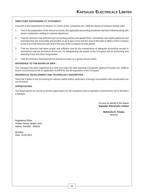### **DIRECTORS' RESPONSIBILITY STATEMENT :**

Pursuant to the requirement of Section 217 (2AA) of the Companies Act, 1956 the Board of Directors hereby state:

- 1. That in the preparation of the annual accounts, the applicable accounting standards had been followed along with proper explanation relating to material departures;
- 2. That the Directors had selected such accounting policies and applied them consistently and made judgments and estimates that are reasonable and prudent so as to give a true and fair view of the state of affairs of the Company at the end of the financial year and of the loss of the Company for that period;
- 3. That the Directors had taken proper and sufficient care for the maintenance of adequate accounting records in accordance with the provisions of this Act, for safeguarding the assets of the Company and for preventing and detecting fraud and other irregularities;
- 4. That the Directors had prepared the annual accounts on a going concern basis.

### **REFERENCE TO THE BOARD OF BIFR :**

The Company has been registered as a Sick Unit under the Sick Industrial Companies (Special Provision Act, 1985) & Board recommened to file an application to BIFR for the de-regisration of the Company.

### **RESEREACH, DEVELOPMENT AND TECHNOLOGY ABSORPTION :**

Since the Factory is not functioning for reasons stated earlier, particulars of energy consumption and conservation are not furnished.

### **APPRECIATION:**

The Board places on record its sincere appreciation for the assistance and co-operation received from all its Members & Bankers.

> For and on behalf of the Board **Kapsales Electricals Limited**

> > **Mahendra K. Khatau** Director

Registered Office: Khatau House, Mogul Lane, Mahim, Mumbai - 400016

Mumbai, Date: 15.02.2011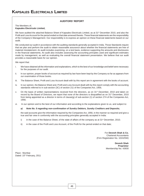### **AUDITORS' REPORT**

### The Members of, **Kapsales Electricals Limited,**

We have audited the attached Balance Sheet of Kapsales Electricals Limited, as at 31<sup>st</sup> December 2010, and also the Profit and Loss Account for the period ended on that date annexed thereto. These financial statements are the responsibility of the Company's Management. Our responsibility is to express an opinion on these financial statements based on our audit.

We conducted our audit in accordance with the auditing standards generally accepted in India. Those Standards require that we plan and perform the audit to obtain reasonable assurance about whether the financial statements are free of material misstatement. An audit includes examining, on a test basis, evidence supporting the amounts and disclosures in the financial statements. An audit also includes assessing the accounting principles used and significant estimates made by management, as well as evaluating the overall financial statement presentation. We believe that our audit provides a reasonable basis for our opinion.

We report that:

- i. We have obtained all the information and explanations, which to the best of our knowledge and belief were necessary for the purposes of our audit.
- ii. In our opinion, proper books of account as required by law have been kept by the Company so far as appears from our examination of those books.
- iii. The Balance Sheet, Profit and Loss Account dealt with by this report are in agreement with the books of account.
- iv. In our opinion, the Balance Sheet and, Profit and Loss Account dealt with by this report comply with the accounting standards referred to in sub-section (3C) of section 211 of the Companies Act, 1956;
- v. On the basis of written representations received from the directors, as on 31<sup>st</sup> December, 2010 and taken on record by the Board of Directors, we report that none of the directors is disqualified as on 31<sup>st</sup> December, 2010 from being appointed as a director in terms of clause(g) of sub-section (1) of section 274 of the Companies Act, 1956;
- vi. In our opinion and to the best of our information and according to the explanations given to us, and subject to:

### *a) Note No. 5 regarding non-confirmation of Sundry Debtors, Sundry Creditors and Deposits;*

the said accounts give the information required by the Companies Act, 1956, in the manner so required and give a true and fair view in conformity with the accounting principles generally accepted in India:

- i) in the case of the Balance Sheet, of the state of affairs of the company as at  $31<sup>st</sup>$  December, 2010;
- ii) in the case of the Profit and Loss Account, of the Profit for the period ended on that date;

For **Devesh Shah & Co.** Chartered Accountants (Firm Registration No. 102425W)

> **Devesh Shah Proprietor** Membership No. 43930

Place : Mumbai Dated: 15<sup>th</sup> February, 2011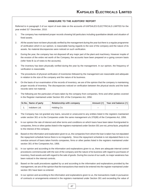### **ANNEXURE TO THE AUDITORS' REPORT**

Referred to in paragraph 3 of our report of even date on the accounts of KAPSALES ELECTRICALS LIMITED for the year ended 31<sup>st</sup> December, 2010.

- 1. The company has maintained proper records showing full particulars including quantitative details and situation of fixed assets.
- 2. All the assets have not been physically verified by the management during the year but there is a regular programme of verification which in our opinion, is reasonable having regards to the size of the company and the nature of its assets. No material discrepancies were noticed on such verification.
- 3. During the year, the company has not disposed off any major part of the plant and machinery. However inspite of the erosion of the entire net worth of the Company, the accounts have been prepared on a going concern basis (refer Note B-1a of notes to the accounts).
- 4. The inventory has been physically verified during the year by the management. In our opinion, the frequency of verification is reasonable.
- 5. The procedures of physical verification of inventories followed by the management are reasonable and adequate in relation to the size of the company and the nature of its business.
- 6. On the basis of our examination of the records of inventory, we are of the opinion that the company is maintaining proper records of inventory. The discrepancies noticed on verification between the physical stocks and the book records were not material.
- 7. The following are the particulars of loans taken by the company from companies, firms and other parties covered in the Register maintained under Section 301 of the Companies Act, 1956:

| Sr.No. Name of party | <b>Relationship with company</b> |  | Amount (₹)   Year end balance (₹) |
|----------------------|----------------------------------|--|-----------------------------------|
| Indokem Ltd.         | Holding Co.                      |  |                                   |

- 8. The Company has not granted any loans, secured or unsecured to any entities listed in the registers maintained under section 301 or to the Companies under the same management u/s.370(IB) of the Companies Act, 1956.
- 9. In our opinion the rate of interest and other terms and conditions on which loans have been taken from/granted to companies, firms or other parties listed in the registers maintained under Section 301 are not, prima facie, prejudicial to the interest of the company.
- 10. Based on the information and explanation given to us, the companies from whom the loan is taken has not stipulated the repayment schedule hence there is no irregularity . Since the repayment schedule is not stipulated there is no overdue amount of loans taken from/to companies, firms or other parties listed in the registers maintained under section 301 of the Companies Act, 1956.
- 11. In our opinion and according to the information and explanations given to us, there are adequate internal control procedures commensurate with the size of the company and the nature of its business with regard to purchases of inventory, fixed assets and with regard to the sale of goods. During the course of our audit, no major weakness has been noticed in the internal controls.
- 12. Based on the audit procedures applied by us and according to the information and explanations provided by the management, we are of the opinion that the transactions that need to be entered into the register maintained under section 301 have been so entered.
- 13. In our opinion and according to the information and explanations given to us, the transactions made in pursuance of contracts or arrangements entered in the registers maintained under Section 301 and exceeding the value of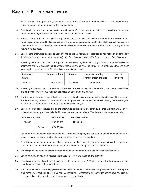five lakh rupees in respect of any party during the year have been made at prices which are reasonable having regard to prevailing market prices at the relevant time.

- 14. Based on the information and explanation given to us, the Company has not accepted any deposits during the year within the meaning of section 58A and 58AA of the Companies Act, 1956.
- 15. Based on the information and explanations given to us, the company does not have formal internal audit department. However, we are informed that its internal control procedures ensure reasonable internal checking of financial and other records. In our opinion the internal audit system is commensurate with the size of the Company and the nature of its business.
- 16. Based on the information and explanation given to us, the maintenance of cost records has not been prescribed by the Central Government under section 209(1)(d) of the Companies Act, 1956 for the products of the Company.
- 17. According to the records of the company, the company is not regular in depositing with appropriate authorities the undisputed statutory dues including provident fund, employees' state insurance, income-tax, sales-tax, and other statutory dues applicable to it. The details of arrears is as follows:

| <b>Particulars</b> | Nature of dues | Amount    | Amt outstanding        | Date of        |
|--------------------|----------------|-----------|------------------------|----------------|
| <b>Statute</b>     |                |           | for more than 6 months | <b>Payment</b> |
| Sales-tax          | Undisputed     | 79.39.459 | 79.39.459              | -              |

- 18. According to the records of the company, there are no dues of sales tax, income-tax, customs tax/wealth-tax, excise duty/cess which have not been deposited on account of any dispute.
- 19. The Company has been registered with BIFR for more than five years and the accumulated losses of the company are more than fifty percent of its net worth. The company has not incurred cash losses during the financial year covered by our audit and the immediately preceding financial year.
- 20. Based on our audit procedures and on the information and explanations given by the management, we are of the opinion that the company has defaulted in repayment of dues to a bank. The details of the same is as below:

| Name of the Bank | Amount O/s  | <b>Period of default</b> |
|------------------|-------------|--------------------------|
| X-223 CC         | 1,98,37,666 | Not identified           |
| TOTAL            | 1,98,37,666 |                          |

- 21. Based on our examination of documents and records, the Company has not granted loans and advances on the basis of security by way of pledge of shares, debentures and other securities.
- 22. Based on our examination of the records and information given to us, there are no transactions related to shares and securities. However the shares and securities held by the Company is in its own name.
- 23. The company has not given any guarantee for loans taken by others from bank or financial institutions.
- 24. Based on our examination of records there were no term loans raised during the year.
- 25. Based on our examination of the balance sheet of the company as at 31.12.2010 we find that the company has not raised any short term or long-term funds.
- 26. The company has not made any preferential allotment of shares to parties and companies covered in the register maintained under section 301 of the Act hence question as to whether the price at which shares have been issued is prejudicial or not to the interest of the company is not applicable.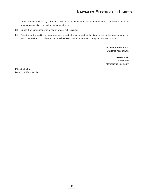- 27. During the year covered by our audit report, the company has not issued any debentures and is not required to create any security in respect of such debentures.
- 28. During the year no money is raised by way of public issues.
- 29. Based upon the audit procedures performed and information and explanations given by the management, we report that no fraud on or by the company has been noticed or reported during the course of our audit.

For **Devesh Shah & Co.** Chartered Accountants

**Devesh Shah Proprietor** Membership No. 43930

Place : Mumbai Dated: 15<sup>th</sup> February, 2011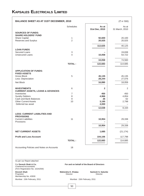| <b>BALANCE SHEET AS AT 31ST DECEMBER, 2010</b>                                           |                     |                                             | $(3 \tanh 7000)$        |
|------------------------------------------------------------------------------------------|---------------------|---------------------------------------------|-------------------------|
|                                                                                          | <b>Schedules</b>    | As at<br>31st Dec, 2010                     | As at<br>31 March, 2010 |
| <b>SOURCES OF FUNDS:</b>                                                                 |                     |                                             |                         |
| <b>SHARE HOLDERS' FUND</b>                                                               |                     |                                             |                         |
| Share Capital                                                                            | 1                   | 92,600                                      | 20,100                  |
| Reserves and Surplus                                                                     | $\overline{2}$      | 20,025                                      | 20,025                  |
|                                                                                          |                     | 112,625                                     | 40,125                  |
| <b>LOAN FUNDS</b>                                                                        |                     |                                             |                         |
| Secured Loans                                                                            | 3                   |                                             | 19,838                  |
| <b>Unsecured Loans</b>                                                                   | $\overline{4}$      | 10,058                                      | 54,722                  |
|                                                                                          |                     |                                             |                         |
|                                                                                          |                     | 10,058                                      | 74,560                  |
|                                                                                          | <b>TOTAL:</b>       | 122,683                                     | 114,685                 |
|                                                                                          |                     |                                             |                         |
| <b>APPLICATION OF FUNDS:</b><br><b>FIXED ASSETS</b>                                      |                     |                                             |                         |
| <b>Gross Block</b>                                                                       | 5                   | 45,135                                      | 45,135                  |
| Less: Depreciation                                                                       |                     | 28,244                                      | 27,076                  |
| Net Block                                                                                |                     | 16,890                                      | 18,059                  |
|                                                                                          |                     |                                             |                         |
| <b>INVESTMENTS</b>                                                                       | 6                   | $\overline{2}$                              | 2                       |
| <b>CURRENT ASSETS, LOANS &amp; ADVANCES</b>                                              |                     |                                             |                         |
| Inventories<br><b>Sundry Debtors</b>                                                     | $\overline{7}$<br>8 | 450<br>4,966                                | 450<br>4,854            |
| Cash and Bank Balances                                                                   | $9\,$               | 26                                          | 62                      |
| <b>Other Current Assets</b>                                                              | 10                  | 3,195                                       | 2,798                   |
| Deferred tax asset                                                                       |                     | 4,000                                       |                         |
|                                                                                          |                     | 12,638                                      | 8,164                   |
|                                                                                          |                     |                                             |                         |
| <b>LESS: CURRENT LIABILITIES AND</b><br><b>PROVISIONS</b>                                |                     |                                             |                         |
| <b>Current Liabilities</b>                                                               | 11                  | 10,954                                      | 29,338                  |
| Provisions                                                                               |                     |                                             |                         |
|                                                                                          |                     | 10,954                                      | 29,338                  |
|                                                                                          |                     |                                             |                         |
| <b>NET CURRENT ASSETS</b>                                                                |                     | 1,685                                       | (21, 174)               |
| <b>Profit and Loss Account</b>                                                           |                     | 104,106                                     | 117,798                 |
|                                                                                          | <b>TOTAL:</b>       | 122,683                                     | 114,685                 |
|                                                                                          |                     |                                             |                         |
| Accounting Policies and Notes on Accounts                                                | 18                  |                                             |                         |
|                                                                                          |                     |                                             |                         |
| As per our Report attached                                                               |                     |                                             |                         |
| For Devesh Shah & Co.<br><b>Chartered Accountants</b><br>(Firm Registration No. 102425W) |                     | For and on behalf of the Board of Directors |                         |

Proprietor Membership No. 43930

**Devesh Shah Mahendra K. Khatau Santosh S. Salunke**<br>Proprietor Director Director Director Director

Mumbai : 15th February, 2011 **Mumbai : 15th February, 2011** 

50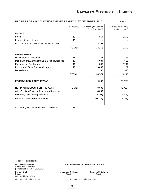| PROFIT & LOSS ACCOUNT FOR THE YEAR ENDED 31ST DECEMBER, 2010 |                  |                                      | (₹ in '000)                            |
|--------------------------------------------------------------|------------------|--------------------------------------|----------------------------------------|
|                                                              | <b>Schedules</b> | For the year ended<br>31st Dec, 2010 | For the year ended<br>31st March, 2010 |
| <b>INCOME</b>                                                |                  |                                      |                                        |
| Sales                                                        | 12               | 864                                  | 1,152                                  |
| Increase in Inventories                                      | 13               |                                      |                                        |
| Misc. Income / Excess Balances written back                  |                  | 33,399                               |                                        |
|                                                              | <b>TOTAL:</b>    | 34,263                               | 1,152                                  |
| <b>EXPENDITURE:</b>                                          |                  |                                      |                                        |
| Raw materials Consumed                                       | 14               | 161                                  | 63                                     |
| Manufacturing, Administrative & Selling Expenses             | 15               | 6,034                                | 515                                    |
| <b>Expenses on Employees</b>                                 | 16               | 545                                  | 2,784                                  |
| Interest and Other Finance Charges                           | 17               | 16,666                               | 27                                     |
| Depreciation                                                 |                  | 1,166                                | 1,555                                  |
|                                                              | <b>TOTAL:</b>    | 24,571                               | 4,945                                  |
| PROFIT/(LOSS) FOR THE YEAR                                   |                  | 9,692                                | (3,793)                                |
| NET PROFIT/(LOSS) FOR THE YEAR                               | <b>TOTAL:</b>    | 9,692                                | (3,793)                                |
| Add: Creation/Provision for deferred tax asset               |                  | 4,000                                |                                        |
| PROFIT/(LOSS) Brought Forward                                |                  | (117, 798)                           | (114,006)                              |
| <b>Balance Carried to Balance Sheet</b>                      |                  | (104, 106)                           | (117,799)                              |
|                                                              |                  |                                      |                                        |

Accounting Policies and Notes on Accounts 18

As per our Report attached For **Devesh Shah & Co. For and on behalf of the Board of Directors** Chartered Accountants (Firm Registration No. 102425W) **Devesh Shah Mahendra K. Khatau Santosh S. Salunke**<br>Proprietor Director Director Director Director Proprietor Membership No. 43930 Mumbai : 15th February, 2011 **Mumbai : 15th February, 2011**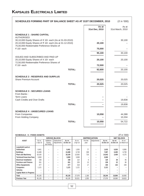| SCHEDULES FORMING PART OF BALANCE SHEET AS AT 31ST DECEMBER, 2010                                                      |                         | $(3 \t{ in } '000)$       |
|------------------------------------------------------------------------------------------------------------------------|-------------------------|---------------------------|
|                                                                                                                        | As at<br>31st Dec, 2010 | As at<br>31st March, 2010 |
| <b>SCHEDULE 1: SHARE CAPITAL</b><br><b>AUTHORISED</b>                                                                  |                         |                           |
| 30,10,000 Equity Shares of ₹ 10/- each (As at 31-03-2010)<br>20,10,000 Equity Shares of ₹ 10/- each (As at 31-12-2010) | 20,100                  | 30,100                    |
| 75,00,000 Redeemable Preference Shares of<br>₹ 10/- each                                                               | 75,000                  |                           |
| ISSUED AND SUBSCRIBED AND PAID-UP                                                                                      | 95,100                  | 30,100                    |
| 20,10,000 Equity Shares of ₹ 10/- each<br>72,50,000 Redeemable Preference Shares of                                    | 20,100                  | 20,100                    |
| ₹ 10/- each<br><b>TOTAL:</b>                                                                                           | 72,500<br>92,600        | 20,100                    |
| <b>SCHEDULE 2 : RESERVES AND SURPLUS</b>                                                                               |                         |                           |
| <b>Share Premium Account</b>                                                                                           | 20,025                  | 20,025                    |
| <b>TOTAL:</b>                                                                                                          | 20,025                  | 20,025                    |
| <b>SCHEDULE 3 : SECURED LOANS</b><br>From Banks:                                                                       |                         |                           |
| <b>Term Loans</b><br>Cash Credits and Over Drafts                                                                      |                         | 19,838                    |
| <b>TOTAL:</b>                                                                                                          |                         | 19,838                    |
| <b>SCHEDULE 4 : UNSECURED LOANS</b><br>From Companies                                                                  | 10,058                  | 44,388                    |
| From Holding Company<br><b>TOTAL:</b>                                                                                  | 10,058                  | 10,334<br>54,722          |
|                                                                                                                        |                         |                           |

### **SCHEDULE - 5 : FIXED ASSETS** (₹ in '000)

|                                 |                   |                                          | <b>GROSS BLOCK</b>         |                    |                     | <b>DEPRECIATION</b> |             |                    |                    | <b>NET BLOCK</b>     |
|---------------------------------|-------------------|------------------------------------------|----------------------------|--------------------|---------------------|---------------------|-------------|--------------------|--------------------|----------------------|
| <b>ASSET</b>                    | As on<br>1-Apr-10 | <b>Additions</b><br>During<br>the Period | Deductions/<br>Adjustments | As on<br>31-Dec-10 | As on<br>$1-Apr-10$ | For the<br>year     | Adjustments | As on<br>31-Dec-10 | As on<br>31-Dec-10 | As on<br>31-March-10 |
| Leasehold Land at               |                   |                                          |                            |                    |                     |                     |             |                    |                    |                      |
| Ankleshwar                      | 8,461             |                                          |                            | 8,461              | 1,555               | 77                  |             | 1,632              | 6,830              | 6,906                |
| <b>Buildings</b>                | 13,488            |                                          |                            | 13,488             | 6,749               | 338                 |             | 7,087              | 6,400              | 6,739                |
| <b>Plant and Machinery</b>      | 18,100            |                                          |                            | 18,100             | 13,926              | 716                 | -           | 14,642             | 3,459              | 4,175                |
| <b>Technical Know-how Fees</b>  | 3,069             |                                          |                            | 3,069              | 3,069               |                     |             | 3.069              |                    |                      |
| <b>Electrical Installation</b>  | 158               |                                          |                            | 158                | 114                 | 6                   |             | 120                | 38                 | 45                   |
| <b>Furniture and Fixtures</b>   | 261               |                                          |                            | 261                | 226                 | 13                  |             | 239                | 22                 | 36                   |
| <b>Office Equipments</b>        | 477               |                                          |                            | 477                | 318                 | 17                  | -           | 335                | 142                | 159                  |
| <b>Computers</b>                | 1,121             |                                          |                            | 1,121              | 1,121               |                     |             | 1,121              |                    |                      |
| <b>Vehicles</b>                 |                   |                                          |                            |                    |                     |                     |             |                    |                    |                      |
| <b>Capital Work in Progress</b> |                   |                                          |                            |                    | -                   | -                   |             |                    |                    |                      |
| <b>Total</b>                    | 45,135            |                                          | -                          | 45,135             | 27,078              | 1,166               | -           | 28,244             | 16,894             | 18,060               |
| <b>Previous Year</b>            | 45,135            |                                          |                            | 45,135             | 25,521              | 1,555               |             | 27,076             | 18,060             | 19,615               |

52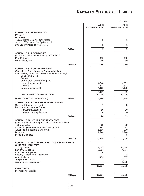# **KAPSALES ELECTRICALS LIMITED**

|                                                                                                                                                                               |               |                  | (₹ in '000)      |
|-------------------------------------------------------------------------------------------------------------------------------------------------------------------------------|---------------|------------------|------------------|
|                                                                                                                                                                               |               | As at            | As at            |
|                                                                                                                                                                               |               | 31st March, 2010 | 31st March, 2010 |
| <b>SCHEDULE 6 : INVESTMENTS</b><br>(At Cost)                                                                                                                                  |               |                  |                  |
| Unquoted                                                                                                                                                                      |               |                  |                  |
| 7 years National Saving Certificates<br>Shares of The Kapol Co-Op. Bank Ltd.                                                                                                  |               | 1                | 1                |
| 100 Equity Shares of ₹ 10/- each                                                                                                                                              |               | 1                | 1                |
|                                                                                                                                                                               | <b>TOTAL:</b> | $\overline{2}$   | $\overline{2}$   |
| <b>SCHEDULE 7 : INVENTORIES</b>                                                                                                                                               |               |                  |                  |
| (As taken, valued and certified by a Director.)<br><b>Raw Materials</b>                                                                                                       |               | 400              | 400              |
| Work in Progress                                                                                                                                                              |               | 50               | 50               |
|                                                                                                                                                                               | <b>TOTAL:</b> | 450              | 450              |
| <b>SCHEDULE 8: SUNDRY DEBTORS</b><br>(Considered Good for which Company hold no<br>other security other than Debtor's Personal Security)<br><b>Considered Good</b><br>Secured |               |                  |                  |
| Un Secured, Considered good<br>- more than six months                                                                                                                         |               | 4,643            | 4,531            |
| - Others<br><b>Considered Doubtful</b>                                                                                                                                        |               | 323<br>4,155     | 323<br>4,155     |
|                                                                                                                                                                               |               | 9,121            | 9,009            |
| Less: Provision for doubtful Debts                                                                                                                                            |               | (4, 155)         | (4, 155)         |
| (Refer Note No.9 in Schedule 20)                                                                                                                                              | <b>TOTAL:</b> | 4,966            | 4,854            |
| <b>SCHEDULE 9 : CASH AND BANK BALANCES</b>                                                                                                                                    |               | 7                | 42               |
| Cash and Cheques on hand<br>Balance with scheduled Banks                                                                                                                      |               |                  |                  |
| - in Current Accounts<br>- in Margin Money Account                                                                                                                            |               | 19               | 20               |
|                                                                                                                                                                               | <b>TOTAL:</b> | 26               | 62               |
| <b>SCHEDULE 10 : OTHER CURRENT ASSET</b>                                                                                                                                      |               |                  |                  |
| (Unsecured-Considered good unless stated otherwise)<br><b>TDS</b> receivable                                                                                                  |               | 63               | 85               |
| Advances given (recoverable in cash or kind)                                                                                                                                  |               | 387              | 497              |
| Advances to Suppliers & Other Adv.<br>Deposits                                                                                                                                |               | 1,505<br>1,240   | 970<br>1,240     |
| Prepaid Expenses                                                                                                                                                              |               |                  | 6                |
|                                                                                                                                                                               | <b>TOTAL:</b> | 3,195            | 2,798            |
| <b>SCHEDULE 11 : CURRENT LIABILITIES &amp; PROVISIONS:</b><br><b>CURRENT LIABILITIES</b>                                                                                      |               |                  |                  |
| <b>Sundry Creditors</b>                                                                                                                                                       |               | 2,443            | 21,554           |
| <b>Statutory Liabilities</b><br>Creditors for expenses                                                                                                                        |               | 8,027            | 4,387<br>17      |
| <b>Security Deposit from Customers</b>                                                                                                                                        |               |                  | 222              |
| <b>Other Liability</b><br>Temporary Bank OD                                                                                                                                   |               | 483              | 357<br>1,117     |
| <b>Advance from Customers</b>                                                                                                                                                 |               |                  | 1,685            |
| <b>PROVISIONS</b>                                                                                                                                                             |               | 10,954           | 29,339           |
| Provision for Taxation                                                                                                                                                        |               |                  |                  |
|                                                                                                                                                                               | <b>TOTAL:</b> | 10,954           | 29,339           |
|                                                                                                                                                                               |               |                  |                  |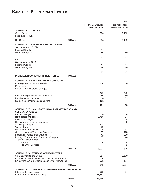|                                                                                                      |                    | $(3 \t{cm} \t{in} 900)$ |
|------------------------------------------------------------------------------------------------------|--------------------|-------------------------|
|                                                                                                      | For the year ended | For the year ended      |
| <b>SCHEDULE 12 : SALES</b>                                                                           | 31st Dec, 2010     | 31st March, 2010        |
| <b>Gross Sales</b><br>Less: Excise Duty                                                              | 864                | 1,152                   |
| <b>Net Sales</b><br><b>TOTAL:</b>                                                                    | 864                | 1,152                   |
| <b>SCHEDULE 13 : INCREASE IN INVENTORIES</b><br>Stock as on 31.12.2010<br><b>Finished Goods</b>      | 44                 | 44                      |
| Work in Progress                                                                                     | 50                 | 50                      |
|                                                                                                      | 94                 | 94                      |
| Less:-<br>Stock as on 1.4.2010                                                                       |                    |                         |
| <b>Finished Goods</b>                                                                                | 44                 | 44                      |
| Work in Progress                                                                                     | 50                 | 50                      |
|                                                                                                      | 94                 | 94                      |
| <b>TOTAL:</b><br><b>INCREASE/(DECREASE) IN INVENTORIES</b>                                           |                    |                         |
| <b>SCHEDULE 14 : RAW MATERIALS CONSUMED</b>                                                          |                    |                         |
| Opening Stock of Raw materials                                                                       | 450                | 450                     |
| Purchases                                                                                            |                    |                         |
| Freight and Forwarding Charges                                                                       |                    |                         |
| Less: Closing Stock of Raw materials                                                                 | 450<br>450         | 450<br>450              |
| Raw Materials consumed                                                                               |                    | 63                      |
| Stores and consumables consumed                                                                      | 161                |                         |
| <b>TOTAL:</b>                                                                                        | 161                | 63                      |
| <b>SCHEDULE 15 : MANUFACTURING, ADMINISTRATIVE AND</b><br><b>SELLING EXPENSES</b>                    |                    |                         |
| Labour Charges                                                                                       |                    | 38                      |
| Rent, Rates and Taxes                                                                                | 5,488              | 17                      |
| Insurance charges                                                                                    |                    | 15                      |
| Selling and Distribution Expenses<br><b>Servicing Charges</b>                                        | 304                | 8                       |
| Water Charges                                                                                        | 49                 |                         |
| Miscellaneous Expenses                                                                               | 4                  | 43                      |
| Conveyance and Travelling Expenses<br>Legal and Professional Charges                                 | 97<br>41           | 128<br>210              |
| Postage, Telegram and Telephone Charges<br>Auditors' Remuneration                                    | 37                 | 46                      |
| For Audit<br>For Other Services                                                                      | 8<br>7             | 8<br>2                  |
| <b>TOTAL:</b>                                                                                        | 6,034              | 515                     |
|                                                                                                      |                    |                         |
| <b>SCHEDULE 16: EXPENSES ON EMPLOYEES</b><br>Salaries, wages and Bonus                               | 217                | 2,660                   |
| Company's Contribution to Provident & Other Funds<br>Employees Welfare Expenses and Other Allowances | 56<br>271          | 124                     |
| <b>TOTAL:</b>                                                                                        | 545                | 2,784                   |
| <b>SCHEDULE 17 : INTEREST AND OTHER FINANCING CHARGES</b>                                            |                    |                         |
| Interest other than bank<br>Other Finance and Bank Charges                                           | 505<br>16,161      | 27                      |
| <b>TOTAL:</b>                                                                                        | 16,666             | 27                      |
|                                                                                                      |                    |                         |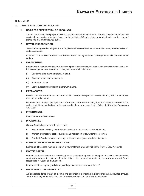### **Schedule 18**

### **A. PRINCIPAL ACCOUNTING POLICIES:**

### **1. BASIS FOR PREPARATION OF ACCOUNTS :**

The accounts have been prepared by the company in accordance with the historical cost convention and the applicable accounting standards issued by the Institute of Chartered Accountants of India and the relevant provisions of Companies Act, 1956.

### **2. REVENUE RECOGNITION :**

Sales are recognised when goods are supplied and are recorded net of trade discounts, rebates, sales tax and excise duties.

Incomes from services rendered are booked based on agreements / arrangements with the concerned parties.

### **3. EXPENDITURE :**

Expenses are accounted on accrual basis and provision is made for all known losses and liabilities. However, following expenses are accounted in the year, in which it is incurred.

- (i) Custom/excise duty on material in bond.
- (ii) Discount under dealers scheme.
- (iii) Insurance claims
- (iv) Leave Encashment/Medical claims/LTA claims.

### **4. FIXED ASSETS :**

Fixed assets are stated at cost less depreciation except in respect of Leasehold Land, which is amortised over the period of lease.

Depreciation is provided (except in case of leasehold land, which is being amortised over the period of lease) on the straight line method and at the rates and in the manner specified in Schedule XIV of the Companies Act, 1956.

### **5. INVESTMENTS :**

Investments are stated at cost.

### **6. INVENTORIES :**

Closing Stocks have been valued as under:

- i) Raw material, Packing material and stores: At Cost. Based on FIFO method.
- ii) Work in progress: At cost or average sale realization price, whichever is lower.
- iii) Finished Goods : At cost or average sale realization price, whichever is lower.

### **7. FOREIGN CURRENCIES TRANSACTIONS :**

Exchange differences relating to import of raw materials are dealt with in the Profit & Loss Accounts.

### **8. MODVAT CREDIT :**

Modvat credit available on the materials (inputs) is adjusted against consumption and to the extent modvat credit not recouped in payment of excise duty on the products despatched, is shown as Modvat Credit Receivable in "Loans and Advances".

Modvat credit on capital goods is adjusted against the purchase cost thereof.

### **9. PRIOR PERIOD ADJUSTMENTS :**

All identifiable items, if any, of income and expenditure pertaining to prior period are accounted through "Prior Period Adjustment Account" and are disclosed net of Income and expenditure.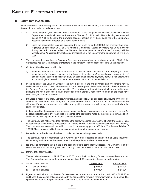### **B. NOTES TO THE ACCOUNTS**

Notes annexed to and forming part of the Balance Sheet as at 31<sup>st</sup> December, 2010 and the Profit and Loss Account for the period ended on the date.

- 1. a) During the period, with a view to reduce debt burden of the Company, there is an increase in the Share Capital due to fresh allotment of Preference Shares of  $\bar{\tau}$  725 Lakh. After adjusting accumulated losses of  $\bar{\tau}$  1041.06 Lakh, the networth became positive by  $\bar{\tau}$  85.19 Lakh, thus the Company's accounts have been prepared on a going concern basis.
	- b) Since the accumulated loss had exceeded the net worth as on 31.03.2001 the company has been registered under section 15(1) of Sick Industrial Companies (Special Provision) Act, 1985, however during the period under review, the Networth became positive therefore the Company will file Miscellaneous Application for discharge / deregistration of the Case from the purview of BIFR / SICA 1985.
- 2. The company does not have a Company Secretary as required under provision of section 383A of the Companies Act, 1956. The Board of Directors of the company is in the process of filing up the position.
- 3. Contingent liabilities not provided for;
	- a) In earlier year, due to financial constraints, it has not been possible for the Company to honor commitments for statutory payments in time however thereafter the Company has paid major portion of its undisputed liabilities. The liability, if any, on account of delayed payment / default is not ascertained and accordingly no provision is made in the accounts for such uncertain liability.
- 4. In the opinion of the Board of Directors, the current assets, loans and advances and investments have a realisable value in the course of business which is at least equal to the amounts at which they are shown in the Balance Sheet, unless otherwise specified. The provision for depreciation and all known liabilities are adequate and not in excess of the amounts considered reasonably necessary. No personal expenses have been charged to revenue accounts
- 5. Balances in respect of Sundry Debtors, Creditors, and Deposits are as per books of accounts only, since no confirmation have been called for by the company. Some of the accounts are under reconciliation and the difference if any, arising on such reconciliation may affect revenue and will be adjusted as and when the same is completed.

In the meanwhile, the company has reviewed the outstanding of its customers and has made a provision for doubtful debts for a sum of  $\overline{\epsilon}$  41.55 lacs representing the deductions made by the customers towards short/ defective supplies, liquidated damages, price difference etc.

- 6. The Company had not provided for interest on the borrowings since 01.04.2001. The Central Bank of India has sanctioned a compromise proposal for ₹761 lacs towards full and final settlement of dues of the Company. The company has accepted the said proposal & subsequently paid  $\bar{\tau}$  636 lacs. The interest liability of 119.62 lacs was paid to Bank and is accounted for during the period under review.
- 7. Depreciation on fixed assets has been provided for the period on prorata basis.
- 8. The company has no information as to whether any of its suppliers constitute "Small Scale Industries Undertaking" and therefore the amount due to such suppliers could not be ascertained.
- 9. No provision for income tax is made in the accounts due to carried forward losses. The Company is of the view that there shall not be any Tax / MAT liability under the provision of the Income Tax Act, 1961.
- 10. Deferred tax asset/(liability):

The net deferred Asset as on 31.12.2010 is  $\bar{\tau}$  40.50 Lacs in the form of Carry forward losses and depreciation. The Company has accounted for deferred tax assets of  $\bar{\tau}$  40 Lacs during the period under review.

|  | 11. Auditor's Remuneration : | <b>Current vear</b> | Previous year |
|--|------------------------------|---------------------|---------------|
|  | i) Fees as Auditor           | ₹ 8.000/-           | ₹ 7.500/-     |
|  | For other services           | ₹7.000/-            | ₹ 2.500/-     |

12. Figures in the Profit and Loss Account for the current period are for 9 months i.e. from 1.04.2010 to 31.12.2010 and hence the same are not comparable with the figures of the previous year which were for 12 months. The figures have been regrouped, wherever necessary, so as to make them comparable.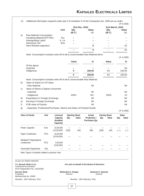| 31st Dec. 2010<br>31st March, 2010<br>Unit<br><b>Value</b><br>Qty.<br>Value<br>Qty.<br>(M.T.)<br>$(\overline{\tau})$<br>(M.T.)<br>a)<br>Raw Material Consumption<br>Insulating Material (PP Film)<br>Ton<br>K. Ltr.<br>Impregnating Liquid<br>Aluminium Foil<br><b>Tons</b><br>Semi finished capacitors<br>0<br>0<br>Note: Consumption includes write off of old & unserviceable Raw Material items<br>(₹ In 000)<br>Value<br>Value<br>%<br>Of the above<br>Imported<br>$\bf{0}$<br>100.00<br>63<br>100.00<br>Indigenous<br>0<br>100.00<br>100.00<br>63<br>Note: Consumption includes write off of old & unserviceable Raw Material.<br>Value of Import on CIF basis<br>b)<br>Nil<br>- Raw Material<br>Value of Stores & Spares consumed<br>c)<br>- Imported<br>Nil<br>- Indigenous<br>100%<br>161<br>100%<br>Expenditure in Foreign Exchange<br>Nil<br>d)<br>Earning in Foreign Exchange<br>Nil<br>e) |
|--------------------------------------------------------------------------------------------------------------------------------------------------------------------------------------------------------------------------------------------------------------------------------------------------------------------------------------------------------------------------------------------------------------------------------------------------------------------------------------------------------------------------------------------------------------------------------------------------------------------------------------------------------------------------------------------------------------------------------------------------------------------------------------------------------------------------------------------------------------------------------------------------------|
|                                                                                                                                                                                                                                                                                                                                                                                                                                                                                                                                                                                                                                                                                                                                                                                                                                                                                                        |
|                                                                                                                                                                                                                                                                                                                                                                                                                                                                                                                                                                                                                                                                                                                                                                                                                                                                                                        |
|                                                                                                                                                                                                                                                                                                                                                                                                                                                                                                                                                                                                                                                                                                                                                                                                                                                                                                        |
|                                                                                                                                                                                                                                                                                                                                                                                                                                                                                                                                                                                                                                                                                                                                                                                                                                                                                                        |
|                                                                                                                                                                                                                                                                                                                                                                                                                                                                                                                                                                                                                                                                                                                                                                                                                                                                                                        |
|                                                                                                                                                                                                                                                                                                                                                                                                                                                                                                                                                                                                                                                                                                                                                                                                                                                                                                        |
|                                                                                                                                                                                                                                                                                                                                                                                                                                                                                                                                                                                                                                                                                                                                                                                                                                                                                                        |
|                                                                                                                                                                                                                                                                                                                                                                                                                                                                                                                                                                                                                                                                                                                                                                                                                                                                                                        |
|                                                                                                                                                                                                                                                                                                                                                                                                                                                                                                                                                                                                                                                                                                                                                                                                                                                                                                        |
|                                                                                                                                                                                                                                                                                                                                                                                                                                                                                                                                                                                                                                                                                                                                                                                                                                                                                                        |
|                                                                                                                                                                                                                                                                                                                                                                                                                                                                                                                                                                                                                                                                                                                                                                                                                                                                                                        |
|                                                                                                                                                                                                                                                                                                                                                                                                                                                                                                                                                                                                                                                                                                                                                                                                                                                                                                        |
|                                                                                                                                                                                                                                                                                                                                                                                                                                                                                                                                                                                                                                                                                                                                                                                                                                                                                                        |
|                                                                                                                                                                                                                                                                                                                                                                                                                                                                                                                                                                                                                                                                                                                                                                                                                                                                                                        |
|                                                                                                                                                                                                                                                                                                                                                                                                                                                                                                                                                                                                                                                                                                                                                                                                                                                                                                        |
|                                                                                                                                                                                                                                                                                                                                                                                                                                                                                                                                                                                                                                                                                                                                                                                                                                                                                                        |
|                                                                                                                                                                                                                                                                                                                                                                                                                                                                                                                                                                                                                                                                                                                                                                                                                                                                                                        |
|                                                                                                                                                                                                                                                                                                                                                                                                                                                                                                                                                                                                                                                                                                                                                                                                                                                                                                        |
|                                                                                                                                                                                                                                                                                                                                                                                                                                                                                                                                                                                                                                                                                                                                                                                                                                                                                                        |
|                                                                                                                                                                                                                                                                                                                                                                                                                                                                                                                                                                                                                                                                                                                                                                                                                                                                                                        |
|                                                                                                                                                                                                                                                                                                                                                                                                                                                                                                                                                                                                                                                                                                                                                                                                                                                                                                        |
|                                                                                                                                                                                                                                                                                                                                                                                                                                                                                                                                                                                                                                                                                                                                                                                                                                                                                                        |
|                                                                                                                                                                                                                                                                                                                                                                                                                                                                                                                                                                                                                                                                                                                                                                                                                                                                                                        |
|                                                                                                                                                                                                                                                                                                                                                                                                                                                                                                                                                                                                                                                                                                                                                                                                                                                                                                        |
| Nil                                                                                                                                                                                                                                                                                                                                                                                                                                                                                                                                                                                                                                                                                                                                                                                                                                                                                                    |
| f)<br>FOB value of Exports                                                                                                                                                                                                                                                                                                                                                                                                                                                                                                                                                                                                                                                                                                                                                                                                                                                                             |
| Capacities, Production/Purchases, Stocks and Sales of Finished Goods.<br>g)<br>(₹ In 000)                                                                                                                                                                                                                                                                                                                                                                                                                                                                                                                                                                                                                                                                                                                                                                                                              |
| <b>Class of Goods</b><br>Unit<br>Licenced<br><b>Opening Stock</b><br><b>Actual</b><br><b>Closing Stock</b><br><b>Sales</b>                                                                                                                                                                                                                                                                                                                                                                                                                                                                                                                                                                                                                                                                                                                                                                             |
| <b>Capacity</b><br>Production /<br>Qty.<br>Value<br>Qty.<br>Value<br>Qty.<br>(Installed<br>Purchases Qty.<br>Capacity)                                                                                                                                                                                                                                                                                                                                                                                                                                                                                                                                                                                                                                                                                                                                                                                 |
| Power Capacitor<br>Kvar<br>10,00,000<br>(330)                                                                                                                                                                                                                                                                                                                                                                                                                                                                                                                                                                                                                                                                                                                                                                                                                                                          |
| (10,00,000)<br>(330)<br>(44)<br>(Nil)<br>(44)<br>$(-)$                                                                                                                                                                                                                                                                                                                                                                                                                                                                                                                                                                                                                                                                                                                                                                                                                                                 |
| <b>PCS</b><br>Paper Condensers<br>10,00,000<br>(10,00,000)                                                                                                                                                                                                                                                                                                                                                                                                                                                                                                                                                                                                                                                                                                                                                                                                                                             |
|                                                                                                                                                                                                                                                                                                                                                                                                                                                                                                                                                                                                                                                                                                                                                                                                                                                                                                        |
|                                                                                                                                                                                                                                                                                                                                                                                                                                                                                                                                                                                                                                                                                                                                                                                                                                                                                                        |
| Metalised Polypropylene                                                                                                                                                                                                                                                                                                                                                                                                                                                                                                                                                                                                                                                                                                                                                                                                                                                                                |
| Condensers<br><b>PCS</b><br>5,00,000                                                                                                                                                                                                                                                                                                                                                                                                                                                                                                                                                                                                                                                                                                                                                                                                                                                                   |
| (5,00,000)<br><b>Nos</b>                                                                                                                                                                                                                                                                                                                                                                                                                                                                                                                                                                                                                                                                                                                                                                                                                                                                               |
| <b>Associated Equipments</b>                                                                                                                                                                                                                                                                                                                                                                                                                                                                                                                                                                                                                                                                                                                                                                                                                                                                           |
| Note: Figure in brackets related to previous Year                                                                                                                                                                                                                                                                                                                                                                                                                                                                                                                                                                                                                                                                                                                                                                                                                                                      |
| As per our Report attached                                                                                                                                                                                                                                                                                                                                                                                                                                                                                                                                                                                                                                                                                                                                                                                                                                                                             |
|                                                                                                                                                                                                                                                                                                                                                                                                                                                                                                                                                                                                                                                                                                                                                                                                                                                                                                        |
| For Devesh Shah & Co.<br>For and on behalf of the Board of Directors<br><b>Chartered Accountants</b>                                                                                                                                                                                                                                                                                                                                                                                                                                                                                                                                                                                                                                                                                                                                                                                                   |
|                                                                                                                                                                                                                                                                                                                                                                                                                                                                                                                                                                                                                                                                                                                                                                                                                                                                                                        |
| (Firm Registration No. 102425W)<br>Devesh Shah<br>Mahendra K. Khatau<br><b>Santosh S. Salunke</b><br>Proprietor<br>Director<br>Director                                                                                                                                                                                                                                                                                                                                                                                                                                                                                                                                                                                                                                                                                                                                                                |
| Membership No. 43930                                                                                                                                                                                                                                                                                                                                                                                                                                                                                                                                                                                                                                                                                                                                                                                                                                                                                   |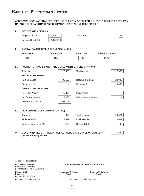# **KAPSALES ELECTRICALS LIMITED**

|            | <b>BALANCE SHEET ABSTRACT AND COMPANY'S GENERAL BUSINESS PROFILE:</b>                           |                    |                                             | ADDITIONAL INFORMATION AS REQUIRED UNDER PART IV OF SCHEDULE VI TO THE COMPANIES ACT, 1956, |
|------------|-------------------------------------------------------------------------------------------------|--------------------|---------------------------------------------|---------------------------------------------------------------------------------------------|
| L.         | <b>REGISTRATION DETAILS</b>                                                                     |                    |                                             |                                                                                             |
|            | Registration No.                                                                                | 21,376             | <b>State Code</b>                           | 11                                                                                          |
|            | <b>Balance Sheet Date</b>                                                                       | 31.12.2010         |                                             |                                                                                             |
|            |                                                                                                 |                    |                                             |                                                                                             |
| Ш.         | CAPITAL RAISED DURING THE YEAR (₹ in '000)                                                      |                    |                                             |                                                                                             |
|            | <b>Public Issue</b>                                                                             | Bonus Issue        | <b>Right Issue</b>                          | <b>Private Placement</b>                                                                    |
|            | <b>NIL</b>                                                                                      | <b>NIL</b>         | <b>NIL</b>                                  | 72,500                                                                                      |
|            |                                                                                                 |                    |                                             |                                                                                             |
| III.       | POSITION OF MOBILISATION AND DEPLOYMENT OF FUNDS (₹ in '000)                                    |                    |                                             |                                                                                             |
|            | <b>Total Liabilities</b>                                                                        | 122,683            | <b>Total Assets</b>                         | 122,683                                                                                     |
|            | <b>SOURCES OF FUNDS</b>                                                                         |                    |                                             |                                                                                             |
|            | Paid up Capital                                                                                 | 92,600             | Reserve & Surplus                           | 20,025                                                                                      |
|            | <b>Secured Loans</b>                                                                            |                    | <b>Unsecured Loans</b>                      | 10,058                                                                                      |
|            | <b>APPLICATION OF FUNDS</b><br><b>Net Fixed Assets</b>                                          | 16,890             | Investments                                 | $\overline{2}$                                                                              |
|            | <b>Net Current Assets</b>                                                                       | 1,685              | <b>Miscellaneous Assets</b>                 |                                                                                             |
|            | <b>Accumulated Losses</b>                                                                       | 104,106            |                                             |                                                                                             |
|            |                                                                                                 |                    |                                             |                                                                                             |
| IV.        | PERFORMANCE OF COMPANY (₹ in '000)                                                              |                    |                                             |                                                                                             |
|            | Turnover                                                                                        | 864                | <b>Total Expenses</b>                       | 24,571                                                                                      |
|            | Profit before Tax                                                                               | 9,692              | Profit after Tax                            | 9,692                                                                                       |
|            | Earning per share in $(3)$                                                                      | 4.82               | Dividend Rate %                             | <b>NIL</b>                                                                                  |
| V.         | <b>GENERIC NAMES OF THREE PRINCIPAL PRODUCTS/ SERVICE OF COMPANY</b><br>(as per monetory terms) |                    |                                             | N.A.                                                                                        |
|            |                                                                                                 |                    |                                             |                                                                                             |
|            | As per our Report attached<br>For Devesh Shah & Co.                                             |                    | For and on behalf of the Board of Directors |                                                                                             |
|            | <b>Chartered Accountants</b><br>(Firm Registration No. 102425W)                                 |                    |                                             |                                                                                             |
|            | Devesh Shah                                                                                     | Mahendra K. Khatau |                                             | <b>Santosh S. Salunke</b>                                                                   |
| Proprietor | Membership No. 43930                                                                            | Director           |                                             | <b>Director</b>                                                                             |
|            | Mumbai: 15th February, 2011                                                                     |                    | Mumbai: 15th February, 2011                 |                                                                                             |
|            |                                                                                                 |                    | 58                                          |                                                                                             |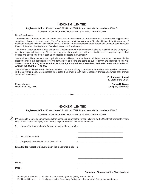# **INDOKEM LIMITED**

### **Registered Office:** "Khatau House", Plot No. 410/411, Mogul Lane, Mahim, Mumbai – 400016. **CONSENT FOR RECEIVING DOCUMENTS IN ELECTRONIC FORM**

### Dear Shareholders,

The Ministry of Corporate Affairs has announced a "Green Initiative in Corporate Governance" thereby allowing paperless compliance through electronic mode. Your Company supports this environment friendly initiative of the Government of India and proposes to send Notices for General Meetings / Annual Reports / Other Shareholder Communication through Electronic Mode to the Registered E-Mail Addresses of Shareholders.

The Annual Report and the Notice of General Meetings and other documents will also be available on the Company's website at www.indokem.co.in. Please note that as a shareholder, you will be entitled to receive physical copies of all notices and documents free of cost, upon specific request to the Company.

Shareholder holding shares in the physical form and willing to receive the Annual Report and other documents in the electronic mode, are requested to fill the form below and send the same to our Registrar and Transfer Agents viz**. Sharex Dynamic (India) Private Limited, Unit No. 1, Luthra Industrial Premises, Andheri Kurla Road, Safed Pool, Andheri (E), Mumbai - 400 072.**

Shareholders holding shares in the dematerialized mode and willing to receive the Annual Report and other documents in the electronic mode, are requested to register their email id with their Depository Participants where their Demat account in maintained.

> For **Indokem Limited** by Order of the Board

Place: Mumbai **Rohan R. Gavas**

 $\lambda$ 

Date: 29th July, 2011 (Company Secretary)

<u>standarda alguna alguna a</u>

## **INDOKEM LIMITED**

 $\rightarrow$ 

**Registered Office:** "Khatau House", Plot No. 410/411, Mogul Lane, Mahim, Mumbai – 400016.

### **CONSENT FOR RECEIVING DOCUMENTS IN ELECTRONIC FORM**

I/We agree to receive documents in electronic mode pursuant to the 'Green Initiative' by the Ministry of Corporate Affairs vide Circular dated  $29<sup>th</sup>$  April, 2011. Please register the email id mentioned below:

1. Name(s) of Shareholder(s) (including joint holders, if any) : \_\_\_\_\_\_\_\_\_\_\_\_\_\_\_

\_\_\_\_\_\_\_\_\_\_\_

\_\_\_\_\_\_\_\_\_\_\_\_\_\_\_\_\_\_\_\_\_\_\_\_\_\_\_\_\_\_\_\_\_\_\_\_\_ 2. No. of Shares held 3. Registered Folio No./DP ID & Client ID No. **E-mail ID for receipt of documents in the electronic mode :** \_\_\_\_\_\_\_\_\_\_\_\_\_\_\_\_\_\_\_\_\_\_\_\_\_\_\_\_\_\_\_\_\_\_\_\_\_ **Place :** \_\_\_\_\_\_\_\_\_\_\_\_\_\_\_\_\_\_\_\_\_\_\_\_\_\_\_\_\_\_\_\_\_\_\_\_\_ **Date : \_\_\_\_\_\_\_\_\_\_\_\_\_\_\_\_\_\_\_\_\_\_\_\_\_\_\_\_\_\_\_\_\_\_\_\_\_ (Name and Signature of the Shareholders)** For Physical Shares : Kindly send to Sharex Dynamic (India) Private Limited.  $\therefore$  Kindly send to the Depository Participant where demat  $a/c$  is being maintained.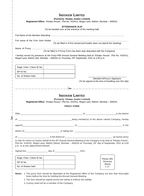|                                                                                       | (Formerly: Khatau Junker Limited)<br>Registered Office: "Khatau House", Plot No. 410/411, Mogul Lane, Mahim, Mumbai - 400016. |       |                                                                                                                                                                                                                                                |
|---------------------------------------------------------------------------------------|-------------------------------------------------------------------------------------------------------------------------------|-------|------------------------------------------------------------------------------------------------------------------------------------------------------------------------------------------------------------------------------------------------|
|                                                                                       | <b>ATTENDANCE SLIP</b>                                                                                                        |       |                                                                                                                                                                                                                                                |
|                                                                                       | (To be handed over at the entrance of the meeting hall)                                                                       |       |                                                                                                                                                                                                                                                |
|                                                                                       |                                                                                                                               |       |                                                                                                                                                                                                                                                |
|                                                                                       |                                                                                                                               |       |                                                                                                                                                                                                                                                |
|                                                                                       |                                                                                                                               |       | (To be filled in if first named joint-holder does not attend the meeting)                                                                                                                                                                      |
|                                                                                       |                                                                                                                               |       |                                                                                                                                                                                                                                                |
|                                                                                       | (To be filled in if Proxy Form has been duly deposited with the Company)                                                      |       |                                                                                                                                                                                                                                                |
| Mogul Lane, Mahim (W), Mumbai - 400016 on Thursday, 29th September, 2011 at 4.00 p.m. |                                                                                                                               |       | I hereby record my presence at the Forty-Fifth Annual General Meeting held at "Khatau House", Plot No. 410/411,                                                                                                                                |
| Regd. Folio / Client ID No.                                                           |                                                                                                                               |       |                                                                                                                                                                                                                                                |
| DP ID No.                                                                             |                                                                                                                               |       |                                                                                                                                                                                                                                                |
| No. of Shares held                                                                    |                                                                                                                               |       |                                                                                                                                                                                                                                                |
|                                                                                       |                                                                                                                               |       | Member's/Proxy's Signature                                                                                                                                                                                                                     |
|                                                                                       |                                                                                                                               |       |                                                                                                                                                                                                                                                |
| _________________                                                                     | <b>INDOKEM LIMITED</b><br>(Formerly: Khatau Junker Limited)                                                                   |       |                                                                                                                                                                                                                                                |
|                                                                                       | Registered Office: "Khatau House", Plot No. 410/411, Mogul Lane, Mahim, Mumbai - 400016.<br><b>PROXY FORM</b>                 |       |                                                                                                                                                                                                                                                |
|                                                                                       |                                                                                                                               |       |                                                                                                                                                                                                                                                |
|                                                                                       | <u> 1980 - Johann John Harry, mars ar yw i ganwys y cyfan y cyfan y cyfan y cyfan y cyfan y cyfan y cyfan y cyfa</u>          |       |                                                                                                                                                                                                                                                |
|                                                                                       |                                                                                                                               |       | (To be signed at the time of handling over this slip)<br>of the district of the district<br>being member(s) of the above named Company, hereby                                                                                                 |
|                                                                                       |                                                                                                                               |       |                                                                                                                                                                                                                                                |
| I/We<br>of                                                                            |                                                                                                                               |       |                                                                                                                                                                                                                                                |
|                                                                                       |                                                                                                                               |       |                                                                                                                                                                                                                                                |
|                                                                                       |                                                                                                                               |       |                                                                                                                                                                                                                                                |
|                                                                                       |                                                                                                                               | 2011. |                                                                                                                                                                                                                                                |
| p.m. or at any adjournment thereof.<br>Regd. Folio / Client ID No.                    |                                                                                                                               |       | to vote for me/us on my/our behalf at the 45 <sup>th</sup> Annual General Meeting of the Company to be held at "Khatau House",<br>Plot No. 410/411, Mogul Lane, Mahim (West), Mumbai - 400016 on Thursday, 29th day of September, 2011 at 4.00 |
| DP ID No.                                                                             |                                                                                                                               |       | Please affix<br>Revenue<br>Stamp                                                                                                                                                                                                               |

2. The form should be signed across the stamp to enforce the validity.

3. A proxy need not be a member of the Company.

 $\frac{1}{2}$